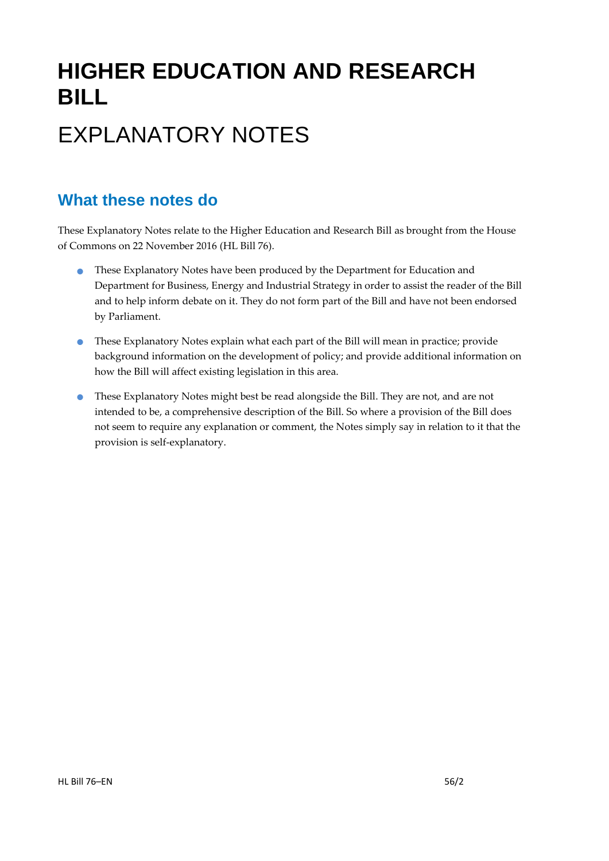# **HIGHER EDUCATION AND RESEARCH BILL**

# EXPLANATORY NOTES

# **What these notes do**

- **•** These Explanatory Notes have been produced by the Department for Education and Department for Business, Energy and Industrial Strategy in order to assist the reader of the Bill and to help inform debate on it. They do not form part of the Bill and have not been endorsed by Parliament.
- These Explanatory Notes explain what each part of the Bill will mean in practice; provide background information on the development of policy; and provide additional information on how the Bill will affect existing legislation in this area.
- These Explanatory Notes might best be read alongside the Bill. They are not, and are not intended to be, a comprehensive description of the Bill. So where a provision of the Bill does not seem to require any explanation or comment, the Notes simply say in relation to it that the provision is self-explanatory.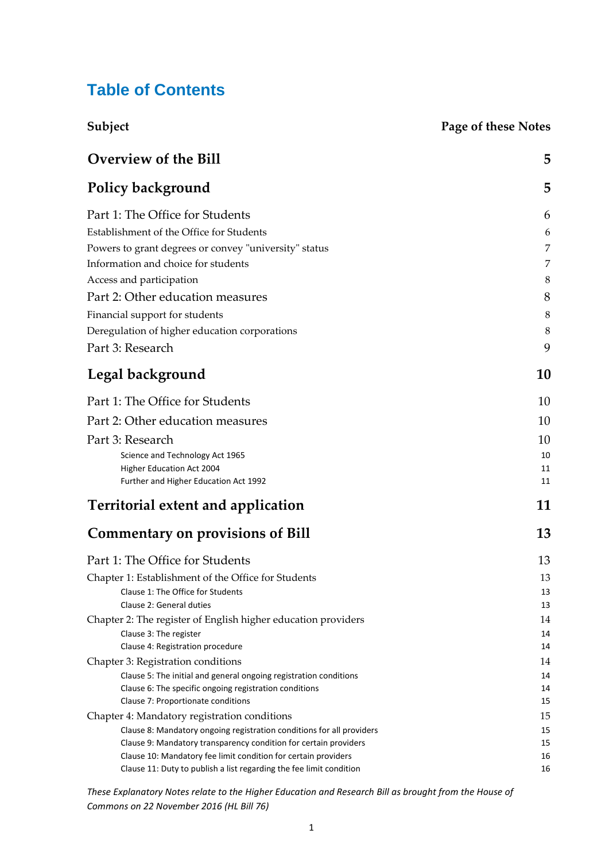# **Table of Contents**

| Subject                                                                                      | <b>Page of these Notes</b> |
|----------------------------------------------------------------------------------------------|----------------------------|
| <b>Overview of the Bill</b>                                                                  | 5                          |
| <b>Policy background</b>                                                                     | 5                          |
| Part 1: The Office for Students                                                              | 6                          |
| Establishment of the Office for Students                                                     | 6                          |
| Powers to grant degrees or convey "university" status                                        | 7                          |
| Information and choice for students                                                          | 7                          |
| Access and participation                                                                     | 8                          |
|                                                                                              |                            |
| Part 2: Other education measures                                                             | 8                          |
| Financial support for students                                                               | 8                          |
| Deregulation of higher education corporations                                                | 8                          |
| Part 3: Research                                                                             | 9                          |
| Legal background                                                                             | 10                         |
| Part 1: The Office for Students                                                              | 10                         |
| Part 2: Other education measures                                                             | 10                         |
| Part 3: Research                                                                             | 10                         |
| Science and Technology Act 1965                                                              | 10                         |
| Higher Education Act 2004                                                                    | 11                         |
| Further and Higher Education Act 1992                                                        | 11                         |
| <b>Territorial extent and application</b>                                                    | 11                         |
| <b>Commentary on provisions of Bill</b>                                                      | 13                         |
| Part 1: The Office for Students                                                              | 13                         |
| Chapter 1: Establishment of the Office for Students                                          | 13                         |
| Clause 1: The Office for Students                                                            | 13                         |
| Clause 2: General duties                                                                     | 13                         |
| Chapter 2: The register of English higher education providers                                | 14                         |
| Clause 3: The register                                                                       | 14                         |
| Clause 4: Registration procedure                                                             | 14                         |
| Chapter 3: Registration conditions                                                           | 14                         |
| Clause 5: The initial and general ongoing registration conditions                            | 14                         |
| Clause 6: The specific ongoing registration conditions<br>Clause 7: Proportionate conditions | 14<br>15                   |
| Chapter 4: Mandatory registration conditions                                                 | 15                         |
| Clause 8: Mandatory ongoing registration conditions for all providers                        | 15                         |
| Clause 9: Mandatory transparency condition for certain providers                             | 15                         |
| Clause 10: Mandatory fee limit condition for certain providers                               | 16                         |
| Clause 11: Duty to publish a list regarding the fee limit condition                          | 16                         |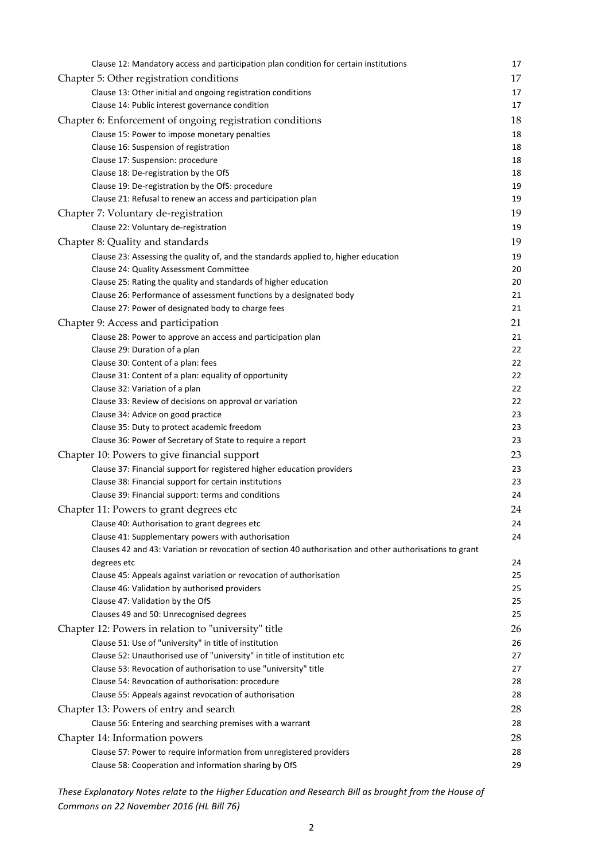| Clause 12: Mandatory access and participation plan condition for certain institutions                       | 17       |
|-------------------------------------------------------------------------------------------------------------|----------|
| Chapter 5: Other registration conditions                                                                    | 17       |
| Clause 13: Other initial and ongoing registration conditions                                                | 17       |
| Clause 14: Public interest governance condition                                                             | 17       |
| Chapter 6: Enforcement of ongoing registration conditions                                                   | 18       |
| Clause 15: Power to impose monetary penalties                                                               | 18       |
| Clause 16: Suspension of registration                                                                       | 18       |
| Clause 17: Suspension: procedure                                                                            | 18       |
| Clause 18: De-registration by the OfS                                                                       | 18       |
| Clause 19: De-registration by the OfS: procedure                                                            | 19       |
| Clause 21: Refusal to renew an access and participation plan                                                | 19       |
| Chapter 7: Voluntary de-registration                                                                        | 19       |
| Clause 22: Voluntary de-registration                                                                        | 19       |
| Chapter 8: Quality and standards                                                                            | 19       |
| Clause 23: Assessing the quality of, and the standards applied to, higher education                         | 19       |
| Clause 24: Quality Assessment Committee                                                                     | 20       |
| Clause 25: Rating the quality and standards of higher education                                             | 20       |
| Clause 26: Performance of assessment functions by a designated body                                         | 21       |
| Clause 27: Power of designated body to charge fees                                                          | 21       |
| Chapter 9: Access and participation                                                                         | 21       |
| Clause 28: Power to approve an access and participation plan                                                | 21       |
| Clause 29: Duration of a plan                                                                               | 22       |
| Clause 30: Content of a plan: fees                                                                          | 22       |
| Clause 31: Content of a plan: equality of opportunity                                                       | 22       |
| Clause 32: Variation of a plan                                                                              | 22       |
| Clause 33: Review of decisions on approval or variation                                                     | 22       |
| Clause 34: Advice on good practice                                                                          | 23       |
| Clause 35: Duty to protect academic freedom                                                                 | 23       |
| Clause 36: Power of Secretary of State to require a report                                                  | 23       |
| Chapter 10: Powers to give financial support                                                                | 23       |
| Clause 37: Financial support for registered higher education providers                                      | 23       |
| Clause 38: Financial support for certain institutions                                                       | 23       |
| Clause 39: Financial support: terms and conditions                                                          | 24       |
| Chapter 11: Powers to grant degrees etc                                                                     | 24       |
| Clause 40: Authorisation to grant degrees etc                                                               | 24       |
| Clause 41: Supplementary powers with authorisation                                                          | 24       |
| Clauses 42 and 43: Variation or revocation of section 40 authorisation and other authorisations to grant    |          |
| degrees etc                                                                                                 | 24       |
| Clause 45: Appeals against variation or revocation of authorisation                                         | 25       |
| Clause 46: Validation by authorised providers                                                               | 25       |
| Clause 47: Validation by the OfS                                                                            | 25       |
| Clauses 49 and 50: Unrecognised degrees                                                                     | 25       |
| Chapter 12: Powers in relation to "university" title                                                        | 26       |
| Clause 51: Use of "university" in title of institution                                                      | 26       |
| Clause 52: Unauthorised use of "university" in title of institution etc                                     | 27       |
| Clause 53: Revocation of authorisation to use "university" title                                            | 27<br>28 |
| Clause 54: Revocation of authorisation: procedure<br>Clause 55: Appeals against revocation of authorisation | 28       |
|                                                                                                             |          |
| Chapter 13: Powers of entry and search                                                                      | 28       |
| Clause 56: Entering and searching premises with a warrant                                                   | 28       |
| Chapter 14: Information powers                                                                              | 28       |
| Clause 57: Power to require information from unregistered providers                                         | 28       |
| Clause 58: Cooperation and information sharing by OfS                                                       | 29       |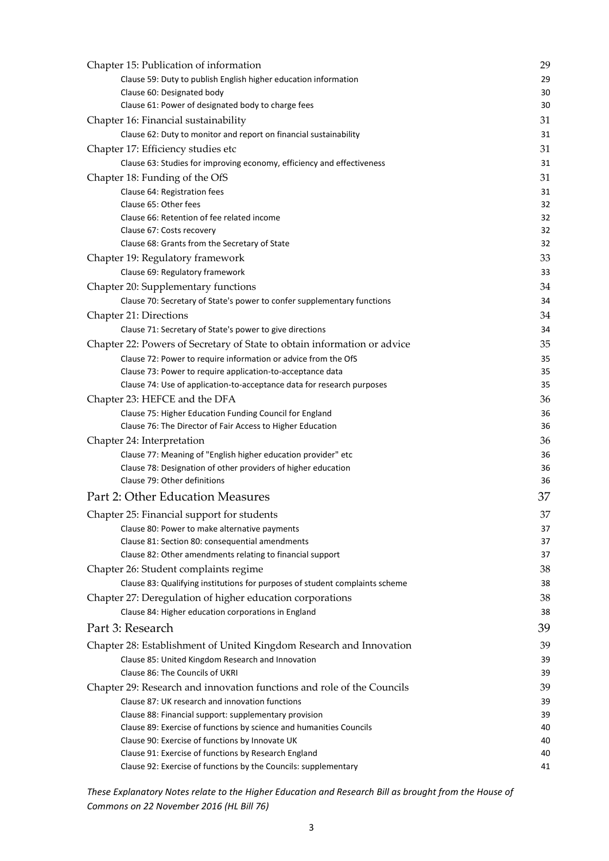| Chapter 15: Publication of information                                       | 29             |
|------------------------------------------------------------------------------|----------------|
| Clause 59: Duty to publish English higher education information              | 29             |
| Clause 60: Designated body                                                   | 30             |
| Clause 61: Power of designated body to charge fees                           | 3 <sub>C</sub> |
| Chapter 16: Financial sustainability                                         | 31             |
| Clause 62: Duty to monitor and report on financial sustainability            | 31             |
| Chapter 17: Efficiency studies etc                                           | 31             |
| Clause 63: Studies for improving economy, efficiency and effectiveness       | 31             |
| Chapter 18: Funding of the OfS                                               | 31             |
| Clause 64: Registration fees                                                 | 31             |
| Clause 65: Other fees                                                        | 32             |
| Clause 66: Retention of fee related income                                   | 32             |
| Clause 67: Costs recovery                                                    | 32             |
| Clause 68: Grants from the Secretary of State                                | 32             |
| Chapter 19: Regulatory framework                                             | 33             |
| Clause 69: Regulatory framework                                              | 33             |
| Chapter 20: Supplementary functions                                          | 34             |
| Clause 70: Secretary of State's power to confer supplementary functions      | 34             |
| Chapter 21: Directions                                                       | 34             |
| Clause 71: Secretary of State's power to give directions                     | 34             |
| Chapter 22: Powers of Secretary of State to obtain information or advice     | 35             |
| Clause 72: Power to require information or advice from the OfS               | 35             |
| Clause 73: Power to require application-to-acceptance data                   | 35             |
| Clause 74: Use of application-to-acceptance data for research purposes       | 35             |
| Chapter 23: HEFCE and the DFA                                                | 36             |
| Clause 75: Higher Education Funding Council for England                      | 36             |
| Clause 76: The Director of Fair Access to Higher Education                   | 36             |
| Chapter 24: Interpretation                                                   | 36             |
| Clause 77: Meaning of "English higher education provider" etc                | 36             |
| Clause 78: Designation of other providers of higher education                | 36             |
| Clause 79: Other definitions                                                 | 36             |
| Part 2: Other Education Measures                                             | 37             |
| Chapter 25: Financial support for students                                   | 37             |
| Clause 80: Power to make alternative payments                                | 37             |
| Clause 81: Section 80: consequential amendments                              | 37             |
| Clause 82: Other amendments relating to financial support                    | 37             |
| Chapter 26: Student complaints regime                                        | 38             |
| Clause 83: Qualifying institutions for purposes of student complaints scheme | 38             |
| Chapter 27: Deregulation of higher education corporations                    | 38             |
| Clause 84: Higher education corporations in England                          | 38             |
| Part 3: Research                                                             | 39             |
| Chapter 28: Establishment of United Kingdom Research and Innovation          | 39             |
| Clause 85: United Kingdom Research and Innovation                            | ЗS             |
| Clause 86: The Councils of UKRI                                              | ЗS             |
| Chapter 29: Research and innovation functions and role of the Councils       | 39             |
| Clause 87: UK research and innovation functions                              | ЗS             |
| Clause 88: Financial support: supplementary provision                        | 39             |
| Clause 89: Exercise of functions by science and humanities Councils          | 40             |
| Clause 90: Exercise of functions by Innovate UK                              | 40             |
| Clause 91: Exercise of functions by Research England                         | 40             |
| Clause 92: Exercise of functions by the Councils: supplementary              | 41             |
|                                                                              |                |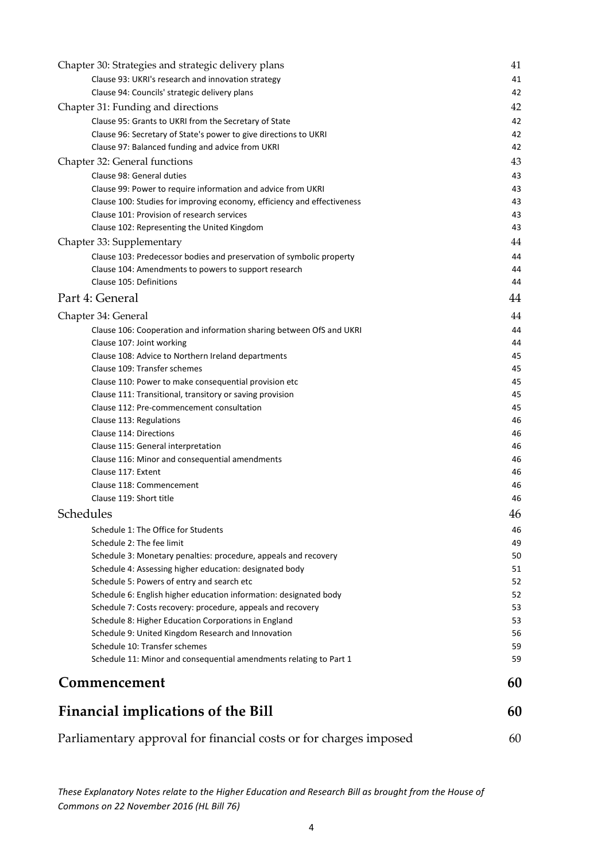| Chapter 30: Strategies and strategic delivery plans                     | 41 |  |  |  |
|-------------------------------------------------------------------------|----|--|--|--|
| Clause 93: UKRI's research and innovation strategy                      | 41 |  |  |  |
| Clause 94: Councils' strategic delivery plans                           | 42 |  |  |  |
| Chapter 31: Funding and directions                                      | 42 |  |  |  |
| Clause 95: Grants to UKRI from the Secretary of State                   | 42 |  |  |  |
| Clause 96: Secretary of State's power to give directions to UKRI        | 42 |  |  |  |
| Clause 97: Balanced funding and advice from UKRI                        | 42 |  |  |  |
| Chapter 32: General functions                                           | 43 |  |  |  |
| Clause 98: General duties                                               | 43 |  |  |  |
| Clause 99: Power to require information and advice from UKRI            | 43 |  |  |  |
| Clause 100: Studies for improving economy, efficiency and effectiveness | 43 |  |  |  |
| Clause 101: Provision of research services                              | 43 |  |  |  |
| Clause 102: Representing the United Kingdom                             | 43 |  |  |  |
| Chapter 33: Supplementary                                               | 44 |  |  |  |
| Clause 103: Predecessor bodies and preservation of symbolic property    | 44 |  |  |  |
| Clause 104: Amendments to powers to support research                    | 44 |  |  |  |
| Clause 105: Definitions                                                 | 44 |  |  |  |
| Part 4: General                                                         | 44 |  |  |  |
| Chapter 34: General                                                     | 44 |  |  |  |
| Clause 106: Cooperation and information sharing between OfS and UKRI    | 44 |  |  |  |
| Clause 107: Joint working                                               | 44 |  |  |  |
| Clause 108: Advice to Northern Ireland departments                      | 45 |  |  |  |
| Clause 109: Transfer schemes                                            | 45 |  |  |  |
| Clause 110: Power to make consequential provision etc                   | 45 |  |  |  |
| Clause 111: Transitional, transitory or saving provision                | 45 |  |  |  |
| Clause 112: Pre-commencement consultation                               | 45 |  |  |  |
| Clause 113: Regulations                                                 | 46 |  |  |  |
| Clause 114: Directions                                                  | 46 |  |  |  |
| Clause 115: General interpretation                                      | 46 |  |  |  |
| Clause 116: Minor and consequential amendments                          | 46 |  |  |  |
| Clause 117: Extent                                                      | 46 |  |  |  |
| Clause 118: Commencement                                                | 46 |  |  |  |
| Clause 119: Short title                                                 | 46 |  |  |  |
| Schedules                                                               | 46 |  |  |  |
| Schedule 1: The Office for Students                                     | 46 |  |  |  |
| Schedule 2: The fee limit                                               | 49 |  |  |  |
| Schedule 3: Monetary penalties: procedure, appeals and recovery         | 50 |  |  |  |
| Schedule 4: Assessing higher education: designated body                 | 51 |  |  |  |
| Schedule 5: Powers of entry and search etc                              | 52 |  |  |  |
| Schedule 6: English higher education information: designated body       | 52 |  |  |  |
| Schedule 7: Costs recovery: procedure, appeals and recovery             | 53 |  |  |  |
| Schedule 8: Higher Education Corporations in England                    | 53 |  |  |  |
| Schedule 9: United Kingdom Research and Innovation                      | 56 |  |  |  |
| Schedule 10: Transfer schemes                                           | 59 |  |  |  |
| Schedule 11: Minor and consequential amendments relating to Part 1      | 59 |  |  |  |
| Commencement                                                            | 60 |  |  |  |
| <b>Financial implications of the Bill</b>                               | 60 |  |  |  |
| Parliamentary approval for financial costs or for charges imposed       |    |  |  |  |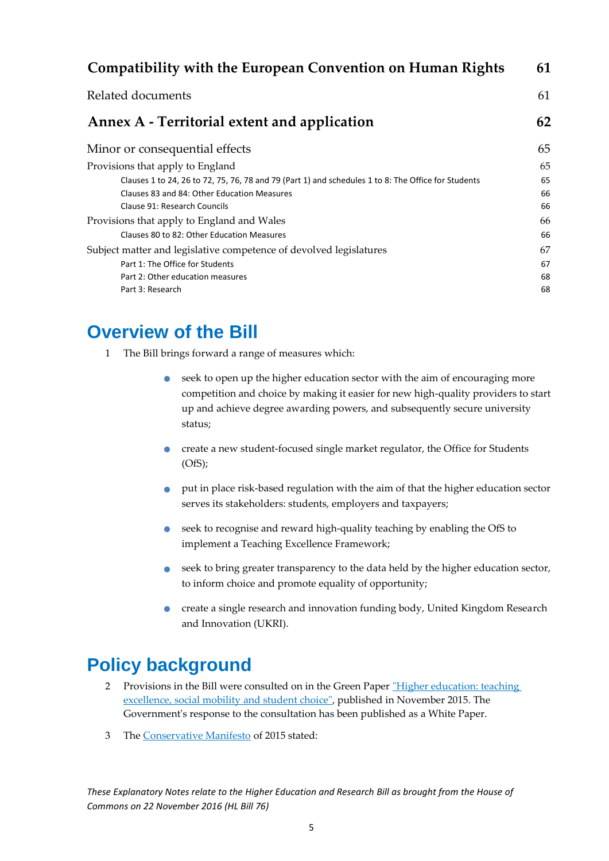| Compatibility with the European Convention on Human Rights                                          | 61 |
|-----------------------------------------------------------------------------------------------------|----|
| Related documents                                                                                   | 61 |
| Annex A - Territorial extent and application                                                        | 62 |
| Minor or consequential effects                                                                      | 65 |
| Provisions that apply to England                                                                    | 65 |
| Clauses 1 to 24, 26 to 72, 75, 76, 78 and 79 (Part 1) and schedules 1 to 8: The Office for Students | 65 |
| Clauses 83 and 84: Other Education Measures                                                         | 66 |
| Clause 91: Research Councils                                                                        | 66 |
| Provisions that apply to England and Wales                                                          | 66 |
| Clauses 80 to 82: Other Education Measures                                                          | 66 |
| Subject matter and legislative competence of devolved legislatures                                  | 67 |
| Part 1: The Office for Students                                                                     | 67 |
| Part 2: Other education measures                                                                    | 68 |
| Part 3: Research                                                                                    | 68 |
|                                                                                                     |    |

# <span id="page-5-0"></span>**Overview of the Bill**

- 1 The Bill brings forward a range of measures which:
	- seek to open up the higher education sector with the aim of encouraging more competition and choice by making it easier for new high-quality providers to start up and achieve degree awarding powers, and subsequently secure university status;
	- create a new student-focused single market regulator, the Office for Students (OfS);
	- put in place risk-based regulation with the aim of that the higher education sector serves its stakeholders: students, employers and taxpayers;
	- seek to recognise and reward high-quality teaching by enabling the OfS to implement a Teaching Excellence Framework;
	- seek to bring greater transparency to the data held by the higher education sector, to inform choice and promote equality of opportunity;
	- create a single research and innovation funding body, United Kingdom Research and Innovation (UKRI).

# <span id="page-5-1"></span>**Policy background**

- 2 Provisions in the Bill were consulted on in the Green Paper "Higher education: teaching [excellence, social mobility](https://www.gov.uk/government/uploads/system/uploads/attachment_data/file/474266/BIS-15-623-fulfilling-our-potential-teaching-excellence-social-mobility-and-student-choice-accessible.pdf) and student choice", published in November 2015. The Government's response to the consultation has been published as a White Paper.
- 3 The [Conservative Manifesto](https://www.conservatives.com/manifesto) of 2015 stated: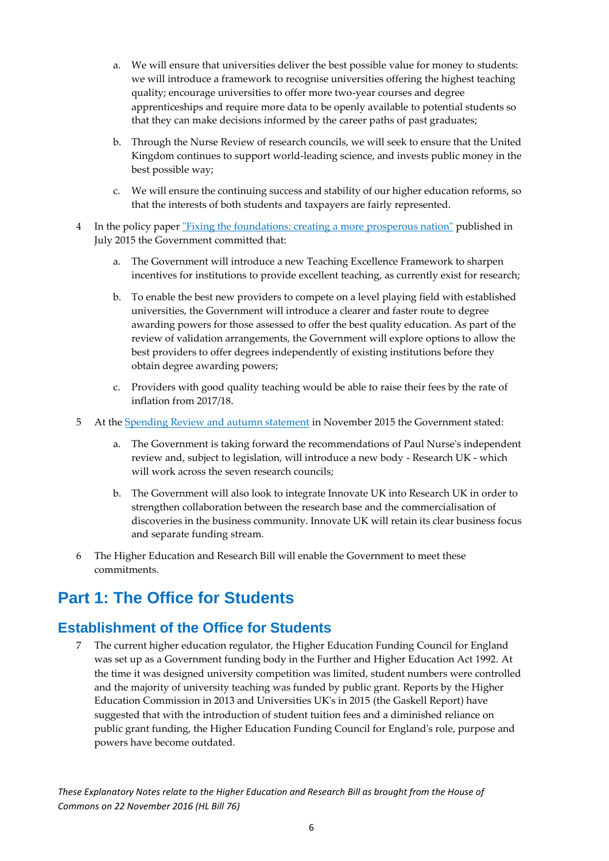- a. We will ensure that universities deliver the best possible value for money to students: we will introduce a framework to recognise universities offering the highest teaching quality; encourage universities to offer more two-year courses and degree apprenticeships and require more data to be openly available to potential students so that they can make decisions informed by the career paths of past graduates;
- b. Through the Nurse Review of research councils, we will seek to ensure that the United Kingdom continues to support world-leading science, and invests public money in the best possible way;
- c. We will ensure the continuing success and stability of our higher education reforms, so that the interests of both students and taxpayers are fairly represented.
- 4 In the policy paper <u>"Fixing the foundations: creating a more prosperous nation"</u> published in July 2015 the Government committed that:
	- a. The Government will introduce a new Teaching Excellence Framework to sharpen incentives for institutions to provide excellent teaching, as currently exist for research;
	- b. To enable the best new providers to compete on a level playing field with established universities, the Government will introduce a clearer and faster route to degree awarding powers for those assessed to offer the best quality education. As part of the review of validation arrangements, the Government will explore options to allow the best providers to offer degrees independently of existing institutions before they obtain degree awarding powers;
	- c. Providers with good quality teaching would be able to raise their fees by the rate of inflation from 2017/18.
- 5 At the [Spending Review and autumn statement](https://www.gov.uk/government/publications/spending-review-and-autumn-statement-2015-documents/spending-review-and-autumn-statement-2015) in November 2015 the Government stated:
	- a. The Government is taking forward the recommendations of Paul Nurse's independent review and, subject to legislation, will introduce a new body - Research UK - which will work across the seven research councils;
	- b. The Government will also look to integrate Innovate UK into Research UK in order to strengthen collaboration between the research base and the commercialisation of discoveries in the business community. Innovate UK will retain its clear business focus and separate funding stream.
- 6 The Higher Education and Research Bill will enable the Government to meet these commitments.

# <span id="page-6-0"></span>**Part 1: The Office for Students**

### <span id="page-6-1"></span>**Establishment of the Office for Students**

7 The current higher education regulator, the Higher Education Funding Council for England was set up as a Government funding body in the Further and Higher Education Act 1992. At the time it was designed university competition was limited, student numbers were controlled and the majority of university teaching was funded by public grant. Reports by the Higher Education Commission in 2013 and Universities UK's in 2015 (the Gaskell Report) have suggested that with the introduction of student tuition fees and a diminished reliance on public grant funding, the Higher Education Funding Council for England's role, purpose and powers have become outdated.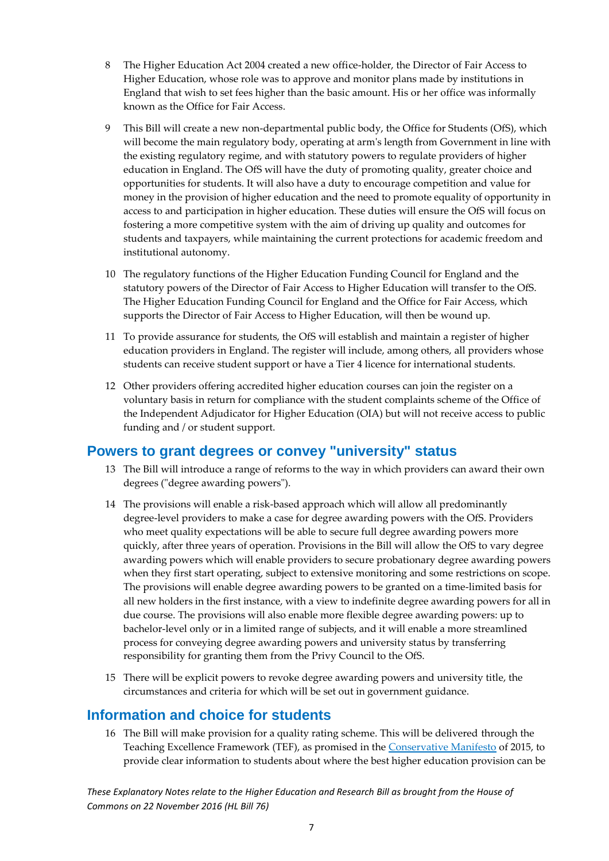- 8 The Higher Education Act 2004 created a new office-holder, the Director of Fair Access to Higher Education, whose role was to approve and monitor plans made by institutions in England that wish to set fees higher than the basic amount. His or her office was informally known as the Office for Fair Access.
- 9 This Bill will create a new non-departmental public body, the Office for Students (OfS), which will become the main regulatory body, operating at arm's length from Government in line with the existing regulatory regime, and with statutory powers to regulate providers of higher education in England. The OfS will have the duty of promoting quality, greater choice and opportunities for students. It will also have a duty to encourage competition and value for money in the provision of higher education and the need to promote equality of opportunity in access to and participation in higher education. These duties will ensure the OfS will focus on fostering a more competitive system with the aim of driving up quality and outcomes for students and taxpayers, while maintaining the current protections for academic freedom and institutional autonomy.
- 10 The regulatory functions of the Higher Education Funding Council for England and the statutory powers of the Director of Fair Access to Higher Education will transfer to the OfS. The Higher Education Funding Council for England and the Office for Fair Access, which supports the Director of Fair Access to Higher Education, will then be wound up.
- 11 To provide assurance for students, the OfS will establish and maintain a register of higher education providers in England. The register will include, among others, all providers whose students can receive student support or have a Tier 4 licence for international students.
- 12 Other providers offering accredited higher education courses can join the register on a voluntary basis in return for compliance with the student complaints scheme of the Office of the Independent Adjudicator for Higher Education (OIA) but will not receive access to public funding and / or student support.

### <span id="page-7-0"></span>**Powers to grant degrees or convey "university" status**

- 13 The Bill will introduce a range of reforms to the way in which providers can award their own degrees ("degree awarding powers").
- 14 The provisions will enable a risk-based approach which will allow all predominantly degree-level providers to make a case for degree awarding powers with the OfS. Providers who meet quality expectations will be able to secure full degree awarding powers more quickly, after three years of operation. Provisions in the Bill will allow the OfS to vary degree awarding powers which will enable providers to secure probationary degree awarding powers when they first start operating, subject to extensive monitoring and some restrictions on scope. The provisions will enable degree awarding powers to be granted on a time-limited basis for all new holders in the first instance, with a view to indefinite degree awarding powers for all in due course. The provisions will also enable more flexible degree awarding powers: up to bachelor-level only or in a limited range of subjects, and it will enable a more streamlined process for conveying degree awarding powers and university status by transferring responsibility for granting them from the Privy Council to the OfS.
- 15 There will be explicit powers to revoke degree awarding powers and university title, the circumstances and criteria for which will be set out in government guidance.

### <span id="page-7-1"></span>**Information and choice for students**

16 The Bill will make provision for a quality rating scheme. This will be delivered through the Teaching Excellence Framework (TEF), as promised in the [Conservative Manifesto](file://///op2pdrv02/users$/jessope/Desktop/Documents/Conservative%20Manifesto) of 2015, to provide clear information to students about where the best higher education provision can be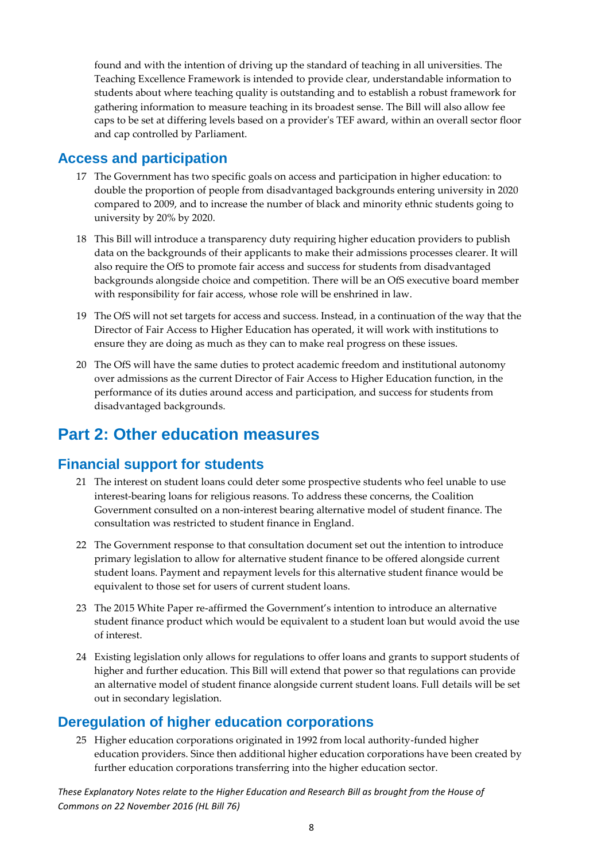found and with the intention of driving up the standard of teaching in all universities. The Teaching Excellence Framework is intended to provide clear, understandable information to students about where teaching quality is outstanding and to establish a robust framework for gathering information to measure teaching in its broadest sense. The Bill will also allow fee caps to be set at differing levels based on a provider's TEF award, within an overall sector floor and cap controlled by Parliament.

### <span id="page-8-0"></span>**Access and participation**

- 17 The Government has two specific goals on access and participation in higher education: to double the proportion of people from disadvantaged backgrounds entering university in 2020 compared to 2009, and to increase the number of black and minority ethnic students going to university by 20% by 2020.
- 18 This Bill will introduce a transparency duty requiring higher education providers to publish data on the backgrounds of their applicants to make their admissions processes clearer. It will also require the OfS to promote fair access and success for students from disadvantaged backgrounds alongside choice and competition. There will be an OfS executive board member with responsibility for fair access, whose role will be enshrined in law.
- 19 The OfS will not set targets for access and success. Instead, in a continuation of the way that the Director of Fair Access to Higher Education has operated, it will work with institutions to ensure they are doing as much as they can to make real progress on these issues.
- 20 The OfS will have the same duties to protect academic freedom and institutional autonomy over admissions as the current Director of Fair Access to Higher Education function, in the performance of its duties around access and participation, and success for students from disadvantaged backgrounds.

# <span id="page-8-1"></span>**Part 2: Other education measures**

### <span id="page-8-2"></span>**Financial support for students**

- 21 The interest on student loans could deter some prospective students who feel unable to use interest-bearing loans for religious reasons. To address these concerns, the Coalition Government consulted on a non-interest bearing alternative model of student finance. The consultation was restricted to student finance in England.
- 22 The Government response to that consultation document set out the intention to introduce primary legislation to allow for alternative student finance to be offered alongside current student loans. Payment and repayment levels for this alternative student finance would be equivalent to those set for users of current student loans.
- 23 The 2015 White Paper re-affirmed the Government's intention to introduce an alternative student finance product which would be equivalent to a student loan but would avoid the use of interest.
- 24 Existing legislation only allows for regulations to offer loans and grants to support students of higher and further education. This Bill will extend that power so that regulations can provide an alternative model of student finance alongside current student loans. Full details will be set out in secondary legislation.

### <span id="page-8-3"></span>**Deregulation of higher education corporations**

25 Higher education corporations originated in 1992 from local authority-funded higher education providers. Since then additional higher education corporations have been created by further education corporations transferring into the higher education sector.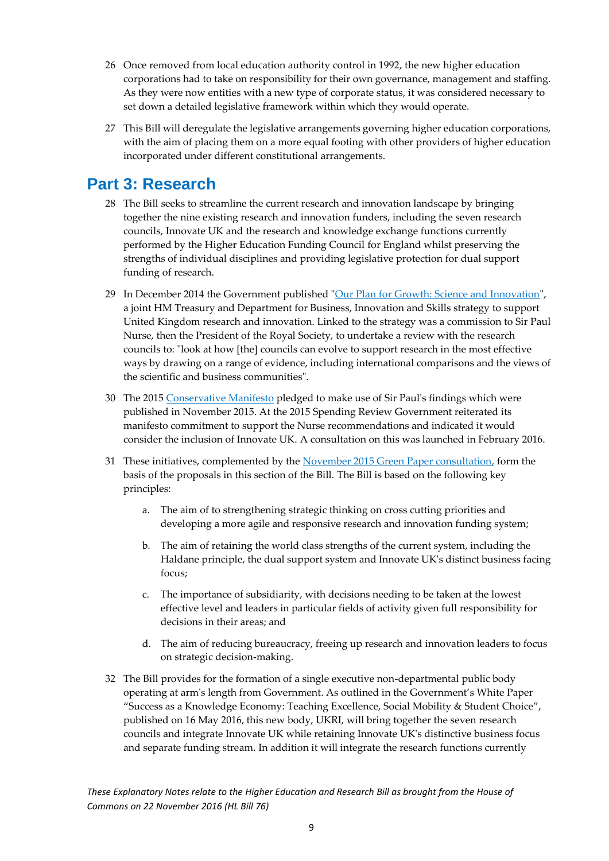- 26 Once removed from local education authority control in 1992, the new higher education corporations had to take on responsibility for their own governance, management and staffing. As they were now entities with a new type of corporate status, it was considered necessary to set down a detailed legislative framework within which they would operate.
- 27 This Bill will deregulate the legislative arrangements governing higher education corporations, with the aim of placing them on a more equal footing with other providers of higher education incorporated under different constitutional arrangements.

# <span id="page-9-0"></span>**Part 3: Research**

- 28 The Bill seeks to streamline the current research and innovation landscape by bringing together the nine existing research and innovation funders, including the seven research councils, Innovate UK and the research and knowledge exchange functions currently performed by the Higher Education Funding Council for England whilst preserving the strengths of individual disciplines and providing legislative protection for dual support funding of research.
- 29 In December 2014 the Government published ["Our Plan for Growth: Science and Innovation"](https://www.gov.uk/government/uploads/system/uploads/attachment_data/file/387780/PU1719_HMT_Science_.pdf), a joint HM Treasury and Department for Business, Innovation and Skills strategy to support United Kingdom research and innovation. Linked to the strategy was a commission to Sir Paul Nurse, then the President of the Royal Society, to undertake a review with the research councils to: "look at how [the] councils can evolve to support research in the most effective ways by drawing on a range of evidence, including international comparisons and the views of the scientific and business communities".
- 30 The 201[5 Conservative Manifesto](https://www.conservatives.com/manifesto) pledged to make use of Sir Paul's findings which were published in November 2015. At the 2015 Spending Review Government reiterated its manifesto commitment to support the Nurse recommendations and indicated it would consider the inclusion of Innovate UK. A consultation on this was launched in February 2016.
- 31 These initiatives, complemented by the [November 2015 Green Paper consultation,](https://www.gov.uk/government/uploads/system/uploads/attachment_data/file/474266/BIS-15-623-fulfilling-our-potential-teaching-excellence-social-mobility-and-student-choice-accessible.pdf) form the basis of the proposals in this section of the Bill. The Bill is based on the following key principles:
	- a. The aim of to strengthening strategic thinking on cross cutting priorities and developing a more agile and responsive research and innovation funding system;
	- b. The aim of retaining the world class strengths of the current system, including the Haldane principle, the dual support system and Innovate UK's distinct business facing focus;
	- c. The importance of subsidiarity, with decisions needing to be taken at the lowest effective level and leaders in particular fields of activity given full responsibility for decisions in their areas; and
	- d. The aim of reducing bureaucracy, freeing up research and innovation leaders to focus on strategic decision-making.
- 32 The Bill provides for the formation of a single executive non-departmental public body operating at arm's length from Government. As outlined in the Government's White Paper "Success as a Knowledge Economy: Teaching Excellence, Social Mobility & Student Choice", published on 16 May 2016, this new body, UKRI, will bring together the seven research councils and integrate Innovate UK while retaining Innovate UK's distinctive business focus and separate funding stream. In addition it will integrate the research functions currently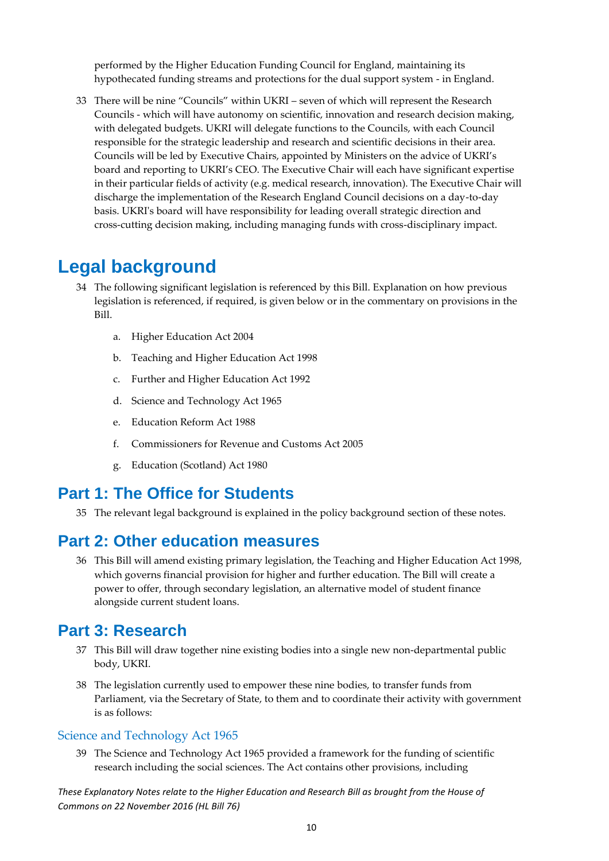performed by the Higher Education Funding Council for England, maintaining its hypothecated funding streams and protections for the dual support system - in England.

33 There will be nine "Councils" within UKRI – seven of which will represent the Research Councils - which will have autonomy on scientific, innovation and research decision making, with delegated budgets. UKRI will delegate functions to the Councils, with each Council responsible for the strategic leadership and research and scientific decisions in their area. Councils will be led by Executive Chairs, appointed by Ministers on the advice of UKRI's board and reporting to UKRI's CEO. The Executive Chair will each have significant expertise in their particular fields of activity (e.g. medical research, innovation). The Executive Chair will discharge the implementation of the Research England Council decisions on a day-to-day basis. UKRI's board will have responsibility for leading overall strategic direction and cross-cutting decision making, including managing funds with cross-disciplinary impact.

## <span id="page-10-0"></span>**Legal background**

- 34 The following significant legislation is referenced by this Bill. Explanation on how previous legislation is referenced, if required, is given below or in the commentary on provisions in the Bill.
	- a. Higher Education Act 2004
	- b. Teaching and Higher Education Act 1998
	- c. Further and Higher Education Act 1992
	- d. Science and Technology Act 1965
	- e. Education Reform Act 1988
	- f. Commissioners for Revenue and Customs Act 2005
	- g. Education (Scotland) Act 1980

### <span id="page-10-1"></span>**Part 1: The Office for Students**

35 The relevant legal background is explained in the policy background section of these notes.

### <span id="page-10-2"></span>**Part 2: Other education measures**

36 This Bill will amend existing primary legislation, the Teaching and Higher Education Act 1998, which governs financial provision for higher and further education. The Bill will create a power to offer, through secondary legislation, an alternative model of student finance alongside current student loans.

### <span id="page-10-3"></span>**Part 3: Research**

- 37 This Bill will draw together nine existing bodies into a single new non-departmental public body, UKRI.
- 38 The legislation currently used to empower these nine bodies, to transfer funds from Parliament, via the Secretary of State, to them and to coordinate their activity with government is as follows:

### <span id="page-10-4"></span>Science and Technology Act 1965

39 The Science and Technology Act 1965 provided a framework for the funding of scientific research including the social sciences. The Act contains other provisions, including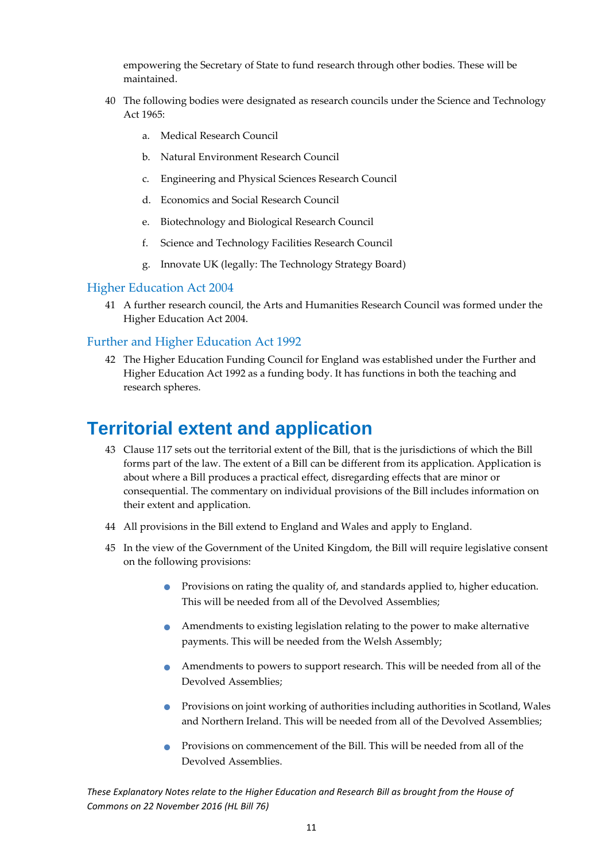empowering the Secretary of State to fund research through other bodies. These will be maintained.

- 40 The following bodies were designated as research councils under the Science and Technology Act 1965:
	- a. Medical Research Council
	- b. Natural Environment Research Council
	- c. Engineering and Physical Sciences Research Council
	- d. Economics and Social Research Council
	- e. Biotechnology and Biological Research Council
	- f. Science and Technology Facilities Research Council
	- g. Innovate UK (legally: The Technology Strategy Board)

### <span id="page-11-0"></span>Higher Education Act 2004

41 A further research council, the Arts and Humanities Research Council was formed under the Higher Education Act 2004.

### <span id="page-11-1"></span>Further and Higher Education Act 1992

42 The Higher Education Funding Council for England was established under the Further and Higher Education Act 1992 as a funding body. It has functions in both the teaching and research spheres.

# <span id="page-11-2"></span>**Territorial extent and application**

- 43 Clause 117 sets out the territorial extent of the Bill, that is the jurisdictions of which the Bill forms part of the law. The extent of a Bill can be different from its application. Application is about where a Bill produces a practical effect, disregarding effects that are minor or consequential. The commentary on individual provisions of the Bill includes information on their extent and application.
- 44 All provisions in the Bill extend to England and Wales and apply to England.
- 45 In the view of the Government of the United Kingdom, the Bill will require legislative consent on the following provisions:
	- **Provisions on rating the quality of, and standards applied to, higher education.** This will be needed from all of the Devolved Assemblies;
	- Amendments to existing legislation relating to the power to make alternative payments. This will be needed from the Welsh Assembly;
	- Amendments to powers to support research. This will be needed from all of the Devolved Assemblies;
	- Provisions on joint working of authorities including authorities in Scotland, Wales and Northern Ireland. This will be needed from all of the Devolved Assemblies;
	- Provisions on commencement of the Bill. This will be needed from all of the Devolved Assemblies.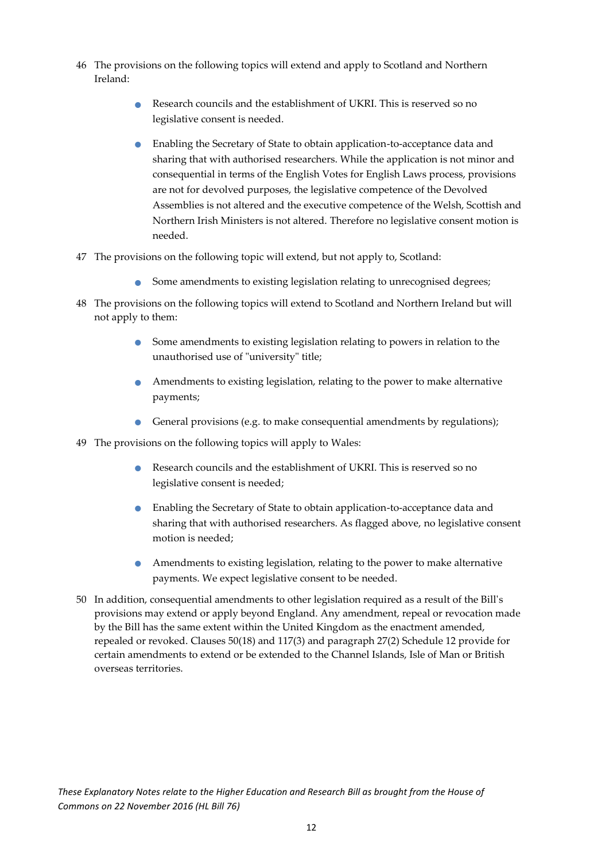- 46 The provisions on the following topics will extend and apply to Scotland and Northern Ireland:
	- Research councils and the establishment of UKRI. This is reserved so no legislative consent is needed.
	- Enabling the Secretary of State to obtain application-to-acceptance data and sharing that with authorised researchers. While the application is not minor and consequential in terms of the English Votes for English Laws process, provisions are not for devolved purposes, the legislative competence of the Devolved Assemblies is not altered and the executive competence of the Welsh, Scottish and Northern Irish Ministers is not altered. Therefore no legislative consent motion is needed.
- 47 The provisions on the following topic will extend, but not apply to, Scotland:
	- Some amendments to existing legislation relating to unrecognised degrees;
- 48 The provisions on the following topics will extend to Scotland and Northern Ireland but will not apply to them:
	- Some amendments to existing legislation relating to powers in relation to the unauthorised use of "university" title;
	- Amendments to existing legislation, relating to the power to make alternative payments;
	- General provisions (e.g. to make consequential amendments by regulations);
- 49 The provisions on the following topics will apply to Wales:
	- Research councils and the establishment of UKRI. This is reserved so no legislative consent is needed;
	- Enabling the Secretary of State to obtain application-to-acceptance data and sharing that with authorised researchers. As flagged above, no legislative consent motion is needed;
	- Amendments to existing legislation, relating to the power to make alternative payments. We expect legislative consent to be needed.
- 50 In addition, consequential amendments to other legislation required as a result of the Bill's provisions may extend or apply beyond England. Any amendment, repeal or revocation made by the Bill has the same extent within the United Kingdom as the enactment amended, repealed or revoked. Clauses 50(18) and 117(3) and paragraph 27(2) Schedule 12 provide for certain amendments to extend or be extended to the Channel Islands, Isle of Man or British overseas territories.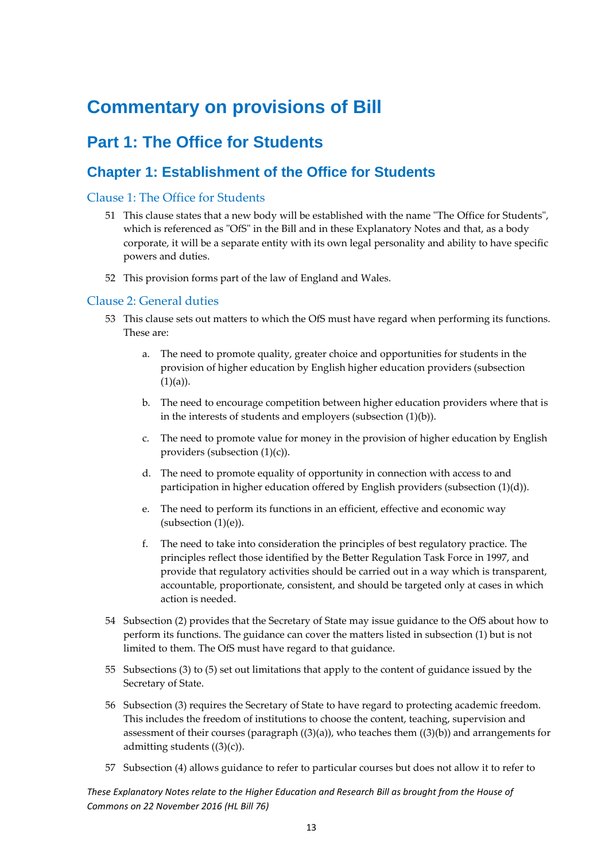# <span id="page-13-0"></span>**Commentary on provisions of Bill**

# <span id="page-13-1"></span>**Part 1: The Office for Students**

### <span id="page-13-2"></span>**Chapter 1: Establishment of the Office for Students**

### <span id="page-13-3"></span>Clause 1: The Office for Students

- 51 This clause states that a new body will be established with the name "The Office for Students", which is referenced as "OfS" in the Bill and in these Explanatory Notes and that, as a body corporate, it will be a separate entity with its own legal personality and ability to have specific powers and duties.
- 52 This provision forms part of the law of England and Wales.

### <span id="page-13-4"></span>Clause 2: General duties

- 53 This clause sets out matters to which the OfS must have regard when performing its functions. These are:
	- a. The need to promote quality, greater choice and opportunities for students in the provision of higher education by English higher education providers (subsection  $(1)(a)$ ).
	- b. The need to encourage competition between higher education providers where that is in the interests of students and employers (subsection (1)(b)).
	- c. The need to promote value for money in the provision of higher education by English providers (subsection (1)(c)).
	- d. The need to promote equality of opportunity in connection with access to and participation in higher education offered by English providers (subsection (1)(d)).
	- e. The need to perform its functions in an efficient, effective and economic way (subsection (1)(e)).
	- f. The need to take into consideration the principles of best regulatory practice. The principles reflect those identified by the Better Regulation Task Force in 1997, and provide that regulatory activities should be carried out in a way which is transparent, accountable, proportionate, consistent, and should be targeted only at cases in which action is needed.
- 54 Subsection (2) provides that the Secretary of State may issue guidance to the OfS about how to perform its functions. The guidance can cover the matters listed in subsection (1) but is not limited to them. The OfS must have regard to that guidance.
- 55 Subsections (3) to (5) set out limitations that apply to the content of guidance issued by the Secretary of State.
- 56 Subsection (3) requires the Secretary of State to have regard to protecting academic freedom. This includes the freedom of institutions to choose the content, teaching, supervision and assessment of their courses (paragraph  $((3)(a))$ , who teaches them  $((3)(b))$  and arrangements for admitting students  $((3)(c))$ .
- 57 Subsection (4) allows guidance to refer to particular courses but does not allow it to refer to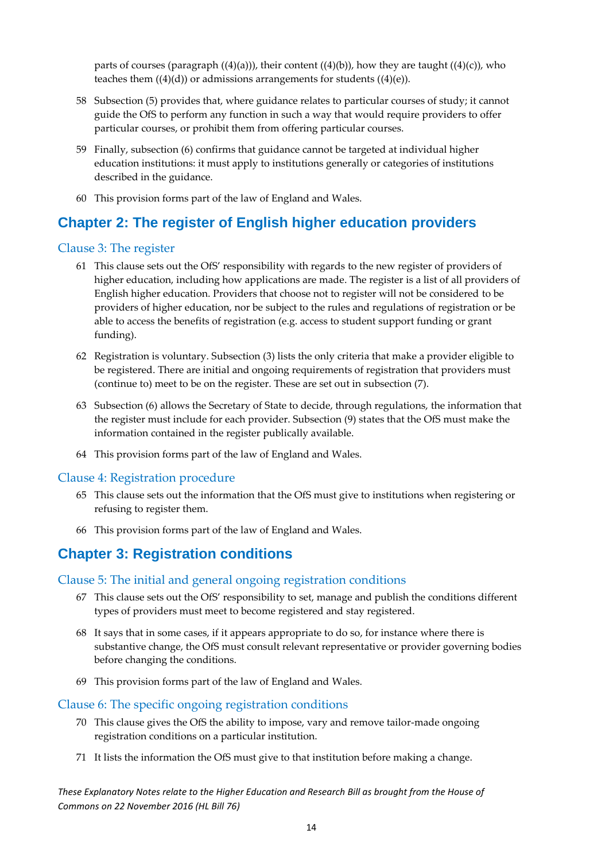parts of courses (paragraph  $((4)(a))$ ), their content  $((4)(b))$ , how they are taught  $((4)(c))$ , who teaches them  $((4)(d))$  or admissions arrangements for students  $((4)(e))$ .

- 58 Subsection (5) provides that, where guidance relates to particular courses of study; it cannot guide the OfS to perform any function in such a way that would require providers to offer particular courses, or prohibit them from offering particular courses.
- 59 Finally, subsection (6) confirms that guidance cannot be targeted at individual higher education institutions: it must apply to institutions generally or categories of institutions described in the guidance.
- 60 This provision forms part of the law of England and Wales.

### <span id="page-14-0"></span>**Chapter 2: The register of English higher education providers**

#### <span id="page-14-1"></span>Clause 3: The register

- 61 This clause sets out the OfS' responsibility with regards to the new register of providers of higher education, including how applications are made. The register is a list of all providers of English higher education. Providers that choose not to register will not be considered to be providers of higher education, nor be subject to the rules and regulations of registration or be able to access the benefits of registration (e.g. access to student support funding or grant funding).
- 62 Registration is voluntary. Subsection (3) lists the only criteria that make a provider eligible to be registered. There are initial and ongoing requirements of registration that providers must (continue to) meet to be on the register. These are set out in subsection (7).
- 63 Subsection (6) allows the Secretary of State to decide, through regulations, the information that the register must include for each provider. Subsection (9) states that the OfS must make the information contained in the register publically available.
- 64 This provision forms part of the law of England and Wales.

### <span id="page-14-2"></span>Clause 4: Registration procedure

- 65 This clause sets out the information that the OfS must give to institutions when registering or refusing to register them.
- 66 This provision forms part of the law of England and Wales.

### <span id="page-14-3"></span>**Chapter 3: Registration conditions**

#### <span id="page-14-4"></span>Clause 5: The initial and general ongoing registration conditions

- 67 This clause sets out the OfS' responsibility to set, manage and publish the conditions different types of providers must meet to become registered and stay registered.
- 68 It says that in some cases, if it appears appropriate to do so, for instance where there is substantive change, the OfS must consult relevant representative or provider governing bodies before changing the conditions.
- 69 This provision forms part of the law of England and Wales.

#### <span id="page-14-5"></span>Clause 6: The specific ongoing registration conditions

- 70 This clause gives the OfS the ability to impose, vary and remove tailor-made ongoing registration conditions on a particular institution.
- 71 It lists the information the OfS must give to that institution before making a change.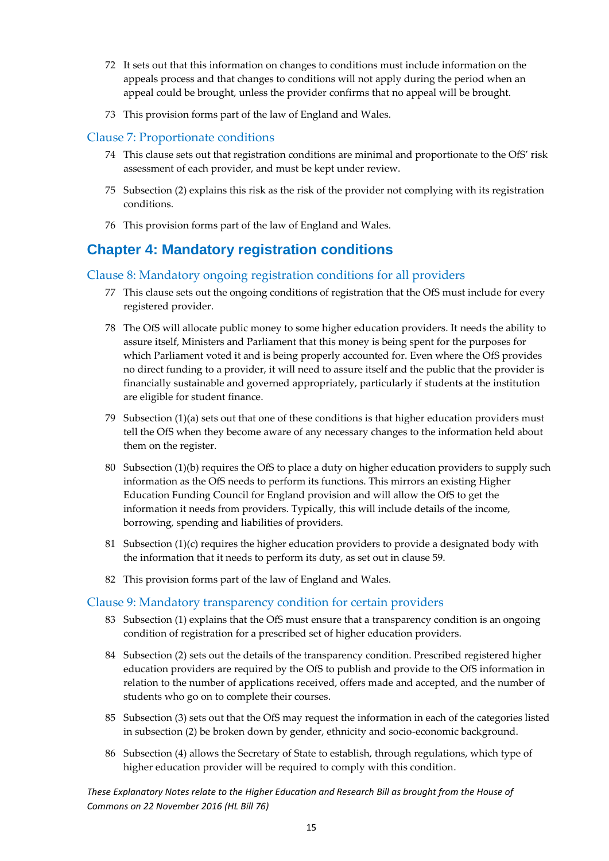- 72 It sets out that this information on changes to conditions must include information on the appeals process and that changes to conditions will not apply during the period when an appeal could be brought, unless the provider confirms that no appeal will be brought.
- 73 This provision forms part of the law of England and Wales.

### <span id="page-15-0"></span>Clause 7: Proportionate conditions

- 74 This clause sets out that registration conditions are minimal and proportionate to the OfS' risk assessment of each provider, and must be kept under review.
- 75 Subsection (2) explains this risk as the risk of the provider not complying with its registration conditions.
- 76 This provision forms part of the law of England and Wales.

### <span id="page-15-1"></span>**Chapter 4: Mandatory registration conditions**

### <span id="page-15-2"></span>Clause 8: Mandatory ongoing registration conditions for all providers

- 77 This clause sets out the ongoing conditions of registration that the OfS must include for every registered provider.
- 78 The OfS will allocate public money to some higher education providers. It needs the ability to assure itself, Ministers and Parliament that this money is being spent for the purposes for which Parliament voted it and is being properly accounted for. Even where the OfS provides no direct funding to a provider, it will need to assure itself and the public that the provider is financially sustainable and governed appropriately, particularly if students at the institution are eligible for student finance.
- 79 Subsection (1)(a) sets out that one of these conditions is that higher education providers must tell the OfS when they become aware of any necessary changes to the information held about them on the register.
- 80 Subsection (1)(b) requires the OfS to place a duty on higher education providers to supply such information as the OfS needs to perform its functions. This mirrors an existing Higher Education Funding Council for England provision and will allow the OfS to get the information it needs from providers. Typically, this will include details of the income, borrowing, spending and liabilities of providers.
- 81 Subsection (1)(c) requires the higher education providers to provide a designated body with the information that it needs to perform its duty, as set out in clause 59.
- 82 This provision forms part of the law of England and Wales.

### <span id="page-15-3"></span>Clause 9: Mandatory transparency condition for certain providers

- 83 Subsection (1) explains that the OfS must ensure that a transparency condition is an ongoing condition of registration for a prescribed set of higher education providers.
- 84 Subsection (2) sets out the details of the transparency condition. Prescribed registered higher education providers are required by the OfS to publish and provide to the OfS information in relation to the number of applications received, offers made and accepted, and the number of students who go on to complete their courses.
- 85 Subsection (3) sets out that the OfS may request the information in each of the categories listed in subsection (2) be broken down by gender, ethnicity and socio-economic background.
- 86 Subsection (4) allows the Secretary of State to establish, through regulations, which type of higher education provider will be required to comply with this condition.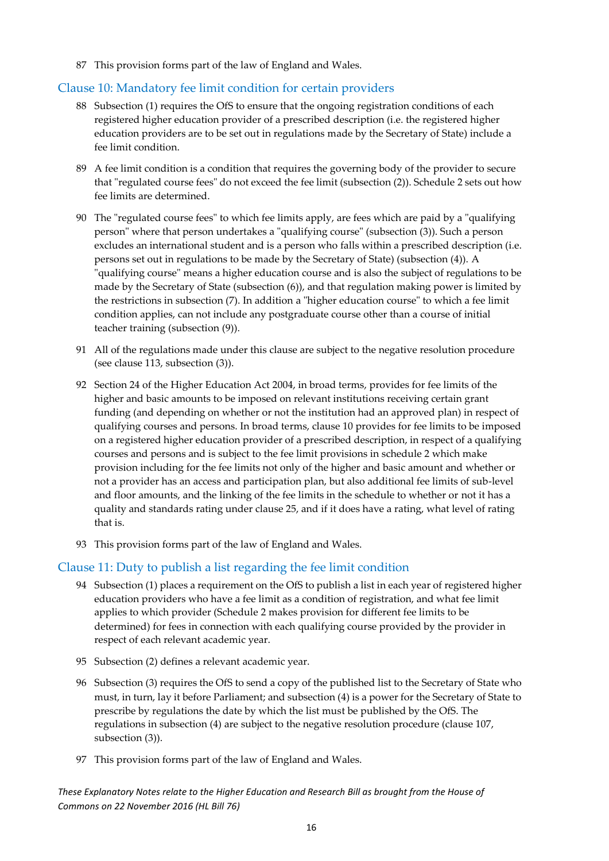87 This provision forms part of the law of England and Wales.

### <span id="page-16-0"></span>Clause 10: Mandatory fee limit condition for certain providers

- 88 Subsection (1) requires the OfS to ensure that the ongoing registration conditions of each registered higher education provider of a prescribed description (i.e. the registered higher education providers are to be set out in regulations made by the Secretary of State) include a fee limit condition.
- 89 A fee limit condition is a condition that requires the governing body of the provider to secure that "regulated course fees" do not exceed the fee limit (subsection (2)). Schedule 2 sets out how fee limits are determined.
- 90 The "regulated course fees" to which fee limits apply, are fees which are paid by a "qualifying person" where that person undertakes a "qualifying course" (subsection (3)). Such a person excludes an international student and is a person who falls within a prescribed description (i.e. persons set out in regulations to be made by the Secretary of State) (subsection (4)). A "qualifying course" means a higher education course and is also the subject of regulations to be made by the Secretary of State (subsection (6)), and that regulation making power is limited by the restrictions in subsection (7). In addition a "higher education course" to which a fee limit condition applies, can not include any postgraduate course other than a course of initial teacher training (subsection (9)).
- 91 All of the regulations made under this clause are subject to the negative resolution procedure (see clause 113, subsection (3)).
- 92 Section 24 of the Higher Education Act 2004, in broad terms, provides for fee limits of the higher and basic amounts to be imposed on relevant institutions receiving certain grant funding (and depending on whether or not the institution had an approved plan) in respect of qualifying courses and persons. In broad terms, clause 10 provides for fee limits to be imposed on a registered higher education provider of a prescribed description, in respect of a qualifying courses and persons and is subject to the fee limit provisions in schedule 2 which make provision including for the fee limits not only of the higher and basic amount and whether or not a provider has an access and participation plan, but also additional fee limits of sub-level and floor amounts, and the linking of the fee limits in the schedule to whether or not it has a quality and standards rating under clause 25, and if it does have a rating, what level of rating that is.
- 93 This provision forms part of the law of England and Wales.

### <span id="page-16-1"></span>Clause 11: Duty to publish a list regarding the fee limit condition

- 94 Subsection (1) places a requirement on the OfS to publish a list in each year of registered higher education providers who have a fee limit as a condition of registration, and what fee limit applies to which provider (Schedule 2 makes provision for different fee limits to be determined) for fees in connection with each qualifying course provided by the provider in respect of each relevant academic year.
- 95 Subsection (2) defines a relevant academic year.
- 96 Subsection (3) requires the OfS to send a copy of the published list to the Secretary of State who must, in turn, lay it before Parliament; and subsection (4) is a power for the Secretary of State to prescribe by regulations the date by which the list must be published by the OfS. The regulations in subsection (4) are subject to the negative resolution procedure (clause 107, subsection (3)).
- 97 This provision forms part of the law of England and Wales.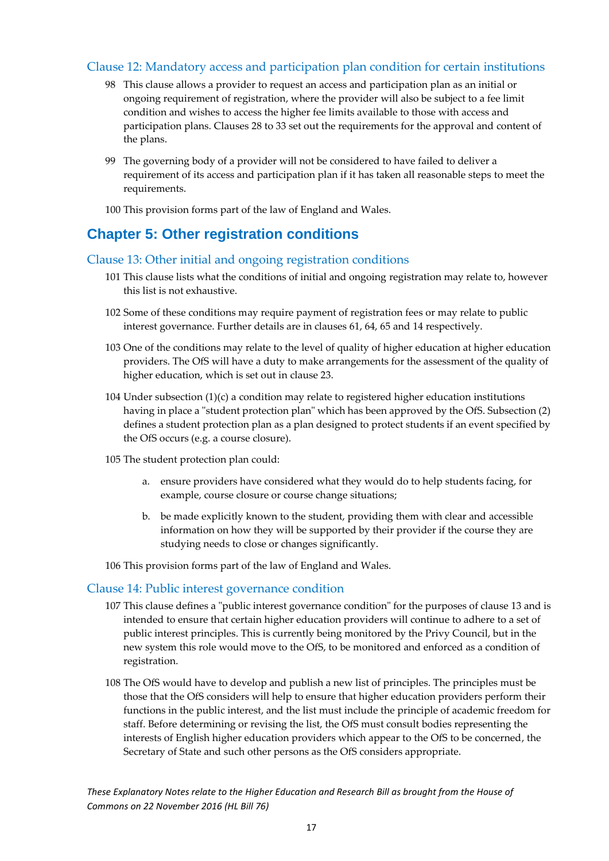### <span id="page-17-0"></span>Clause 12: Mandatory access and participation plan condition for certain institutions

- 98 This clause allows a provider to request an access and participation plan as an initial or ongoing requirement of registration, where the provider will also be subject to a fee limit condition and wishes to access the higher fee limits available to those with access and participation plans. Clauses 28 to 33 set out the requirements for the approval and content of the plans.
- 99 The governing body of a provider will not be considered to have failed to deliver a requirement of its access and participation plan if it has taken all reasonable steps to meet the requirements.
- 100 This provision forms part of the law of England and Wales.

### <span id="page-17-1"></span>**Chapter 5: Other registration conditions**

### <span id="page-17-2"></span>Clause 13: Other initial and ongoing registration conditions

- 101 This clause lists what the conditions of initial and ongoing registration may relate to, however this list is not exhaustive.
- 102 Some of these conditions may require payment of registration fees or may relate to public interest governance. Further details are in clauses 61, 64, 65 and 14 respectively.
- 103 One of the conditions may relate to the level of quality of higher education at higher education providers. The OfS will have a duty to make arrangements for the assessment of the quality of higher education, which is set out in clause 23.
- 104 Under subsection (1)(c) a condition may relate to registered higher education institutions having in place a "student protection plan" which has been approved by the OfS. Subsection (2) defines a student protection plan as a plan designed to protect students if an event specified by the OfS occurs (e.g. a course closure).
- 105 The student protection plan could:
	- a. ensure providers have considered what they would do to help students facing, for example, course closure or course change situations;
	- b. be made explicitly known to the student, providing them with clear and accessible information on how they will be supported by their provider if the course they are studying needs to close or changes significantly.
- 106 This provision forms part of the law of England and Wales.

### <span id="page-17-3"></span>Clause 14: Public interest governance condition

- 107 This clause defines a "public interest governance condition" for the purposes of clause 13 and is intended to ensure that certain higher education providers will continue to adhere to a set of public interest principles. This is currently being monitored by the Privy Council, but in the new system this role would move to the OfS, to be monitored and enforced as a condition of registration.
- 108 The OfS would have to develop and publish a new list of principles. The principles must be those that the OfS considers will help to ensure that higher education providers perform their functions in the public interest, and the list must include the principle of academic freedom for staff. Before determining or revising the list, the OfS must consult bodies representing the interests of English higher education providers which appear to the OfS to be concerned, the Secretary of State and such other persons as the OfS considers appropriate.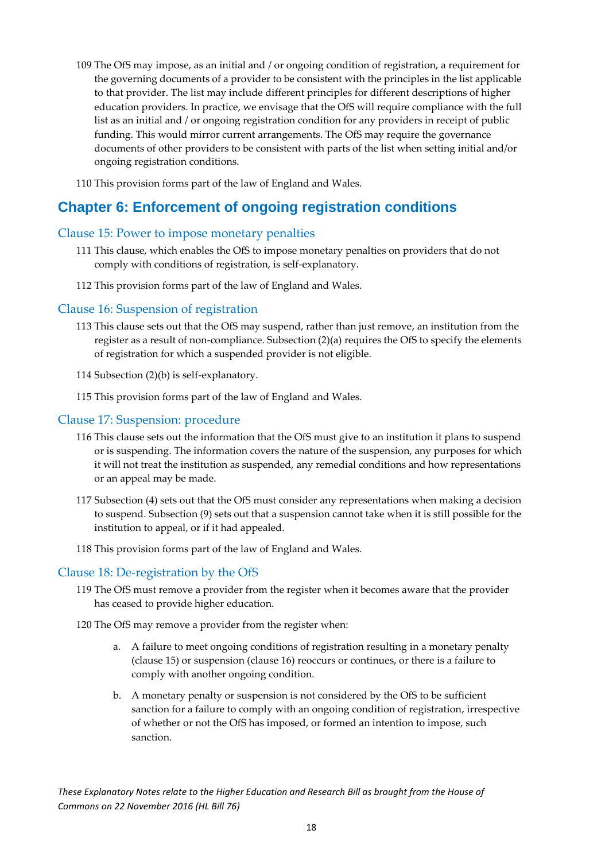- 109 The OfS may impose, as an initial and / or ongoing condition of registration, a requirement for the governing documents of a provider to be consistent with the principles in the list applicable to that provider. The list may include different principles for different descriptions of higher education providers. In practice, we envisage that the OfS will require compliance with the full list as an initial and / or ongoing registration condition for any providers in receipt of public funding. This would mirror current arrangements. The OfS may require the governance documents of other providers to be consistent with parts of the list when setting initial and/or ongoing registration conditions.
- 110 This provision forms part of the law of England and Wales.

### <span id="page-18-0"></span>**Chapter 6: Enforcement of ongoing registration conditions**

### <span id="page-18-1"></span>Clause 15: Power to impose monetary penalties

- 111 This clause, which enables the OfS to impose monetary penalties on providers that do not comply with conditions of registration, is self-explanatory.
- 112 This provision forms part of the law of England and Wales.

#### <span id="page-18-2"></span>Clause 16: Suspension of registration

- 113 This clause sets out that the OfS may suspend, rather than just remove, an institution from the register as a result of non-compliance. Subsection (2)(a) requires the OfS to specify the elements of registration for which a suspended provider is not eligible.
- 114 Subsection (2)(b) is self-explanatory.
- 115 This provision forms part of the law of England and Wales.

#### <span id="page-18-3"></span>Clause 17: Suspension: procedure

- 116 This clause sets out the information that the OfS must give to an institution it plans to suspend or is suspending. The information covers the nature of the suspension, any purposes for which it will not treat the institution as suspended, any remedial conditions and how representations or an appeal may be made.
- 117 Subsection (4) sets out that the OfS must consider any representations when making a decision to suspend. Subsection (9) sets out that a suspension cannot take when it is still possible for the institution to appeal, or if it had appealed.
- 118 This provision forms part of the law of England and Wales.

#### <span id="page-18-4"></span>Clause 18: De-registration by the OfS

119 The OfS must remove a provider from the register when it becomes aware that the provider has ceased to provide higher education.

120 The OfS may remove a provider from the register when:

- a. A failure to meet ongoing conditions of registration resulting in a monetary penalty (clause 15) or suspension (clause 16) reoccurs or continues, or there is a failure to comply with another ongoing condition.
- b. A monetary penalty or suspension is not considered by the OfS to be sufficient sanction for a failure to comply with an ongoing condition of registration, irrespective of whether or not the OfS has imposed, or formed an intention to impose, such sanction.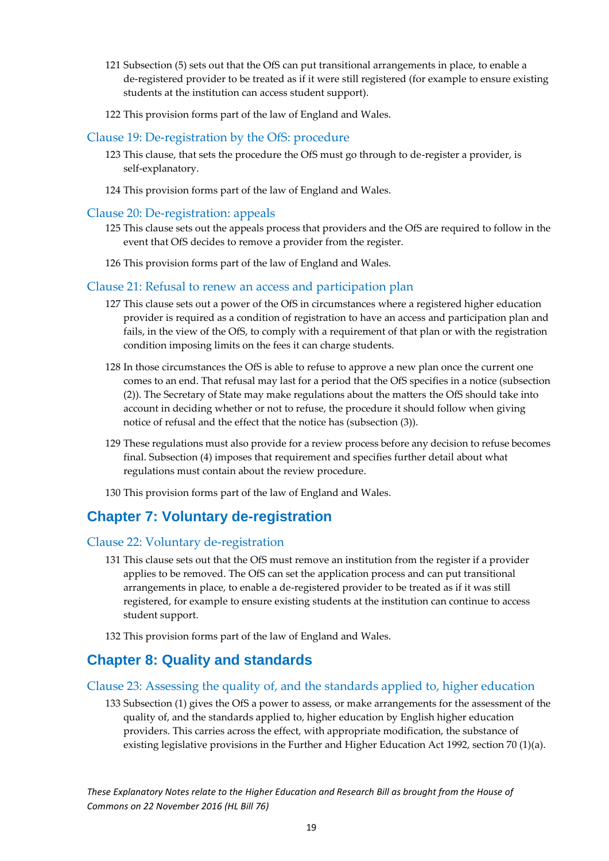- 121 Subsection (5) sets out that the OfS can put transitional arrangements in place, to enable a de-registered provider to be treated as if it were still registered (for example to ensure existing students at the institution can access student support).
- 122 This provision forms part of the law of England and Wales.

### <span id="page-19-0"></span>Clause 19: De-registration by the OfS: procedure

- 123 This clause, that sets the procedure the OfS must go through to de-register a provider, is self-explanatory.
- 124 This provision forms part of the law of England and Wales.

### Clause 20: De-registration: appeals

- 125 This clause sets out the appeals process that providers and the OfS are required to follow in the event that OfS decides to remove a provider from the register.
- 126 This provision forms part of the law of England and Wales.

### <span id="page-19-1"></span>Clause 21: Refusal to renew an access and participation plan

- 127 This clause sets out a power of the OfS in circumstances where a registered higher education provider is required as a condition of registration to have an access and participation plan and fails, in the view of the OfS, to comply with a requirement of that plan or with the registration condition imposing limits on the fees it can charge students.
- 128 In those circumstances the OfS is able to refuse to approve a new plan once the current one comes to an end. That refusal may last for a period that the OfS specifies in a notice (subsection (2)). The Secretary of State may make regulations about the matters the OfS should take into account in deciding whether or not to refuse, the procedure it should follow when giving notice of refusal and the effect that the notice has (subsection (3)).
- 129 These regulations must also provide for a review process before any decision to refuse becomes final. Subsection (4) imposes that requirement and specifies further detail about what regulations must contain about the review procedure.
- 130 This provision forms part of the law of England and Wales.

### <span id="page-19-2"></span>**Chapter 7: Voluntary de-registration**

### <span id="page-19-3"></span>Clause 22: Voluntary de-registration

- 131 This clause sets out that the OfS must remove an institution from the register if a provider applies to be removed. The OfS can set the application process and can put transitional arrangements in place, to enable a de-registered provider to be treated as if it was still registered, for example to ensure existing students at the institution can continue to access student support.
- 132 This provision forms part of the law of England and Wales.

### <span id="page-19-4"></span>**Chapter 8: Quality and standards**

### <span id="page-19-5"></span>Clause 23: Assessing the quality of, and the standards applied to, higher education

133 Subsection (1) gives the OfS a power to assess, or make arrangements for the assessment of the quality of, and the standards applied to, higher education by English higher education providers. This carries across the effect, with appropriate modification, the substance of existing legislative provisions in the Further and Higher Education Act 1992, section 70 (1)(a).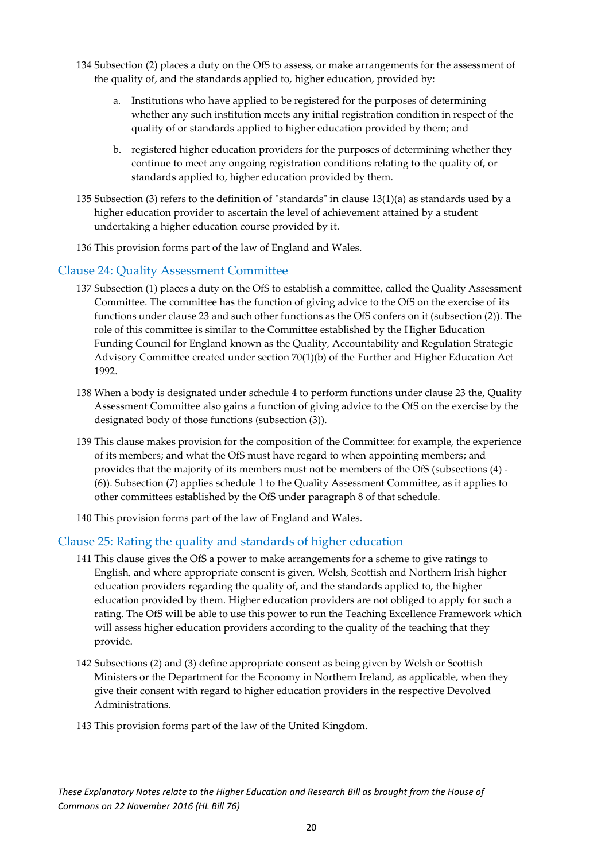- 134 Subsection (2) places a duty on the OfS to assess, or make arrangements for the assessment of the quality of, and the standards applied to, higher education, provided by:
	- a. Institutions who have applied to be registered for the purposes of determining whether any such institution meets any initial registration condition in respect of the quality of or standards applied to higher education provided by them; and
	- b. registered higher education providers for the purposes of determining whether they continue to meet any ongoing registration conditions relating to the quality of, or standards applied to, higher education provided by them.
- 135 Subsection (3) refers to the definition of "standards" in clause 13(1)(a) as standards used by a higher education provider to ascertain the level of achievement attained by a student undertaking a higher education course provided by it.
- 136 This provision forms part of the law of England and Wales.

### <span id="page-20-0"></span>Clause 24: Quality Assessment Committee

- 137 Subsection (1) places a duty on the OfS to establish a committee, called the Quality Assessment Committee. The committee has the function of giving advice to the OfS on the exercise of its functions under clause 23 and such other functions as the OfS confers on it (subsection (2)). The role of this committee is similar to the Committee established by the Higher Education Funding Council for England known as the Quality, Accountability and Regulation Strategic Advisory Committee created under section 70(1)(b) of the Further and Higher Education Act 1992.
- 138 When a body is designated under schedule 4 to perform functions under clause 23 the, Quality Assessment Committee also gains a function of giving advice to the OfS on the exercise by the designated body of those functions (subsection (3)).
- 139 This clause makes provision for the composition of the Committee: for example, the experience of its members; and what the OfS must have regard to when appointing members; and provides that the majority of its members must not be members of the OfS (subsections (4) - (6)). Subsection (7) applies schedule 1 to the Quality Assessment Committee, as it applies to other committees established by the OfS under paragraph 8 of that schedule.
- 140 This provision forms part of the law of England and Wales.

### <span id="page-20-1"></span>Clause 25: Rating the quality and standards of higher education

- 141 This clause gives the OfS a power to make arrangements for a scheme to give ratings to English, and where appropriate consent is given, Welsh, Scottish and Northern Irish higher education providers regarding the quality of, and the standards applied to, the higher education provided by them. Higher education providers are not obliged to apply for such a rating. The OfS will be able to use this power to run the Teaching Excellence Framework which will assess higher education providers according to the quality of the teaching that they provide.
- 142 Subsections (2) and (3) define appropriate consent as being given by Welsh or Scottish Ministers or the Department for the Economy in Northern Ireland, as applicable, when they give their consent with regard to higher education providers in the respective Devolved Administrations.
- 143 This provision forms part of the law of the United Kingdom.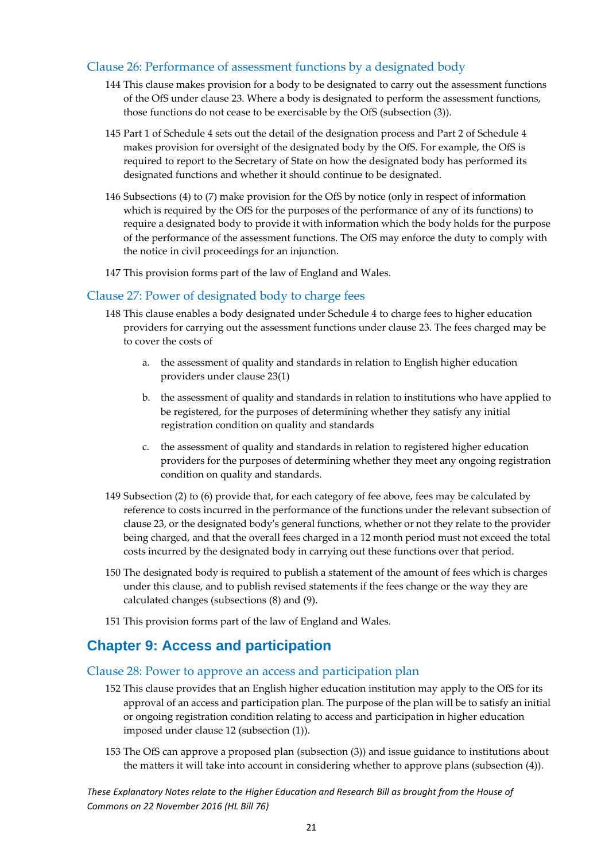### <span id="page-21-0"></span>Clause 26: Performance of assessment functions by a designated body

- 144 This clause makes provision for a body to be designated to carry out the assessment functions of the OfS under clause 23. Where a body is designated to perform the assessment functions, those functions do not cease to be exercisable by the OfS (subsection (3)).
- 145 Part 1 of Schedule 4 sets out the detail of the designation process and Part 2 of Schedule 4 makes provision for oversight of the designated body by the OfS. For example, the OfS is required to report to the Secretary of State on how the designated body has performed its designated functions and whether it should continue to be designated.
- 146 Subsections (4) to (7) make provision for the OfS by notice (only in respect of information which is required by the OfS for the purposes of the performance of any of its functions) to require a designated body to provide it with information which the body holds for the purpose of the performance of the assessment functions. The OfS may enforce the duty to comply with the notice in civil proceedings for an injunction.
- 147 This provision forms part of the law of England and Wales.

### <span id="page-21-1"></span>Clause 27: Power of designated body to charge fees

- 148 This clause enables a body designated under Schedule 4 to charge fees to higher education providers for carrying out the assessment functions under clause 23. The fees charged may be to cover the costs of
	- a. the assessment of quality and standards in relation to English higher education providers under clause 23(1)
	- b. the assessment of quality and standards in relation to institutions who have applied to be registered, for the purposes of determining whether they satisfy any initial registration condition on quality and standards
	- c. the assessment of quality and standards in relation to registered higher education providers for the purposes of determining whether they meet any ongoing registration condition on quality and standards.
- 149 Subsection (2) to (6) provide that, for each category of fee above, fees may be calculated by reference to costs incurred in the performance of the functions under the relevant subsection of clause 23, or the designated body's general functions, whether or not they relate to the provider being charged, and that the overall fees charged in a 12 month period must not exceed the total costs incurred by the designated body in carrying out these functions over that period.
- 150 The designated body is required to publish a statement of the amount of fees which is charges under this clause, and to publish revised statements if the fees change or the way they are calculated changes (subsections (8) and (9).
- 151 This provision forms part of the law of England and Wales.

### <span id="page-21-2"></span>**Chapter 9: Access and participation**

### <span id="page-21-3"></span>Clause 28: Power to approve an access and participation plan

- 152 This clause provides that an English higher education institution may apply to the OfS for its approval of an access and participation plan. The purpose of the plan will be to satisfy an initial or ongoing registration condition relating to access and participation in higher education imposed under clause 12 (subsection (1)).
- 153 The OfS can approve a proposed plan (subsection (3)) and issue guidance to institutions about the matters it will take into account in considering whether to approve plans (subsection (4)).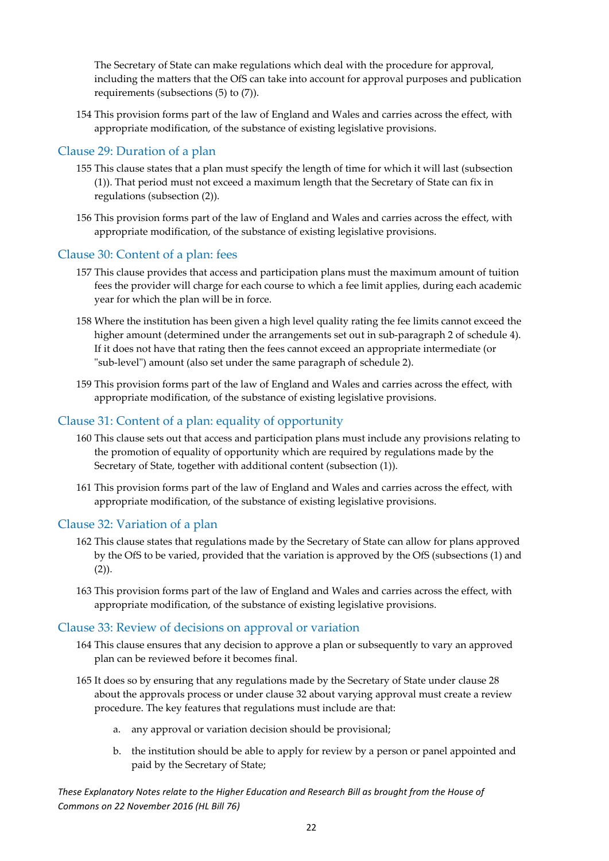The Secretary of State can make regulations which deal with the procedure for approval, including the matters that the OfS can take into account for approval purposes and publication requirements (subsections (5) to (7)).

154 This provision forms part of the law of England and Wales and carries across the effect, with appropriate modification, of the substance of existing legislative provisions.

### <span id="page-22-0"></span>Clause 29: Duration of a plan

- 155 This clause states that a plan must specify the length of time for which it will last (subsection (1)). That period must not exceed a maximum length that the Secretary of State can fix in regulations (subsection (2)).
- 156 This provision forms part of the law of England and Wales and carries across the effect, with appropriate modification, of the substance of existing legislative provisions.

### <span id="page-22-1"></span>Clause 30: Content of a plan: fees

- 157 This clause provides that access and participation plans must the maximum amount of tuition fees the provider will charge for each course to which a fee limit applies, during each academic year for which the plan will be in force.
- 158 Where the institution has been given a high level quality rating the fee limits cannot exceed the higher amount (determined under the arrangements set out in sub-paragraph 2 of schedule 4). If it does not have that rating then the fees cannot exceed an appropriate intermediate (or "sub-level") amount (also set under the same paragraph of schedule 2).
- 159 This provision forms part of the law of England and Wales and carries across the effect, with appropriate modification, of the substance of existing legislative provisions.

### <span id="page-22-2"></span>Clause 31: Content of a plan: equality of opportunity

- 160 This clause sets out that access and participation plans must include any provisions relating to the promotion of equality of opportunity which are required by regulations made by the Secretary of State, together with additional content (subsection (1)).
- 161 This provision forms part of the law of England and Wales and carries across the effect, with appropriate modification, of the substance of existing legislative provisions.

### <span id="page-22-3"></span>Clause 32: Variation of a plan

- 162 This clause states that regulations made by the Secretary of State can allow for plans approved by the OfS to be varied, provided that the variation is approved by the OfS (subsections (1) and  $(2)$ ).
- 163 This provision forms part of the law of England and Wales and carries across the effect, with appropriate modification, of the substance of existing legislative provisions.

### <span id="page-22-4"></span>Clause 33: Review of decisions on approval or variation

- 164 This clause ensures that any decision to approve a plan or subsequently to vary an approved plan can be reviewed before it becomes final.
- 165 It does so by ensuring that any regulations made by the Secretary of State under clause 28 about the approvals process or under clause 32 about varying approval must create a review procedure. The key features that regulations must include are that:
	- a. any approval or variation decision should be provisional;
	- b. the institution should be able to apply for review by a person or panel appointed and paid by the Secretary of State;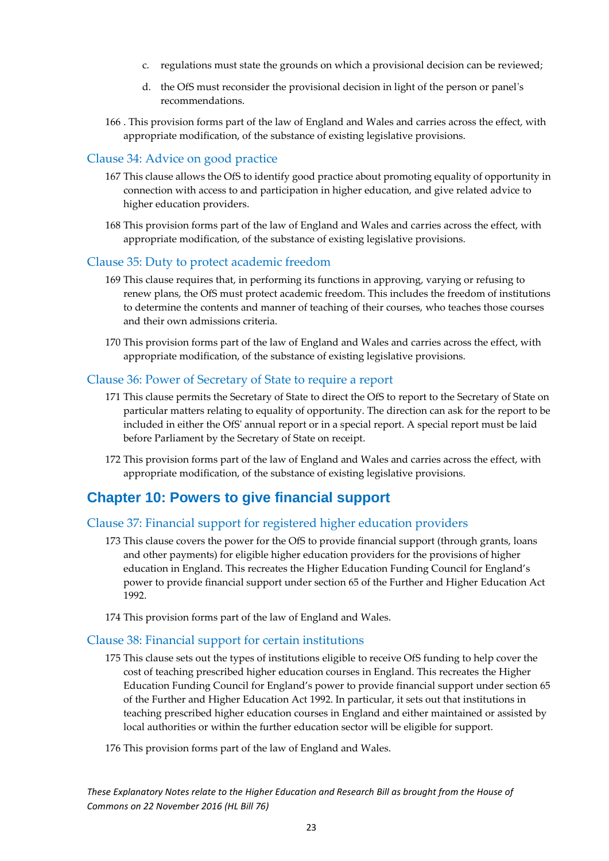- c. regulations must state the grounds on which a provisional decision can be reviewed;
- d. the OfS must reconsider the provisional decision in light of the person or panel's recommendations.
- 166 . This provision forms part of the law of England and Wales and carries across the effect, with appropriate modification, of the substance of existing legislative provisions.

### <span id="page-23-0"></span>Clause 34: Advice on good practice

- 167 This clause allows the OfS to identify good practice about promoting equality of opportunity in connection with access to and participation in higher education, and give related advice to higher education providers.
- 168 This provision forms part of the law of England and Wales and carries across the effect, with appropriate modification, of the substance of existing legislative provisions.

### <span id="page-23-1"></span>Clause 35: Duty to protect academic freedom

- 169 This clause requires that, in performing its functions in approving, varying or refusing to renew plans, the OfS must protect academic freedom. This includes the freedom of institutions to determine the contents and manner of teaching of their courses, who teaches those courses and their own admissions criteria.
- 170 This provision forms part of the law of England and Wales and carries across the effect, with appropriate modification, of the substance of existing legislative provisions.

### <span id="page-23-2"></span>Clause 36: Power of Secretary of State to require a report

- 171 This clause permits the Secretary of State to direct the OfS to report to the Secretary of State on particular matters relating to equality of opportunity. The direction can ask for the report to be included in either the OfS' annual report or in a special report. A special report must be laid before Parliament by the Secretary of State on receipt.
- 172 This provision forms part of the law of England and Wales and carries across the effect, with appropriate modification, of the substance of existing legislative provisions.

### <span id="page-23-3"></span>**Chapter 10: Powers to give financial support**

### <span id="page-23-4"></span>Clause 37: Financial support for registered higher education providers

- 173 This clause covers the power for the OfS to provide financial support (through grants, loans and other payments) for eligible higher education providers for the provisions of higher education in England. This recreates the Higher Education Funding Council for England's power to provide financial support under section 65 of the Further and Higher Education Act 1992.
- 174 This provision forms part of the law of England and Wales.

#### <span id="page-23-5"></span>Clause 38: Financial support for certain institutions

- 175 This clause sets out the types of institutions eligible to receive OfS funding to help cover the cost of teaching prescribed higher education courses in England. This recreates the Higher Education Funding Council for England's power to provide financial support under section 65 of the Further and Higher Education Act 1992. In particular, it sets out that institutions in teaching prescribed higher education courses in England and either maintained or assisted by local authorities or within the further education sector will be eligible for support.
- 176 This provision forms part of the law of England and Wales.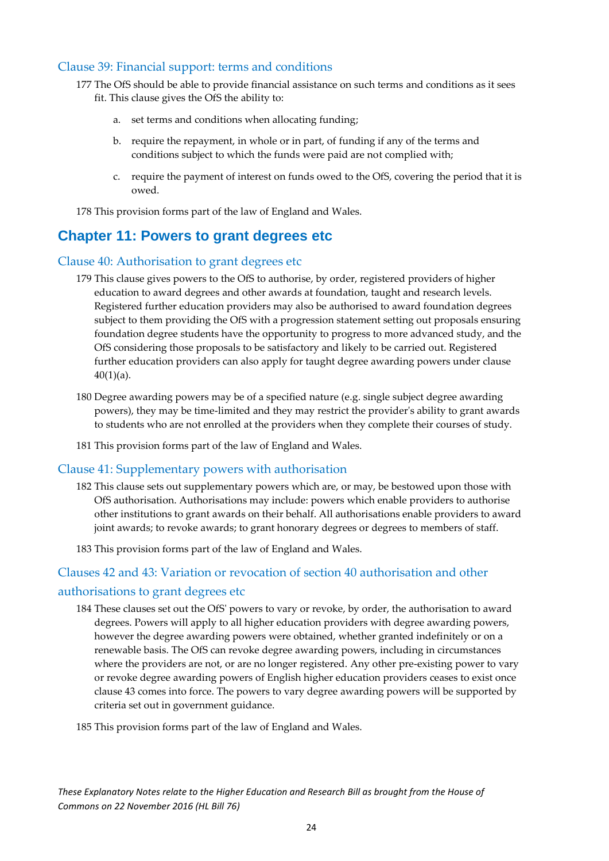### <span id="page-24-0"></span>Clause 39: Financial support: terms and conditions

- 177 The OfS should be able to provide financial assistance on such terms and conditions as it sees fit. This clause gives the OfS the ability to:
	- a. set terms and conditions when allocating funding;
	- b. require the repayment, in whole or in part, of funding if any of the terms and conditions subject to which the funds were paid are not complied with;
	- c. require the payment of interest on funds owed to the OfS, covering the period that it is owed.

178 This provision forms part of the law of England and Wales.

### <span id="page-24-1"></span>**Chapter 11: Powers to grant degrees etc**

### <span id="page-24-2"></span>Clause 40: Authorisation to grant degrees etc

- 179 This clause gives powers to the OfS to authorise, by order, registered providers of higher education to award degrees and other awards at foundation, taught and research levels. Registered further education providers may also be authorised to award foundation degrees subject to them providing the OfS with a progression statement setting out proposals ensuring foundation degree students have the opportunity to progress to more advanced study, and the OfS considering those proposals to be satisfactory and likely to be carried out. Registered further education providers can also apply for taught degree awarding powers under clause  $40(1)(a)$ .
- 180 Degree awarding powers may be of a specified nature (e.g. single subject degree awarding powers), they may be time-limited and they may restrict the provider's ability to grant awards to students who are not enrolled at the providers when they complete their courses of study.
- 181 This provision forms part of the law of England and Wales.

### <span id="page-24-3"></span>Clause 41: Supplementary powers with authorisation

- 182 This clause sets out supplementary powers which are, or may, be bestowed upon those with OfS authorisation. Authorisations may include: powers which enable providers to authorise other institutions to grant awards on their behalf. All authorisations enable providers to award joint awards; to revoke awards; to grant honorary degrees or degrees to members of staff.
- 183 This provision forms part of the law of England and Wales.

### <span id="page-24-4"></span>Clauses 42 and 43: Variation or revocation of section 40 authorisation and other

### authorisations to grant degrees etc

184 These clauses set out the OfS' powers to vary or revoke, by order, the authorisation to award degrees. Powers will apply to all higher education providers with degree awarding powers, however the degree awarding powers were obtained, whether granted indefinitely or on a renewable basis. The OfS can revoke degree awarding powers, including in circumstances where the providers are not, or are no longer registered. Any other pre-existing power to vary or revoke degree awarding powers of English higher education providers ceases to exist once clause 43 comes into force. The powers to vary degree awarding powers will be supported by criteria set out in government guidance.

185 This provision forms part of the law of England and Wales.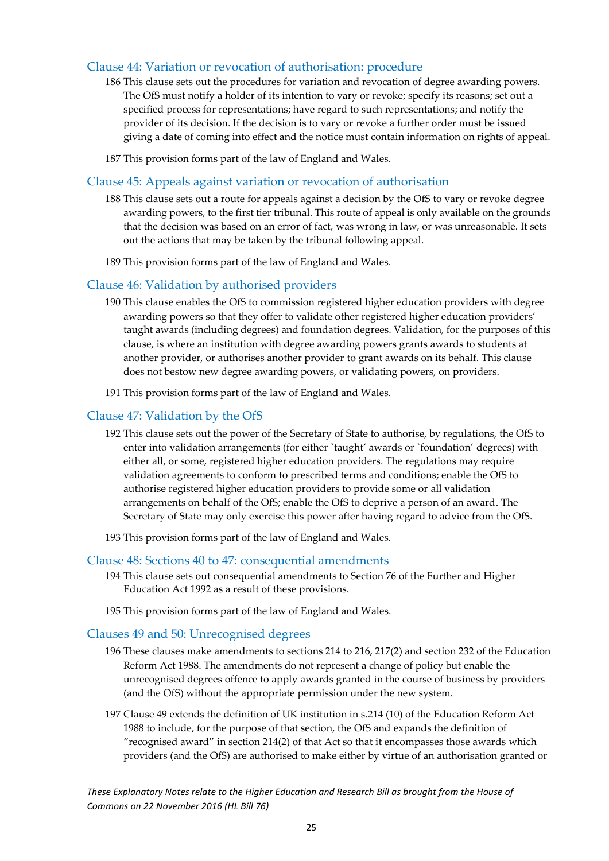### Clause 44: Variation or revocation of authorisation: procedure

- 186 This clause sets out the procedures for variation and revocation of degree awarding powers. The OfS must notify a holder of its intention to vary or revoke; specify its reasons; set out a specified process for representations; have regard to such representations; and notify the provider of its decision. If the decision is to vary or revoke a further order must be issued giving a date of coming into effect and the notice must contain information on rights of appeal.
- 187 This provision forms part of the law of England and Wales.

### <span id="page-25-0"></span>Clause 45: Appeals against variation or revocation of authorisation

- 188 This clause sets out a route for appeals against a decision by the OfS to vary or revoke degree awarding powers, to the first tier tribunal. This route of appeal is only available on the grounds that the decision was based on an error of fact, was wrong in law, or was unreasonable. It sets out the actions that may be taken by the tribunal following appeal.
- 189 This provision forms part of the law of England and Wales.

### <span id="page-25-1"></span>Clause 46: Validation by authorised providers

- 190 This clause enables the OfS to commission registered higher education providers with degree awarding powers so that they offer to validate other registered higher education providers' taught awards (including degrees) and foundation degrees. Validation, for the purposes of this clause, is where an institution with degree awarding powers grants awards to students at another provider, or authorises another provider to grant awards on its behalf. This clause does not bestow new degree awarding powers, or validating powers, on providers.
- 191 This provision forms part of the law of England and Wales.

### <span id="page-25-2"></span>Clause 47: Validation by the OfS

- 192 This clause sets out the power of the Secretary of State to authorise, by regulations, the OfS to enter into validation arrangements (for either `taught' awards or `foundation' degrees) with either all, or some, registered higher education providers. The regulations may require validation agreements to conform to prescribed terms and conditions; enable the OfS to authorise registered higher education providers to provide some or all validation arrangements on behalf of the OfS; enable the OfS to deprive a person of an award. The Secretary of State may only exercise this power after having regard to advice from the OfS.
- 193 This provision forms part of the law of England and Wales.

### Clause 48: Sections 40 to 47: consequential amendments

- 194 This clause sets out consequential amendments to Section 76 of the Further and Higher Education Act 1992 as a result of these provisions.
- 195 This provision forms part of the law of England and Wales.

### <span id="page-25-3"></span>Clauses 49 and 50: Unrecognised degrees

- 196 These clauses make amendments to sections 214 to 216, 217(2) and section 232 of the Education Reform Act 1988. The amendments do not represent a change of policy but enable the unrecognised degrees offence to apply awards granted in the course of business by providers (and the OfS) without the appropriate permission under the new system.
- 197 Clause 49 extends the definition of UK institution in s.214 (10) of the Education Reform Act 1988 to include, for the purpose of that section, the OfS and expands the definition of "recognised award" in section 214(2) of that Act so that it encompasses those awards which providers (and the OfS) are authorised to make either by virtue of an authorisation granted or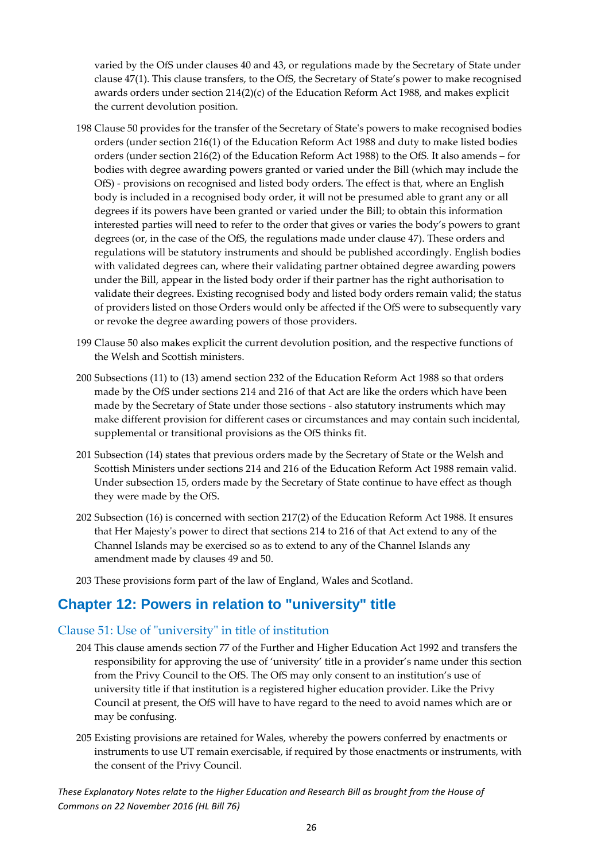varied by the OfS under clauses 40 and 43, or regulations made by the Secretary of State under clause 47(1). This clause transfers, to the OfS, the Secretary of State's power to make recognised awards orders under section  $214(2)(c)$  of the Education Reform Act 1988, and makes explicit the current devolution position.

- 198 Clause 50 provides for the transfer of the Secretary of State's powers to make recognised bodies orders (under section 216(1) of the Education Reform Act 1988 and duty to make listed bodies orders (under section 216(2) of the Education Reform Act 1988) to the OfS. It also amends – for bodies with degree awarding powers granted or varied under the Bill (which may include the OfS) - provisions on recognised and listed body orders. The effect is that, where an English body is included in a recognised body order, it will not be presumed able to grant any or all degrees if its powers have been granted or varied under the Bill; to obtain this information interested parties will need to refer to the order that gives or varies the body's powers to grant degrees (or, in the case of the OfS, the regulations made under clause 47). These orders and regulations will be statutory instruments and should be published accordingly. English bodies with validated degrees can, where their validating partner obtained degree awarding powers under the Bill, appear in the listed body order if their partner has the right authorisation to validate their degrees. Existing recognised body and listed body orders remain valid; the status of providers listed on those Orders would only be affected if the OfS were to subsequently vary or revoke the degree awarding powers of those providers.
- 199 Clause 50 also makes explicit the current devolution position, and the respective functions of the Welsh and Scottish ministers.
- 200 Subsections (11) to (13) amend section 232 of the Education Reform Act 1988 so that orders made by the OfS under sections 214 and 216 of that Act are like the orders which have been made by the Secretary of State under those sections - also statutory instruments which may make different provision for different cases or circumstances and may contain such incidental, supplemental or transitional provisions as the OfS thinks fit.
- 201 Subsection (14) states that previous orders made by the Secretary of State or the Welsh and Scottish Ministers under sections 214 and 216 of the Education Reform Act 1988 remain valid. Under subsection 15, orders made by the Secretary of State continue to have effect as though they were made by the OfS.
- 202 Subsection (16) is concerned with section 217(2) of the Education Reform Act 1988. It ensures that Her Majesty's power to direct that sections 214 to 216 of that Act extend to any of the Channel Islands may be exercised so as to extend to any of the Channel Islands any amendment made by clauses 49 and 50.
- 203 These provisions form part of the law of England, Wales and Scotland.

### <span id="page-26-0"></span>**Chapter 12: Powers in relation to "university" title**

### <span id="page-26-1"></span>Clause 51: Use of "university" in title of institution

- 204 This clause amends section 77 of the Further and Higher Education Act 1992 and transfers the responsibility for approving the use of 'university' title in a provider's name under this section from the Privy Council to the OfS. The OfS may only consent to an institution's use of university title if that institution is a registered higher education provider. Like the Privy Council at present, the OfS will have to have regard to the need to avoid names which are or may be confusing.
- 205 Existing provisions are retained for Wales, whereby the powers conferred by enactments or instruments to use UT remain exercisable, if required by those enactments or instruments, with the consent of the Privy Council.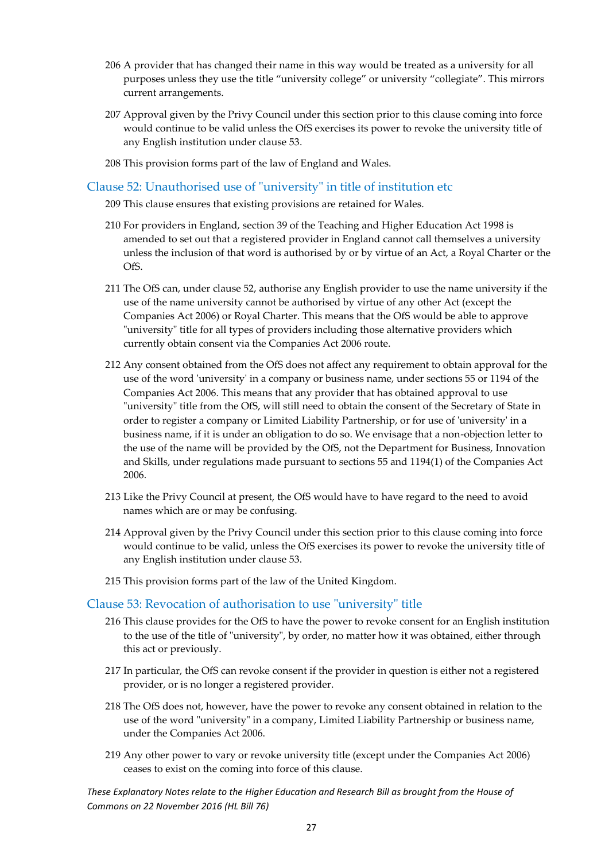- 206 A provider that has changed their name in this way would be treated as a university for all purposes unless they use the title "university college" or university "collegiate". This mirrors current arrangements.
- 207 Approval given by the Privy Council under this section prior to this clause coming into force would continue to be valid unless the OfS exercises its power to revoke the university title of any English institution under clause 53.
- 208 This provision forms part of the law of England and Wales.

### <span id="page-27-0"></span>Clause 52: Unauthorised use of "university" in title of institution etc

- 209 This clause ensures that existing provisions are retained for Wales.
- 210 For providers in England, section 39 of the Teaching and Higher Education Act 1998 is amended to set out that a registered provider in England cannot call themselves a university unless the inclusion of that word is authorised by or by virtue of an Act, a Royal Charter or the OfS.
- 211 The OfS can, under clause 52, authorise any English provider to use the name university if the use of the name university cannot be authorised by virtue of any other Act (except the Companies Act 2006) or Royal Charter. This means that the OfS would be able to approve "university" title for all types of providers including those alternative providers which currently obtain consent via the Companies Act 2006 route.
- 212 Any consent obtained from the OfS does not affect any requirement to obtain approval for the use of the word 'university' in a company or business name, under sections 55 or 1194 of the Companies Act 2006. This means that any provider that has obtained approval to use "university" title from the OfS, will still need to obtain the consent of the Secretary of State in order to register a company or Limited Liability Partnership, or for use of 'university' in a business name, if it is under an obligation to do so. We envisage that a non-objection letter to the use of the name will be provided by the OfS, not the Department for Business, Innovation and Skills, under regulations made pursuant to sections 55 and 1194(1) of the Companies Act 2006.
- 213 Like the Privy Council at present, the OfS would have to have regard to the need to avoid names which are or may be confusing.
- 214 Approval given by the Privy Council under this section prior to this clause coming into force would continue to be valid, unless the OfS exercises its power to revoke the university title of any English institution under clause 53.
- 215 This provision forms part of the law of the United Kingdom.

### <span id="page-27-1"></span>Clause 53: Revocation of authorisation to use "university" title

- 216 This clause provides for the OfS to have the power to revoke consent for an English institution to the use of the title of "university", by order, no matter how it was obtained, either through this act or previously.
- 217 In particular, the OfS can revoke consent if the provider in question is either not a registered provider, or is no longer a registered provider.
- 218 The OfS does not, however, have the power to revoke any consent obtained in relation to the use of the word "university" in a company, Limited Liability Partnership or business name, under the Companies Act 2006.
- 219 Any other power to vary or revoke university title (except under the Companies Act 2006) ceases to exist on the coming into force of this clause.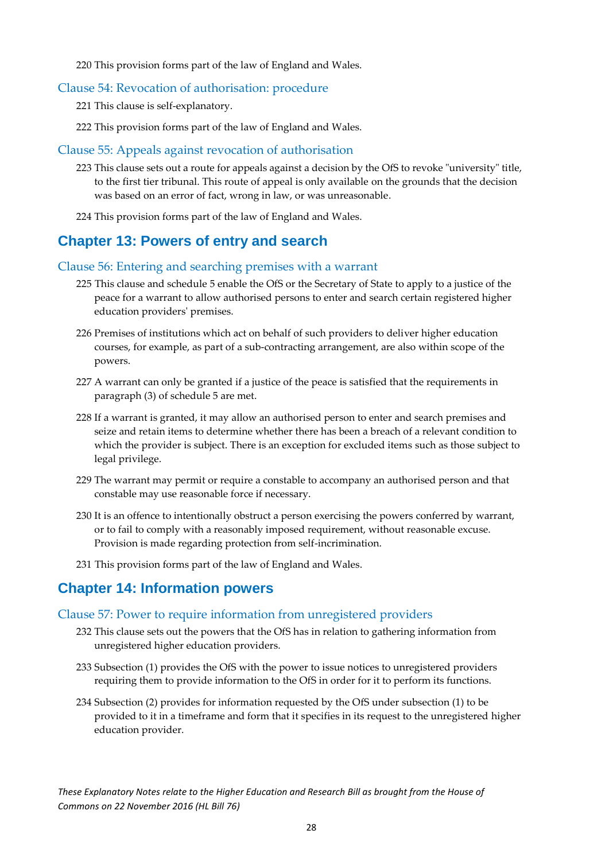220 This provision forms part of the law of England and Wales.

### <span id="page-28-0"></span>Clause 54: Revocation of authorisation: procedure

221 This clause is self-explanatory.

222 This provision forms part of the law of England and Wales.

### <span id="page-28-1"></span>Clause 55: Appeals against revocation of authorisation

- 223 This clause sets out a route for appeals against a decision by the OfS to revoke "university" title, to the first tier tribunal. This route of appeal is only available on the grounds that the decision was based on an error of fact, wrong in law, or was unreasonable.
- 224 This provision forms part of the law of England and Wales.

### <span id="page-28-2"></span>**Chapter 13: Powers of entry and search**

### <span id="page-28-3"></span>Clause 56: Entering and searching premises with a warrant

- 225 This clause and schedule 5 enable the OfS or the Secretary of State to apply to a justice of the peace for a warrant to allow authorised persons to enter and search certain registered higher education providers' premises.
- 226 Premises of institutions which act on behalf of such providers to deliver higher education courses, for example, as part of a sub-contracting arrangement, are also within scope of the powers.
- 227 A warrant can only be granted if a justice of the peace is satisfied that the requirements in paragraph (3) of schedule 5 are met.
- 228 If a warrant is granted, it may allow an authorised person to enter and search premises and seize and retain items to determine whether there has been a breach of a relevant condition to which the provider is subject. There is an exception for excluded items such as those subject to legal privilege.
- 229 The warrant may permit or require a constable to accompany an authorised person and that constable may use reasonable force if necessary.
- 230 It is an offence to intentionally obstruct a person exercising the powers conferred by warrant, or to fail to comply with a reasonably imposed requirement, without reasonable excuse. Provision is made regarding protection from self-incrimination.
- 231 This provision forms part of the law of England and Wales.

### <span id="page-28-4"></span>**Chapter 14: Information powers**

### <span id="page-28-5"></span>Clause 57: Power to require information from unregistered providers

- 232 This clause sets out the powers that the OfS has in relation to gathering information from unregistered higher education providers.
- 233 Subsection (1) provides the OfS with the power to issue notices to unregistered providers requiring them to provide information to the OfS in order for it to perform its functions.
- 234 Subsection (2) provides for information requested by the OfS under subsection (1) to be provided to it in a timeframe and form that it specifies in its request to the unregistered higher education provider.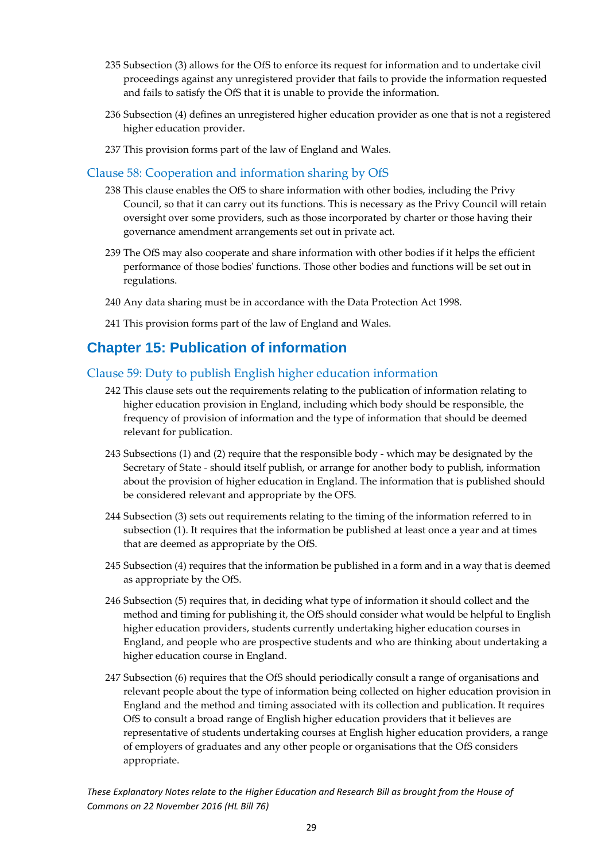- 235 Subsection (3) allows for the OfS to enforce its request for information and to undertake civil proceedings against any unregistered provider that fails to provide the information requested and fails to satisfy the OfS that it is unable to provide the information.
- 236 Subsection (4) defines an unregistered higher education provider as one that is not a registered higher education provider.
- 237 This provision forms part of the law of England and Wales.

### <span id="page-29-0"></span>Clause 58: Cooperation and information sharing by OfS

- 238 This clause enables the OfS to share information with other bodies, including the Privy Council, so that it can carry out its functions. This is necessary as the Privy Council will retain oversight over some providers, such as those incorporated by charter or those having their governance amendment arrangements set out in private act.
- 239 The OfS may also cooperate and share information with other bodies if it helps the efficient performance of those bodies' functions. Those other bodies and functions will be set out in regulations.
- 240 Any data sharing must be in accordance with the Data Protection Act 1998.
- 241 This provision forms part of the law of England and Wales.

### <span id="page-29-1"></span>**Chapter 15: Publication of information**

### <span id="page-29-2"></span>Clause 59: Duty to publish English higher education information

- 242 This clause sets out the requirements relating to the publication of information relating to higher education provision in England, including which body should be responsible, the frequency of provision of information and the type of information that should be deemed relevant for publication.
- 243 Subsections (1) and (2) require that the responsible body which may be designated by the Secretary of State - should itself publish, or arrange for another body to publish, information about the provision of higher education in England. The information that is published should be considered relevant and appropriate by the OFS.
- 244 Subsection (3) sets out requirements relating to the timing of the information referred to in subsection (1). It requires that the information be published at least once a year and at times that are deemed as appropriate by the OfS.
- 245 Subsection (4) requires that the information be published in a form and in a way that is deemed as appropriate by the OfS.
- 246 Subsection (5) requires that, in deciding what type of information it should collect and the method and timing for publishing it, the OfS should consider what would be helpful to English higher education providers, students currently undertaking higher education courses in England, and people who are prospective students and who are thinking about undertaking a higher education course in England.
- 247 Subsection (6) requires that the OfS should periodically consult a range of organisations and relevant people about the type of information being collected on higher education provision in England and the method and timing associated with its collection and publication. It requires OfS to consult a broad range of English higher education providers that it believes are representative of students undertaking courses at English higher education providers, a range of employers of graduates and any other people or organisations that the OfS considers appropriate.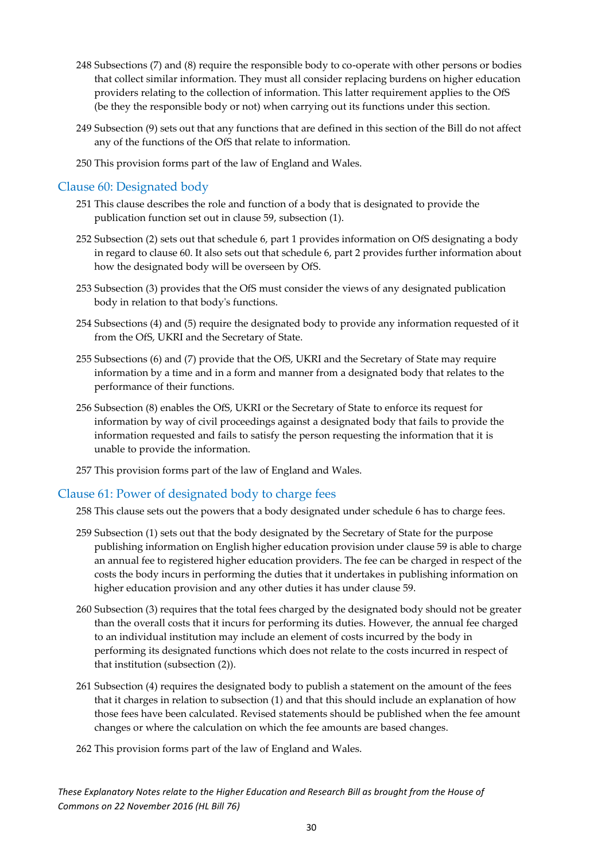- 248 Subsections (7) and (8) require the responsible body to co-operate with other persons or bodies that collect similar information. They must all consider replacing burdens on higher education providers relating to the collection of information. This latter requirement applies to the OfS (be they the responsible body or not) when carrying out its functions under this section.
- 249 Subsection (9) sets out that any functions that are defined in this section of the Bill do not affect any of the functions of the OfS that relate to information.
- 250 This provision forms part of the law of England and Wales.

### <span id="page-30-0"></span>Clause 60: Designated body

- 251 This clause describes the role and function of a body that is designated to provide the publication function set out in clause 59, subsection (1).
- 252 Subsection (2) sets out that schedule 6, part 1 provides information on OfS designating a body in regard to clause 60. It also sets out that schedule 6, part 2 provides further information about how the designated body will be overseen by OfS.
- 253 Subsection (3) provides that the OfS must consider the views of any designated publication body in relation to that body's functions.
- 254 Subsections (4) and (5) require the designated body to provide any information requested of it from the OfS, UKRI and the Secretary of State.
- 255 Subsections (6) and (7) provide that the OfS, UKRI and the Secretary of State may require information by a time and in a form and manner from a designated body that relates to the performance of their functions.
- 256 Subsection (8) enables the OfS, UKRI or the Secretary of State to enforce its request for information by way of civil proceedings against a designated body that fails to provide the information requested and fails to satisfy the person requesting the information that it is unable to provide the information.
- 257 This provision forms part of the law of England and Wales.

### <span id="page-30-1"></span>Clause 61: Power of designated body to charge fees

258 This clause sets out the powers that a body designated under schedule 6 has to charge fees.

- 259 Subsection (1) sets out that the body designated by the Secretary of State for the purpose publishing information on English higher education provision under clause 59 is able to charge an annual fee to registered higher education providers. The fee can be charged in respect of the costs the body incurs in performing the duties that it undertakes in publishing information on higher education provision and any other duties it has under clause 59.
- 260 Subsection (3) requires that the total fees charged by the designated body should not be greater than the overall costs that it incurs for performing its duties. However, the annual fee charged to an individual institution may include an element of costs incurred by the body in performing its designated functions which does not relate to the costs incurred in respect of that institution (subsection (2)).
- 261 Subsection (4) requires the designated body to publish a statement on the amount of the fees that it charges in relation to subsection (1) and that this should include an explanation of how those fees have been calculated. Revised statements should be published when the fee amount changes or where the calculation on which the fee amounts are based changes.
- 262 This provision forms part of the law of England and Wales.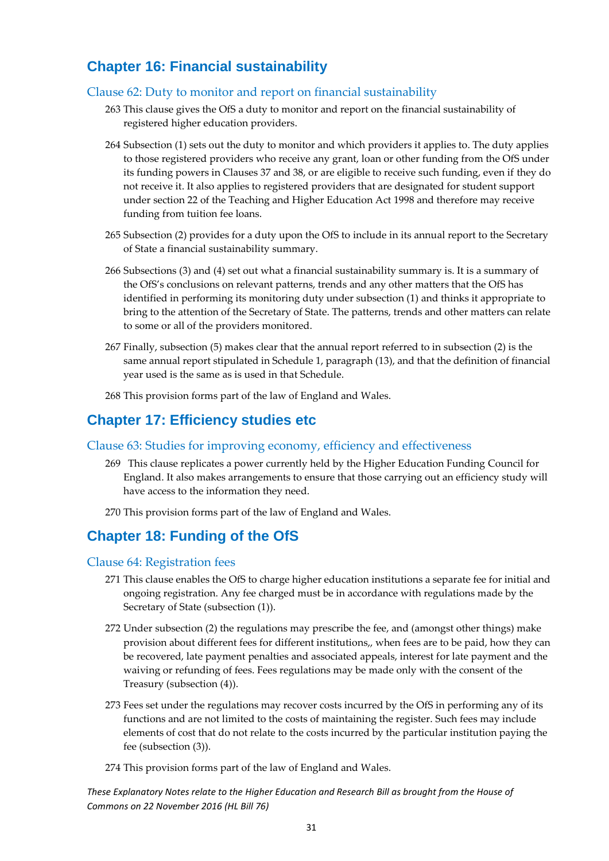### <span id="page-31-0"></span>**Chapter 16: Financial sustainability**

### <span id="page-31-1"></span>Clause 62: Duty to monitor and report on financial sustainability

- 263 This clause gives the OfS a duty to monitor and report on the financial sustainability of registered higher education providers.
- 264 Subsection (1) sets out the duty to monitor and which providers it applies to. The duty applies to those registered providers who receive any grant, loan or other funding from the OfS under its funding powers in Clauses 37 and 38, or are eligible to receive such funding, even if they do not receive it. It also applies to registered providers that are designated for student support under section 22 of the Teaching and Higher Education Act 1998 and therefore may receive funding from tuition fee loans.
- 265 Subsection (2) provides for a duty upon the OfS to include in its annual report to the Secretary of State a financial sustainability summary.
- 266 Subsections (3) and (4) set out what a financial sustainability summary is. It is a summary of the OfS's conclusions on relevant patterns, trends and any other matters that the OfS has identified in performing its monitoring duty under subsection (1) and thinks it appropriate to bring to the attention of the Secretary of State. The patterns, trends and other matters can relate to some or all of the providers monitored.
- 267 Finally, subsection (5) makes clear that the annual report referred to in subsection (2) is the same annual report stipulated in Schedule 1, paragraph (13), and that the definition of financial year used is the same as is used in that Schedule.
- 268 This provision forms part of the law of England and Wales.

### <span id="page-31-2"></span>**Chapter 17: Efficiency studies etc**

### <span id="page-31-3"></span>Clause 63: Studies for improving economy, efficiency and effectiveness

- 269 This clause replicates a power currently held by the Higher Education Funding Council for England. It also makes arrangements to ensure that those carrying out an efficiency study will have access to the information they need.
- 270 This provision forms part of the law of England and Wales.

### <span id="page-31-4"></span>**Chapter 18: Funding of the OfS**

### <span id="page-31-5"></span>Clause 64: Registration fees

- 271 This clause enables the OfS to charge higher education institutions a separate fee for initial and ongoing registration. Any fee charged must be in accordance with regulations made by the Secretary of State (subsection (1)).
- 272 Under subsection (2) the regulations may prescribe the fee, and (amongst other things) make provision about different fees for different institutions,, when fees are to be paid, how they can be recovered, late payment penalties and associated appeals, interest for late payment and the waiving or refunding of fees. Fees regulations may be made only with the consent of the Treasury (subsection (4)).
- 273 Fees set under the regulations may recover costs incurred by the OfS in performing any of its functions and are not limited to the costs of maintaining the register. Such fees may include elements of cost that do not relate to the costs incurred by the particular institution paying the fee (subsection (3)).
- 274 This provision forms part of the law of England and Wales.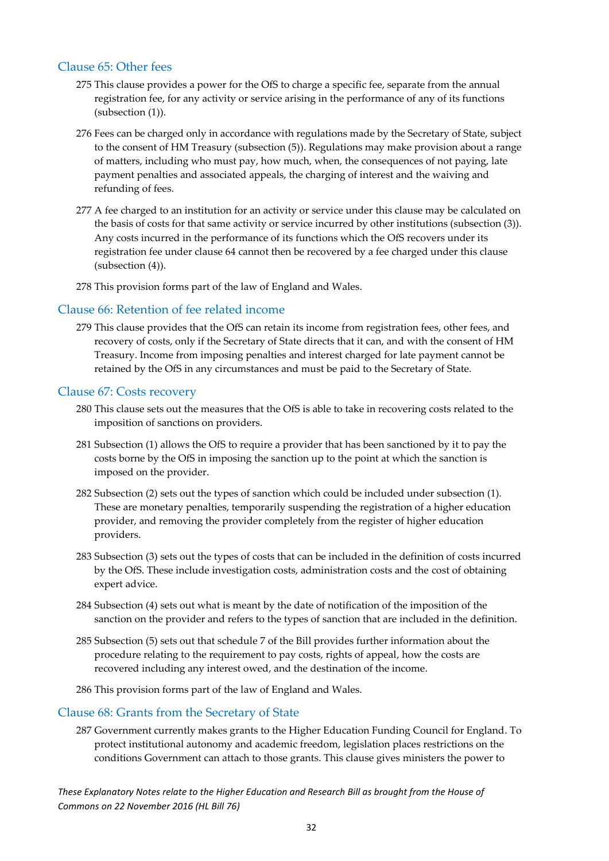### <span id="page-32-0"></span>Clause 65: Other fees

- 275 This clause provides a power for the OfS to charge a specific fee, separate from the annual registration fee, for any activity or service arising in the performance of any of its functions (subsection (1)).
- 276 Fees can be charged only in accordance with regulations made by the Secretary of State, subject to the consent of HM Treasury (subsection (5)). Regulations may make provision about a range of matters, including who must pay, how much, when, the consequences of not paying, late payment penalties and associated appeals, the charging of interest and the waiving and refunding of fees.
- 277 A fee charged to an institution for an activity or service under this clause may be calculated on the basis of costs for that same activity or service incurred by other institutions (subsection (3)). Any costs incurred in the performance of its functions which the OfS recovers under its registration fee under clause 64 cannot then be recovered by a fee charged under this clause (subsection (4)).
- 278 This provision forms part of the law of England and Wales.

### <span id="page-32-1"></span>Clause 66: Retention of fee related income

279 This clause provides that the OfS can retain its income from registration fees, other fees, and recovery of costs, only if the Secretary of State directs that it can, and with the consent of HM Treasury. Income from imposing penalties and interest charged for late payment cannot be retained by the OfS in any circumstances and must be paid to the Secretary of State.

### <span id="page-32-2"></span>Clause 67: Costs recovery

- 280 This clause sets out the measures that the OfS is able to take in recovering costs related to the imposition of sanctions on providers.
- 281 Subsection (1) allows the OfS to require a provider that has been sanctioned by it to pay the costs borne by the OfS in imposing the sanction up to the point at which the sanction is imposed on the provider.
- 282 Subsection (2) sets out the types of sanction which could be included under subsection (1). These are monetary penalties, temporarily suspending the registration of a higher education provider, and removing the provider completely from the register of higher education providers.
- 283 Subsection (3) sets out the types of costs that can be included in the definition of costs incurred by the OfS. These include investigation costs, administration costs and the cost of obtaining expert advice.
- 284 Subsection (4) sets out what is meant by the date of notification of the imposition of the sanction on the provider and refers to the types of sanction that are included in the definition.
- 285 Subsection (5) sets out that schedule 7 of the Bill provides further information about the procedure relating to the requirement to pay costs, rights of appeal, how the costs are recovered including any interest owed, and the destination of the income.
- 286 This provision forms part of the law of England and Wales.

### <span id="page-32-3"></span>Clause 68: Grants from the Secretary of State

287 Government currently makes grants to the Higher Education Funding Council for England. To protect institutional autonomy and academic freedom, legislation places restrictions on the conditions Government can attach to those grants. This clause gives ministers the power to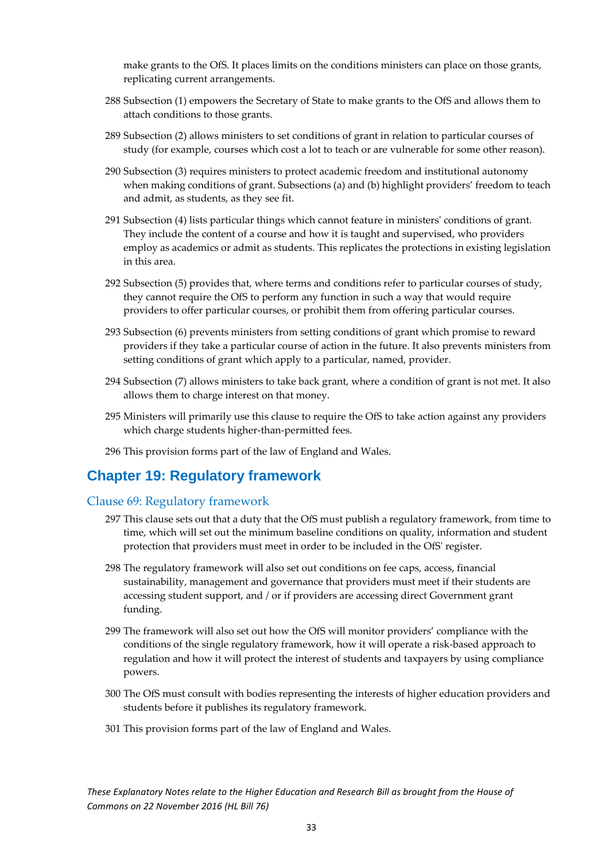make grants to the OfS. It places limits on the conditions ministers can place on those grants, replicating current arrangements.

- 288 Subsection (1) empowers the Secretary of State to make grants to the OfS and allows them to attach conditions to those grants.
- 289 Subsection (2) allows ministers to set conditions of grant in relation to particular courses of study (for example, courses which cost a lot to teach or are vulnerable for some other reason).
- 290 Subsection (3) requires ministers to protect academic freedom and institutional autonomy when making conditions of grant. Subsections (a) and (b) highlight providers' freedom to teach and admit, as students, as they see fit.
- 291 Subsection (4) lists particular things which cannot feature in ministers' conditions of grant. They include the content of a course and how it is taught and supervised, who providers employ as academics or admit as students. This replicates the protections in existing legislation in this area.
- 292 Subsection (5) provides that, where terms and conditions refer to particular courses of study, they cannot require the OfS to perform any function in such a way that would require providers to offer particular courses, or prohibit them from offering particular courses.
- 293 Subsection (6) prevents ministers from setting conditions of grant which promise to reward providers if they take a particular course of action in the future. It also prevents ministers from setting conditions of grant which apply to a particular, named, provider.
- 294 Subsection (7) allows ministers to take back grant, where a condition of grant is not met. It also allows them to charge interest on that money.
- 295 Ministers will primarily use this clause to require the OfS to take action against any providers which charge students higher-than-permitted fees.
- 296 This provision forms part of the law of England and Wales.

### <span id="page-33-0"></span>**Chapter 19: Regulatory framework**

### <span id="page-33-1"></span>Clause 69: Regulatory framework

- 297 This clause sets out that a duty that the OfS must publish a regulatory framework, from time to time, which will set out the minimum baseline conditions on quality, information and student protection that providers must meet in order to be included in the OfS' register.
- 298 The regulatory framework will also set out conditions on fee caps, access, financial sustainability, management and governance that providers must meet if their students are accessing student support, and / or if providers are accessing direct Government grant funding.
- 299 The framework will also set out how the OfS will monitor providers' compliance with the conditions of the single regulatory framework, how it will operate a risk-based approach to regulation and how it will protect the interest of students and taxpayers by using compliance powers.
- 300 The OfS must consult with bodies representing the interests of higher education providers and students before it publishes its regulatory framework.
- 301 This provision forms part of the law of England and Wales.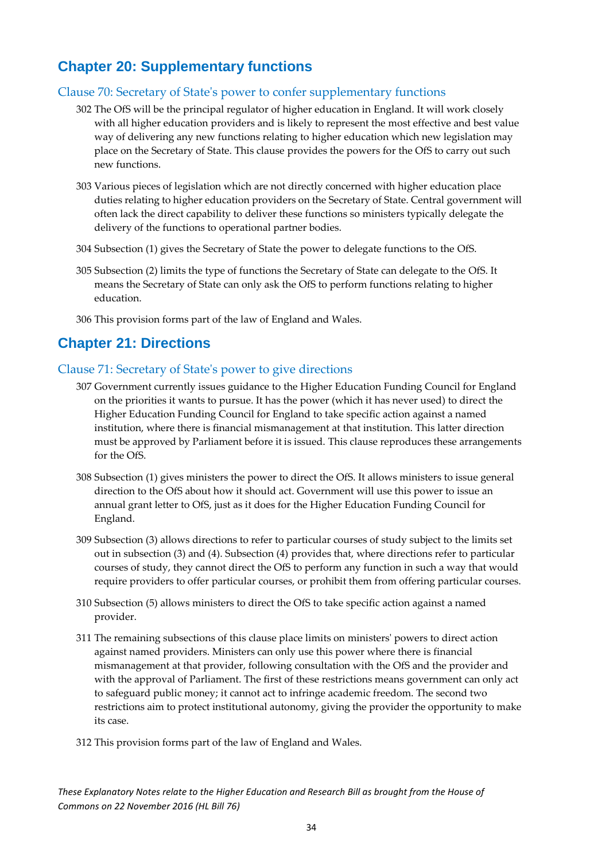### <span id="page-34-0"></span>**Chapter 20: Supplementary functions**

### <span id="page-34-1"></span>Clause 70: Secretary of State's power to confer supplementary functions

- 302 The OfS will be the principal regulator of higher education in England. It will work closely with all higher education providers and is likely to represent the most effective and best value way of delivering any new functions relating to higher education which new legislation may place on the Secretary of State. This clause provides the powers for the OfS to carry out such new functions.
- 303 Various pieces of legislation which are not directly concerned with higher education place duties relating to higher education providers on the Secretary of State. Central government will often lack the direct capability to deliver these functions so ministers typically delegate the delivery of the functions to operational partner bodies.
- 304 Subsection (1) gives the Secretary of State the power to delegate functions to the OfS.
- 305 Subsection (2) limits the type of functions the Secretary of State can delegate to the OfS. It means the Secretary of State can only ask the OfS to perform functions relating to higher education.
- 306 This provision forms part of the law of England and Wales.

### <span id="page-34-2"></span>**Chapter 21: Directions**

### <span id="page-34-3"></span>Clause 71: Secretary of State's power to give directions

- 307 Government currently issues guidance to the Higher Education Funding Council for England on the priorities it wants to pursue. It has the power (which it has never used) to direct the Higher Education Funding Council for England to take specific action against a named institution, where there is financial mismanagement at that institution. This latter direction must be approved by Parliament before it is issued. This clause reproduces these arrangements for the OfS.
- 308 Subsection (1) gives ministers the power to direct the OfS. It allows ministers to issue general direction to the OfS about how it should act. Government will use this power to issue an annual grant letter to OfS, just as it does for the Higher Education Funding Council for England.
- 309 Subsection (3) allows directions to refer to particular courses of study subject to the limits set out in subsection (3) and (4). Subsection (4) provides that, where directions refer to particular courses of study, they cannot direct the OfS to perform any function in such a way that would require providers to offer particular courses, or prohibit them from offering particular courses.
- 310 Subsection (5) allows ministers to direct the OfS to take specific action against a named provider.
- 311 The remaining subsections of this clause place limits on ministers' powers to direct action against named providers. Ministers can only use this power where there is financial mismanagement at that provider, following consultation with the OfS and the provider and with the approval of Parliament. The first of these restrictions means government can only act to safeguard public money; it cannot act to infringe academic freedom. The second two restrictions aim to protect institutional autonomy, giving the provider the opportunity to make its case.
- 312 This provision forms part of the law of England and Wales.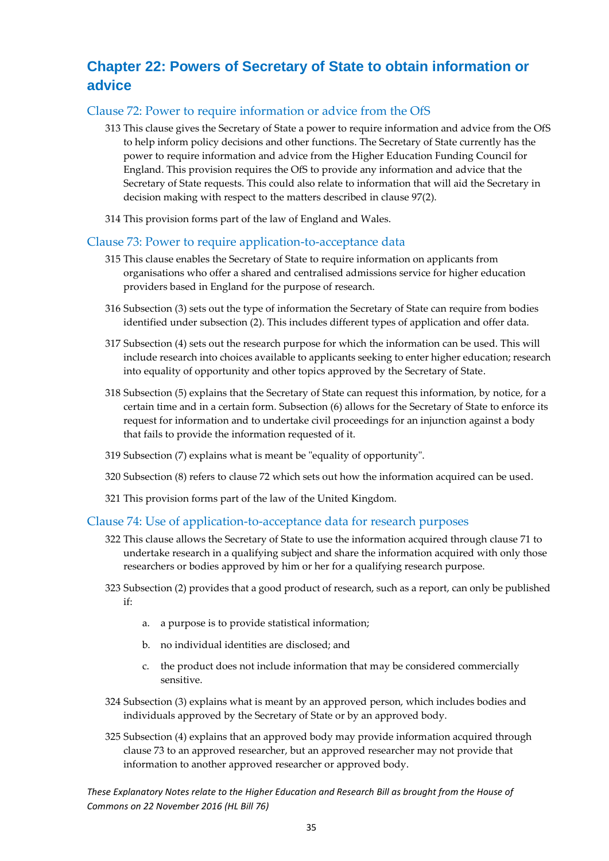## <span id="page-35-0"></span>**Chapter 22: Powers of Secretary of State to obtain information or advice**

### <span id="page-35-1"></span>Clause 72: Power to require information or advice from the OfS

- 313 This clause gives the Secretary of State a power to require information and advice from the OfS to help inform policy decisions and other functions. The Secretary of State currently has the power to require information and advice from the Higher Education Funding Council for England. This provision requires the OfS to provide any information and advice that the Secretary of State requests. This could also relate to information that will aid the Secretary in decision making with respect to the matters described in clause 97(2).
- 314 This provision forms part of the law of England and Wales.

### <span id="page-35-2"></span>Clause 73: Power to require application-to-acceptance data

- 315 This clause enables the Secretary of State to require information on applicants from organisations who offer a shared and centralised admissions service for higher education providers based in England for the purpose of research.
- 316 Subsection (3) sets out the type of information the Secretary of State can require from bodies identified under subsection (2). This includes different types of application and offer data.
- 317 Subsection (4) sets out the research purpose for which the information can be used. This will include research into choices available to applicants seeking to enter higher education; research into equality of opportunity and other topics approved by the Secretary of State.
- 318 Subsection (5) explains that the Secretary of State can request this information, by notice, for a certain time and in a certain form. Subsection (6) allows for the Secretary of State to enforce its request for information and to undertake civil proceedings for an injunction against a body that fails to provide the information requested of it.
- 319 Subsection (7) explains what is meant be "equality of opportunity".
- 320 Subsection (8) refers to clause 72 which sets out how the information acquired can be used.
- 321 This provision forms part of the law of the United Kingdom.

### <span id="page-35-3"></span>Clause 74: Use of application-to-acceptance data for research purposes

- 322 This clause allows the Secretary of State to use the information acquired through clause 71 to undertake research in a qualifying subject and share the information acquired with only those researchers or bodies approved by him or her for a qualifying research purpose.
- 323 Subsection (2) provides that a good product of research, such as a report, can only be published if:
	- a. a purpose is to provide statistical information;
	- b. no individual identities are disclosed; and
	- c. the product does not include information that may be considered commercially sensitive.
- 324 Subsection (3) explains what is meant by an approved person, which includes bodies and individuals approved by the Secretary of State or by an approved body.
- 325 Subsection (4) explains that an approved body may provide information acquired through clause 73 to an approved researcher, but an approved researcher may not provide that information to another approved researcher or approved body.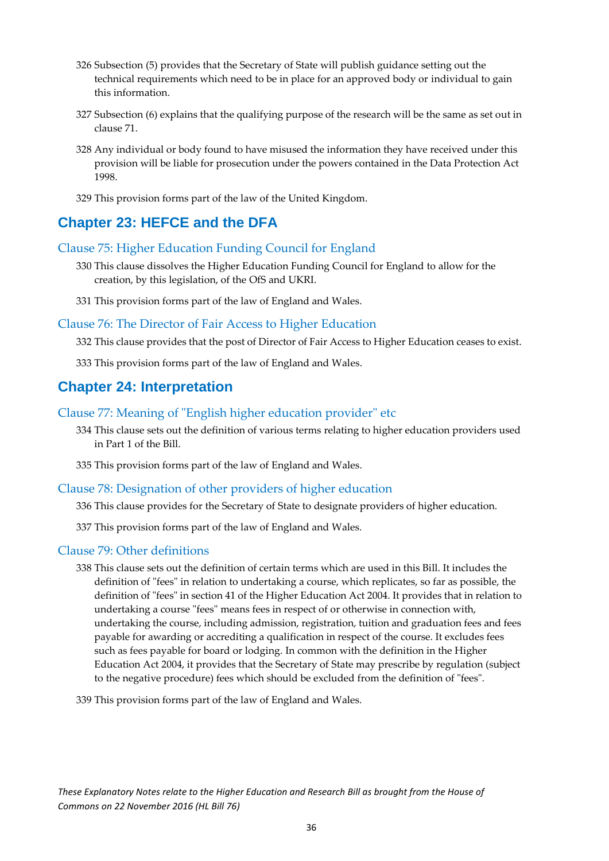- 326 Subsection (5) provides that the Secretary of State will publish guidance setting out the technical requirements which need to be in place for an approved body or individual to gain this information.
- 327 Subsection (6) explains that the qualifying purpose of the research will be the same as set out in clause 71.
- 328 Any individual or body found to have misused the information they have received under this provision will be liable for prosecution under the powers contained in the Data Protection Act 1998.
- 329 This provision forms part of the law of the United Kingdom.

### <span id="page-36-0"></span>**Chapter 23: HEFCE and the DFA**

### <span id="page-36-1"></span>Clause 75: Higher Education Funding Council for England

- 330 This clause dissolves the Higher Education Funding Council for England to allow for the creation, by this legislation, of the OfS and UKRI.
- 331 This provision forms part of the law of England and Wales.

### <span id="page-36-2"></span>Clause 76: The Director of Fair Access to Higher Education

332 This clause provides that the post of Director of Fair Access to Higher Education ceases to exist.

333 This provision forms part of the law of England and Wales.

### <span id="page-36-3"></span>**Chapter 24: Interpretation**

- <span id="page-36-4"></span>Clause 77: Meaning of "English higher education provider" etc
	- 334 This clause sets out the definition of various terms relating to higher education providers used in Part 1 of the Bill.

335 This provision forms part of the law of England and Wales.

### <span id="page-36-5"></span>Clause 78: Designation of other providers of higher education

336 This clause provides for the Secretary of State to designate providers of higher education.

337 This provision forms part of the law of England and Wales.

### <span id="page-36-6"></span>Clause 79: Other definitions

338 This clause sets out the definition of certain terms which are used in this Bill. It includes the definition of "fees" in relation to undertaking a course, which replicates, so far as possible, the definition of "fees" in section 41 of the Higher Education Act 2004. It provides that in relation to undertaking a course "fees" means fees in respect of or otherwise in connection with, undertaking the course, including admission, registration, tuition and graduation fees and fees payable for awarding or accrediting a qualification in respect of the course. It excludes fees such as fees payable for board or lodging. In common with the definition in the Higher Education Act 2004, it provides that the Secretary of State may prescribe by regulation (subject to the negative procedure) fees which should be excluded from the definition of "fees".

339 This provision forms part of the law of England and Wales.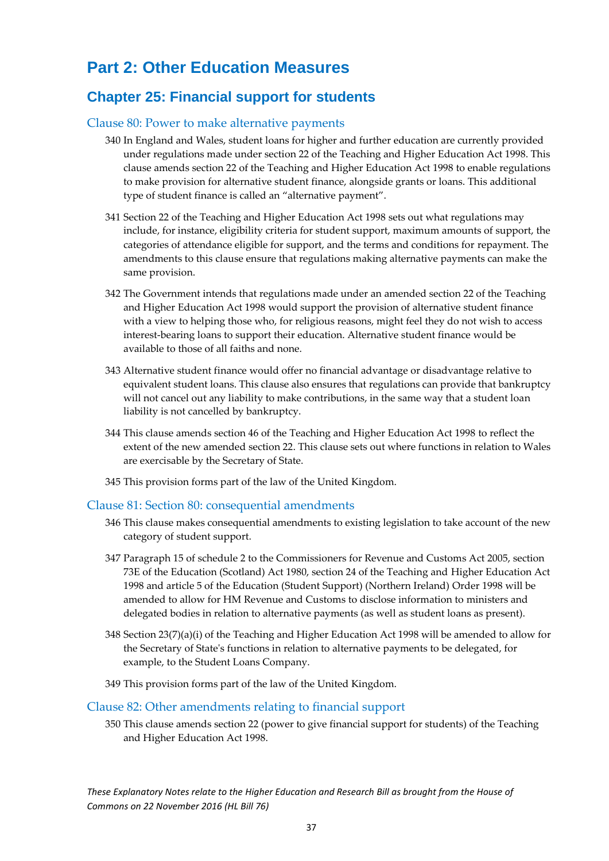# <span id="page-37-0"></span>**Part 2: Other Education Measures**

### <span id="page-37-1"></span>**Chapter 25: Financial support for students**

### <span id="page-37-2"></span>Clause 80: Power to make alternative payments

- 340 In England and Wales, student loans for higher and further education are currently provided under regulations made under section 22 of the Teaching and Higher Education Act 1998. This clause amends section 22 of the Teaching and Higher Education Act 1998 to enable regulations to make provision for alternative student finance, alongside grants or loans. This additional type of student finance is called an "alternative payment".
- 341 Section 22 of the Teaching and Higher Education Act 1998 sets out what regulations may include, for instance, eligibility criteria for student support, maximum amounts of support, the categories of attendance eligible for support, and the terms and conditions for repayment. The amendments to this clause ensure that regulations making alternative payments can make the same provision.
- 342 The Government intends that regulations made under an amended section 22 of the Teaching and Higher Education Act 1998 would support the provision of alternative student finance with a view to helping those who, for religious reasons, might feel they do not wish to access interest-bearing loans to support their education. Alternative student finance would be available to those of all faiths and none.
- 343 Alternative student finance would offer no financial advantage or disadvantage relative to equivalent student loans. This clause also ensures that regulations can provide that bankruptcy will not cancel out any liability to make contributions, in the same way that a student loan liability is not cancelled by bankruptcy.
- 344 This clause amends section 46 of the Teaching and Higher Education Act 1998 to reflect the extent of the new amended section 22. This clause sets out where functions in relation to Wales are exercisable by the Secretary of State.
- 345 This provision forms part of the law of the United Kingdom.

### <span id="page-37-3"></span>Clause 81: Section 80: consequential amendments

- 346 This clause makes consequential amendments to existing legislation to take account of the new category of student support.
- 347 Paragraph 15 of schedule 2 to the Commissioners for Revenue and Customs Act 2005, section 73E of the Education (Scotland) Act 1980, section 24 of the Teaching and Higher Education Act 1998 and article 5 of the Education (Student Support) (Northern Ireland) Order 1998 will be amended to allow for HM Revenue and Customs to disclose information to ministers and delegated bodies in relation to alternative payments (as well as student loans as present).
- 348 Section 23(7)(a)(i) of the Teaching and Higher Education Act 1998 will be amended to allow for the Secretary of State's functions in relation to alternative payments to be delegated, for example, to the Student Loans Company.
- 349 This provision forms part of the law of the United Kingdom.

### <span id="page-37-4"></span>Clause 82: Other amendments relating to financial support

350 This clause amends section 22 (power to give financial support for students) of the Teaching and Higher Education Act 1998.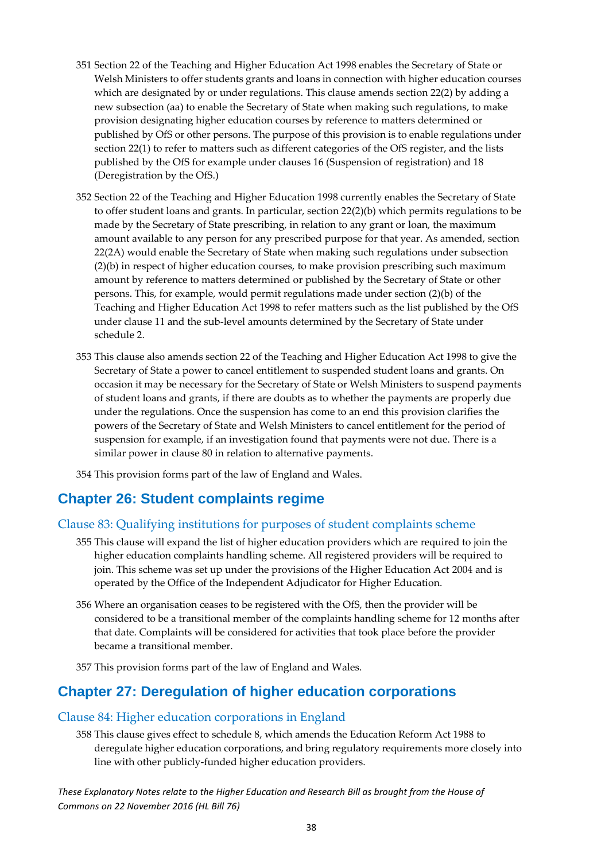- 351 Section 22 of the Teaching and Higher Education Act 1998 enables the Secretary of State or Welsh Ministers to offer students grants and loans in connection with higher education courses which are designated by or under regulations. This clause amends section 22(2) by adding a new subsection (aa) to enable the Secretary of State when making such regulations, to make provision designating higher education courses by reference to matters determined or published by OfS or other persons. The purpose of this provision is to enable regulations under section 22(1) to refer to matters such as different categories of the OfS register, and the lists published by the OfS for example under clauses 16 (Suspension of registration) and 18 (Deregistration by the OfS.)
- 352 Section 22 of the Teaching and Higher Education 1998 currently enables the Secretary of State to offer student loans and grants. In particular, section 22(2)(b) which permits regulations to be made by the Secretary of State prescribing, in relation to any grant or loan, the maximum amount available to any person for any prescribed purpose for that year. As amended, section 22(2A) would enable the Secretary of State when making such regulations under subsection (2)(b) in respect of higher education courses, to make provision prescribing such maximum amount by reference to matters determined or published by the Secretary of State or other persons. This, for example, would permit regulations made under section (2)(b) of the Teaching and Higher Education Act 1998 to refer matters such as the list published by the OfS under clause 11 and the sub-level amounts determined by the Secretary of State under schedule 2.
- 353 This clause also amends section 22 of the Teaching and Higher Education Act 1998 to give the Secretary of State a power to cancel entitlement to suspended student loans and grants. On occasion it may be necessary for the Secretary of State or Welsh Ministers to suspend payments of student loans and grants, if there are doubts as to whether the payments are properly due under the regulations. Once the suspension has come to an end this provision clarifies the powers of the Secretary of State and Welsh Ministers to cancel entitlement for the period of suspension for example, if an investigation found that payments were not due. There is a similar power in clause 80 in relation to alternative payments.

354 This provision forms part of the law of England and Wales.

### <span id="page-38-0"></span>**Chapter 26: Student complaints regime**

### <span id="page-38-1"></span>Clause 83: Qualifying institutions for purposes of student complaints scheme

- 355 This clause will expand the list of higher education providers which are required to join the higher education complaints handling scheme. All registered providers will be required to join. This scheme was set up under the provisions of the Higher Education Act 2004 and is operated by the Office of the Independent Adjudicator for Higher Education.
- 356 Where an organisation ceases to be registered with the OfS, then the provider will be considered to be a transitional member of the complaints handling scheme for 12 months after that date. Complaints will be considered for activities that took place before the provider became a transitional member.
- 357 This provision forms part of the law of England and Wales.

### <span id="page-38-2"></span>**Chapter 27: Deregulation of higher education corporations**

### <span id="page-38-3"></span>Clause 84: Higher education corporations in England

358 This clause gives effect to schedule 8, which amends the Education Reform Act 1988 to deregulate higher education corporations, and bring regulatory requirements more closely into line with other publicly-funded higher education providers.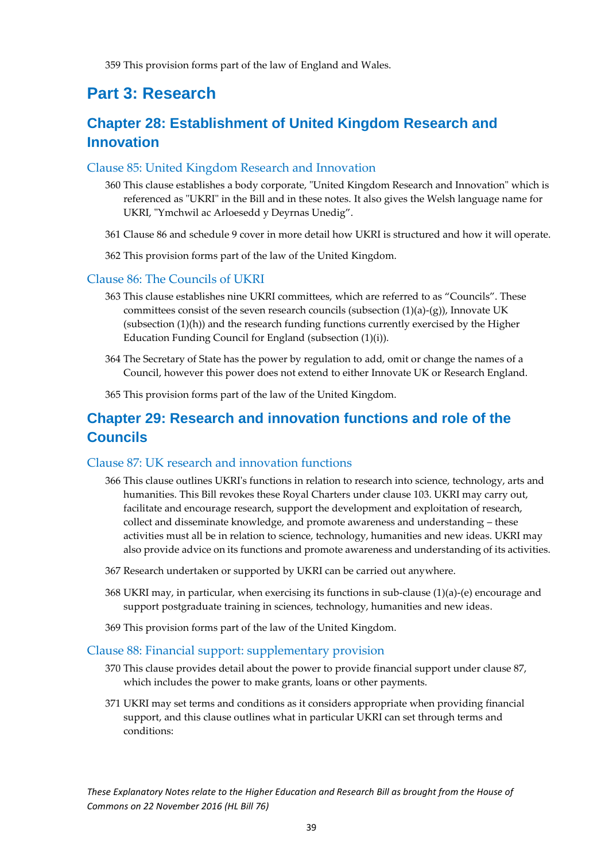359 This provision forms part of the law of England and Wales.

### <span id="page-39-0"></span>**Part 3: Research**

### <span id="page-39-1"></span>**Chapter 28: Establishment of United Kingdom Research and Innovation**

### <span id="page-39-2"></span>Clause 85: United Kingdom Research and Innovation

- 360 This clause establishes a body corporate, "United Kingdom Research and Innovation" which is referenced as "UKRI" in the Bill and in these notes. It also gives the Welsh language name for UKRI, "Ymchwil ac Arloesedd y Deyrnas Unedig".
- 361 Clause 86 and schedule 9 cover in more detail how UKRI is structured and how it will operate.
- 362 This provision forms part of the law of the United Kingdom.

### <span id="page-39-3"></span>Clause 86: The Councils of UKRI

- 363 This clause establishes nine UKRI committees, which are referred to as "Councils". These committees consist of the seven research councils (subsection  $(1)(a)-(g)$ ), Innovate UK (subsection  $(1)(h)$ ) and the research funding functions currently exercised by the Higher Education Funding Council for England (subsection (1)(i)).
- 364 The Secretary of State has the power by regulation to add, omit or change the names of a Council, however this power does not extend to either Innovate UK or Research England.
- 365 This provision forms part of the law of the United Kingdom.

### <span id="page-39-4"></span>**Chapter 29: Research and innovation functions and role of the Councils**

### <span id="page-39-5"></span>Clause 87: UK research and innovation functions

- 366 This clause outlines UKRI's functions in relation to research into science, technology, arts and humanities. This Bill revokes these Royal Charters under clause 103. UKRI may carry out, facilitate and encourage research, support the development and exploitation of research, collect and disseminate knowledge, and promote awareness and understanding – these activities must all be in relation to science, technology, humanities and new ideas. UKRI may also provide advice on its functions and promote awareness and understanding of its activities.
- 367 Research undertaken or supported by UKRI can be carried out anywhere.
- 368 UKRI may, in particular, when exercising its functions in sub-clause (1)(a)-(e) encourage and support postgraduate training in sciences, technology, humanities and new ideas.
- 369 This provision forms part of the law of the United Kingdom.

### <span id="page-39-6"></span>Clause 88: Financial support: supplementary provision

- 370 This clause provides detail about the power to provide financial support under clause 87, which includes the power to make grants, loans or other payments.
- 371 UKRI may set terms and conditions as it considers appropriate when providing financial support, and this clause outlines what in particular UKRI can set through terms and conditions: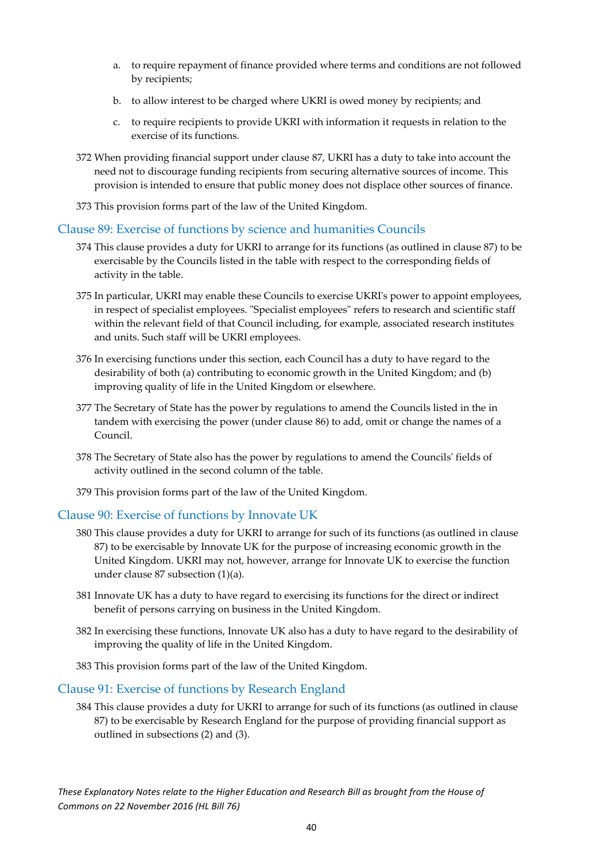- a. to require repayment of finance provided where terms and conditions are not followed by recipients;
- b. to allow interest to be charged where UKRI is owed money by recipients; and
- c. to require recipients to provide UKRI with information it requests in relation to the exercise of its functions.
- 372 When providing financial support under clause 87, UKRI has a duty to take into account the need not to discourage funding recipients from securing alternative sources of income. This provision is intended to ensure that public money does not displace other sources of finance.
- 373 This provision forms part of the law of the United Kingdom.

### <span id="page-40-0"></span>Clause 89: Exercise of functions by science and humanities Councils

- 374 This clause provides a duty for UKRI to arrange for its functions (as outlined in clause 87) to be exercisable by the Councils listed in the table with respect to the corresponding fields of activity in the table.
- 375 In particular, UKRI may enable these Councils to exercise UKRI's power to appoint employees, in respect of specialist employees. "Specialist employees" refers to research and scientific staff within the relevant field of that Council including, for example, associated research institutes and units. Such staff will be UKRI employees.
- 376 In exercising functions under this section, each Council has a duty to have regard to the desirability of both (a) contributing to economic growth in the United Kingdom; and (b) improving quality of life in the United Kingdom or elsewhere.
- 377 The Secretary of State has the power by regulations to amend the Councils listed in the in tandem with exercising the power (under clause 86) to add, omit or change the names of a Council.
- 378 The Secretary of State also has the power by regulations to amend the Councils' fields of activity outlined in the second column of the table.
- 379 This provision forms part of the law of the United Kingdom.

### <span id="page-40-1"></span>Clause 90: Exercise of functions by Innovate UK

- 380 This clause provides a duty for UKRI to arrange for such of its functions (as outlined in clause 87) to be exercisable by Innovate UK for the purpose of increasing economic growth in the United Kingdom. UKRI may not, however, arrange for Innovate UK to exercise the function under clause 87 subsection (1)(a).
- 381 Innovate UK has a duty to have regard to exercising its functions for the direct or indirect benefit of persons carrying on business in the United Kingdom.
- 382 In exercising these functions, Innovate UK also has a duty to have regard to the desirability of improving the quality of life in the United Kingdom.
- 383 This provision forms part of the law of the United Kingdom.

### <span id="page-40-2"></span>Clause 91: Exercise of functions by Research England

384 This clause provides a duty for UKRI to arrange for such of its functions (as outlined in clause 87) to be exercisable by Research England for the purpose of providing financial support as outlined in subsections (2) and (3).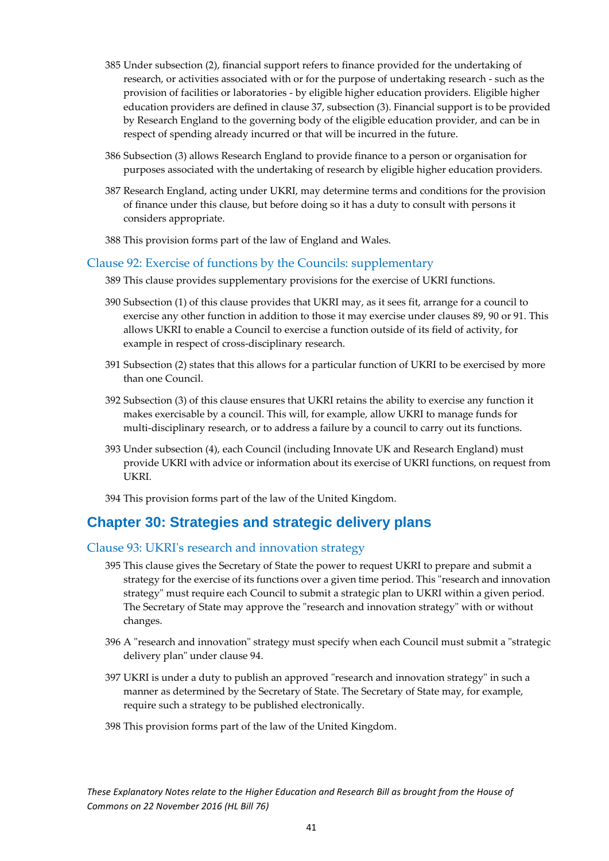- 385 Under subsection (2), financial support refers to finance provided for the undertaking of research, or activities associated with or for the purpose of undertaking research - such as the provision of facilities or laboratories - by eligible higher education providers. Eligible higher education providers are defined in clause 37, subsection (3). Financial support is to be provided by Research England to the governing body of the eligible education provider, and can be in respect of spending already incurred or that will be incurred in the future.
- 386 Subsection (3) allows Research England to provide finance to a person or organisation for purposes associated with the undertaking of research by eligible higher education providers.
- 387 Research England, acting under UKRI, may determine terms and conditions for the provision of finance under this clause, but before doing so it has a duty to consult with persons it considers appropriate.
- 388 This provision forms part of the law of England and Wales.

### <span id="page-41-0"></span>Clause 92: Exercise of functions by the Councils: supplementary

- 389 This clause provides supplementary provisions for the exercise of UKRI functions.
- 390 Subsection (1) of this clause provides that UKRI may, as it sees fit, arrange for a council to exercise any other function in addition to those it may exercise under clauses 89, 90 or 91. This allows UKRI to enable a Council to exercise a function outside of its field of activity, for example in respect of cross-disciplinary research.
- 391 Subsection (2) states that this allows for a particular function of UKRI to be exercised by more than one Council.
- 392 Subsection (3) of this clause ensures that UKRI retains the ability to exercise any function it makes exercisable by a council. This will, for example, allow UKRI to manage funds for multi-disciplinary research, or to address a failure by a council to carry out its functions.
- 393 Under subsection (4), each Council (including Innovate UK and Research England) must provide UKRI with advice or information about its exercise of UKRI functions, on request from UKRI.
- 394 This provision forms part of the law of the United Kingdom.

### <span id="page-41-1"></span>**Chapter 30: Strategies and strategic delivery plans**

### <span id="page-41-2"></span>Clause 93: UKRI's research and innovation strategy

- 395 This clause gives the Secretary of State the power to request UKRI to prepare and submit a strategy for the exercise of its functions over a given time period. This "research and innovation strategy" must require each Council to submit a strategic plan to UKRI within a given period. The Secretary of State may approve the "research and innovation strategy" with or without changes.
- 396 A "research and innovation" strategy must specify when each Council must submit a "strategic delivery plan" under clause 94.
- 397 UKRI is under a duty to publish an approved "research and innovation strategy" in such a manner as determined by the Secretary of State. The Secretary of State may, for example, require such a strategy to be published electronically.
- 398 This provision forms part of the law of the United Kingdom.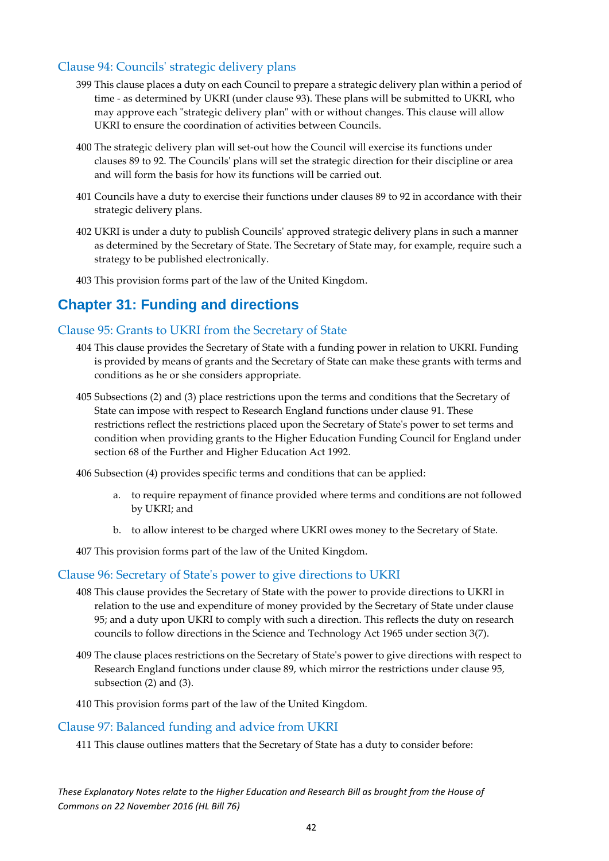### <span id="page-42-0"></span>Clause 94: Councils' strategic delivery plans

- 399 This clause places a duty on each Council to prepare a strategic delivery plan within a period of time - as determined by UKRI (under clause 93). These plans will be submitted to UKRI, who may approve each "strategic delivery plan" with or without changes. This clause will allow UKRI to ensure the coordination of activities between Councils.
- 400 The strategic delivery plan will set-out how the Council will exercise its functions under clauses 89 to 92. The Councils' plans will set the strategic direction for their discipline or area and will form the basis for how its functions will be carried out.
- 401 Councils have a duty to exercise their functions under clauses 89 to 92 in accordance with their strategic delivery plans.
- 402 UKRI is under a duty to publish Councils' approved strategic delivery plans in such a manner as determined by the Secretary of State. The Secretary of State may, for example, require such a strategy to be published electronically.
- 403 This provision forms part of the law of the United Kingdom.

### <span id="page-42-1"></span>**Chapter 31: Funding and directions**

### <span id="page-42-2"></span>Clause 95: Grants to UKRI from the Secretary of State

- 404 This clause provides the Secretary of State with a funding power in relation to UKRI. Funding is provided by means of grants and the Secretary of State can make these grants with terms and conditions as he or she considers appropriate.
- 405 Subsections (2) and (3) place restrictions upon the terms and conditions that the Secretary of State can impose with respect to Research England functions under clause 91. These restrictions reflect the restrictions placed upon the Secretary of State's power to set terms and condition when providing grants to the Higher Education Funding Council for England under section 68 of the Further and Higher Education Act 1992.

406 Subsection (4) provides specific terms and conditions that can be applied:

- a. to require repayment of finance provided where terms and conditions are not followed by UKRI; and
- b. to allow interest to be charged where UKRI owes money to the Secretary of State.

407 This provision forms part of the law of the United Kingdom.

### <span id="page-42-3"></span>Clause 96: Secretary of State's power to give directions to UKRI

- 408 This clause provides the Secretary of State with the power to provide directions to UKRI in relation to the use and expenditure of money provided by the Secretary of State under clause 95; and a duty upon UKRI to comply with such a direction. This reflects the duty on research councils to follow directions in the Science and Technology Act 1965 under section 3(7).
- 409 The clause places restrictions on the Secretary of State's power to give directions with respect to Research England functions under clause 89, which mirror the restrictions under clause 95, subsection (2) and (3).
- 410 This provision forms part of the law of the United Kingdom.

### <span id="page-42-4"></span>Clause 97: Balanced funding and advice from UKRI

411 This clause outlines matters that the Secretary of State has a duty to consider before: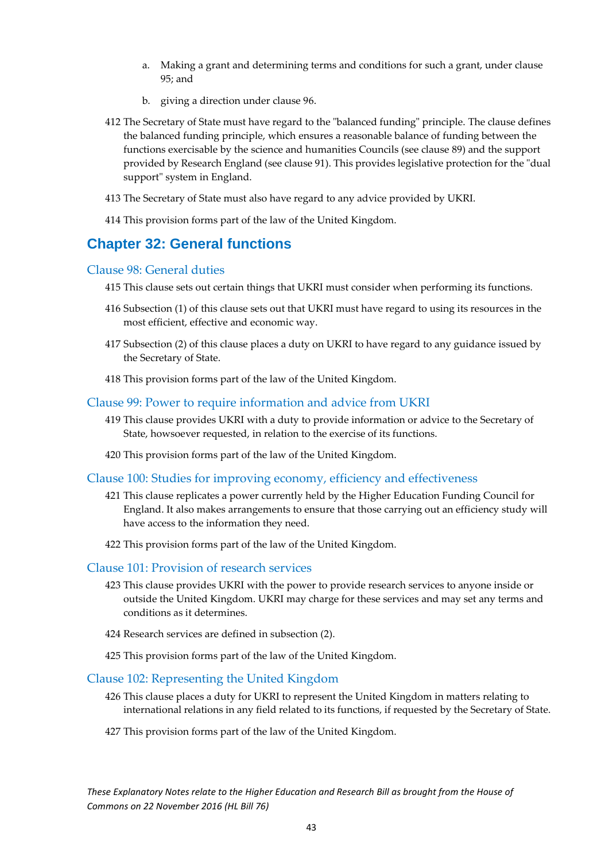- a. Making a grant and determining terms and conditions for such a grant, under clause 95; and
- b. giving a direction under clause 96.
- 412 The Secretary of State must have regard to the "balanced funding" principle. The clause defines the balanced funding principle, which ensures a reasonable balance of funding between the functions exercisable by the science and humanities Councils (see clause 89) and the support provided by Research England (see clause 91). This provides legislative protection for the "dual support" system in England.
- 413 The Secretary of State must also have regard to any advice provided by UKRI.
- 414 This provision forms part of the law of the United Kingdom.

### <span id="page-43-0"></span>**Chapter 32: General functions**

#### <span id="page-43-1"></span>Clause 98: General duties

- 415 This clause sets out certain things that UKRI must consider when performing its functions.
- 416 Subsection (1) of this clause sets out that UKRI must have regard to using its resources in the most efficient, effective and economic way.
- 417 Subsection (2) of this clause places a duty on UKRI to have regard to any guidance issued by the Secretary of State.
- 418 This provision forms part of the law of the United Kingdom.

### <span id="page-43-2"></span>Clause 99: Power to require information and advice from UKRI

- 419 This clause provides UKRI with a duty to provide information or advice to the Secretary of State, howsoever requested, in relation to the exercise of its functions.
- 420 This provision forms part of the law of the United Kingdom.

#### <span id="page-43-3"></span>Clause 100: Studies for improving economy, efficiency and effectiveness

- 421 This clause replicates a power currently held by the Higher Education Funding Council for England. It also makes arrangements to ensure that those carrying out an efficiency study will have access to the information they need.
- 422 This provision forms part of the law of the United Kingdom.

#### <span id="page-43-4"></span>Clause 101: Provision of research services

- 423 This clause provides UKRI with the power to provide research services to anyone inside or outside the United Kingdom. UKRI may charge for these services and may set any terms and conditions as it determines.
- 424 Research services are defined in subsection (2).
- 425 This provision forms part of the law of the United Kingdom.

#### <span id="page-43-5"></span>Clause 102: Representing the United Kingdom

- 426 This clause places a duty for UKRI to represent the United Kingdom in matters relating to international relations in any field related to its functions, if requested by the Secretary of State.
- 427 This provision forms part of the law of the United Kingdom.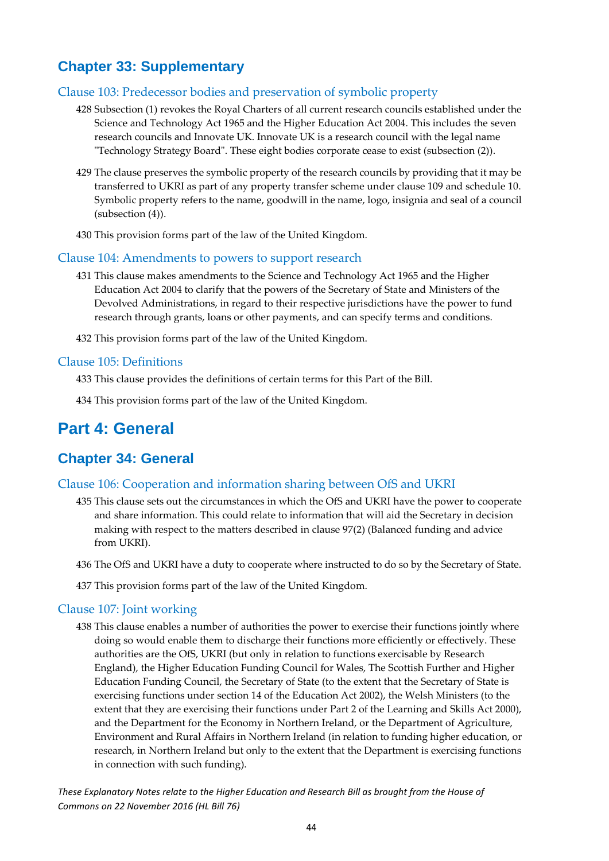### <span id="page-44-0"></span>**Chapter 33: Supplementary**

### <span id="page-44-1"></span>Clause 103: Predecessor bodies and preservation of symbolic property

- 428 Subsection (1) revokes the Royal Charters of all current research councils established under the Science and Technology Act 1965 and the Higher Education Act 2004. This includes the seven research councils and Innovate UK. Innovate UK is a research council with the legal name "Technology Strategy Board". These eight bodies corporate cease to exist (subsection (2)).
- 429 The clause preserves the symbolic property of the research councils by providing that it may be transferred to UKRI as part of any property transfer scheme under clause 109 and schedule 10. Symbolic property refers to the name, goodwill in the name, logo, insignia and seal of a council (subsection (4)).
- 430 This provision forms part of the law of the United Kingdom.

### <span id="page-44-2"></span>Clause 104: Amendments to powers to support research

- 431 This clause makes amendments to the Science and Technology Act 1965 and the Higher Education Act 2004 to clarify that the powers of the Secretary of State and Ministers of the Devolved Administrations, in regard to their respective jurisdictions have the power to fund research through grants, loans or other payments, and can specify terms and conditions.
- 432 This provision forms part of the law of the United Kingdom.

### <span id="page-44-3"></span>Clause 105: Definitions

433 This clause provides the definitions of certain terms for this Part of the Bill.

434 This provision forms part of the law of the United Kingdom.

### <span id="page-44-4"></span>**Part 4: General**

### <span id="page-44-5"></span>**Chapter 34: General**

### <span id="page-44-6"></span>Clause 106: Cooperation and information sharing between OfS and UKRI

- 435 This clause sets out the circumstances in which the OfS and UKRI have the power to cooperate and share information. This could relate to information that will aid the Secretary in decision making with respect to the matters described in clause 97(2) (Balanced funding and advice from UKRI).
- 436 The OfS and UKRI have a duty to cooperate where instructed to do so by the Secretary of State.
- 437 This provision forms part of the law of the United Kingdom.

### <span id="page-44-7"></span>Clause 107: Joint working

438 This clause enables a number of authorities the power to exercise their functions jointly where doing so would enable them to discharge their functions more efficiently or effectively. These authorities are the OfS, UKRI (but only in relation to functions exercisable by Research England), the Higher Education Funding Council for Wales, The Scottish Further and Higher Education Funding Council, the Secretary of State (to the extent that the Secretary of State is exercising functions under section 14 of the Education Act 2002), the Welsh Ministers (to the extent that they are exercising their functions under Part 2 of the Learning and Skills Act 2000), and the Department for the Economy in Northern Ireland, or the Department of Agriculture, Environment and Rural Affairs in Northern Ireland (in relation to funding higher education, or research, in Northern Ireland but only to the extent that the Department is exercising functions in connection with such funding).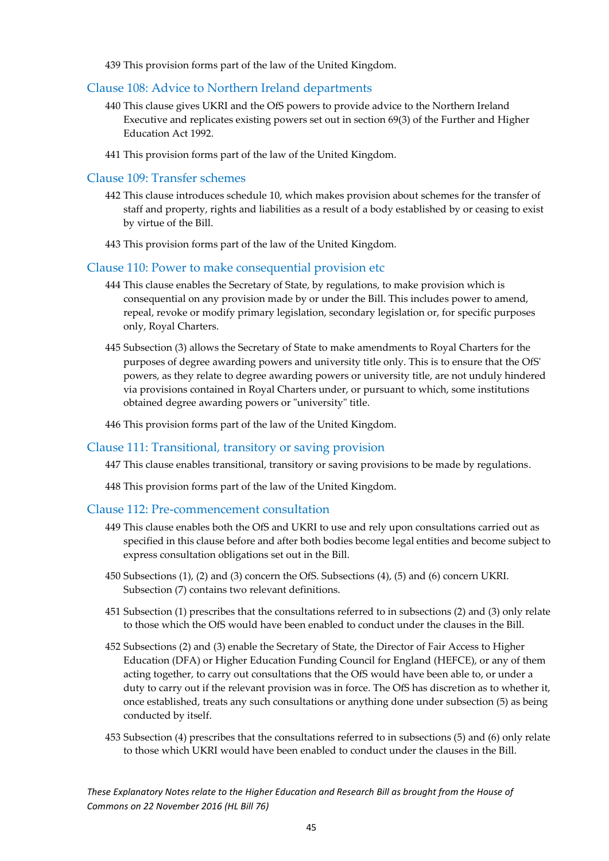439 This provision forms part of the law of the United Kingdom.

### <span id="page-45-0"></span>Clause 108: Advice to Northern Ireland departments

- 440 This clause gives UKRI and the OfS powers to provide advice to the Northern Ireland Executive and replicates existing powers set out in section 69(3) of the Further and Higher Education Act 1992.
- 441 This provision forms part of the law of the United Kingdom.

#### <span id="page-45-1"></span>Clause 109: Transfer schemes

- 442 This clause introduces schedule 10, which makes provision about schemes for the transfer of staff and property, rights and liabilities as a result of a body established by or ceasing to exist by virtue of the Bill.
- 443 This provision forms part of the law of the United Kingdom.

#### <span id="page-45-2"></span>Clause 110: Power to make consequential provision etc

- 444 This clause enables the Secretary of State, by regulations, to make provision which is consequential on any provision made by or under the Bill. This includes power to amend, repeal, revoke or modify primary legislation, secondary legislation or, for specific purposes only, Royal Charters.
- 445 Subsection (3) allows the Secretary of State to make amendments to Royal Charters for the purposes of degree awarding powers and university title only. This is to ensure that the OfS' powers, as they relate to degree awarding powers or university title, are not unduly hindered via provisions contained in Royal Charters under, or pursuant to which, some institutions obtained degree awarding powers or "university" title.
- 446 This provision forms part of the law of the United Kingdom.

#### <span id="page-45-3"></span>Clause 111: Transitional, transitory or saving provision

- 447 This clause enables transitional, transitory or saving provisions to be made by regulations.
- 448 This provision forms part of the law of the United Kingdom.

#### <span id="page-45-4"></span>Clause 112: Pre-commencement consultation

- 449 This clause enables both the OfS and UKRI to use and rely upon consultations carried out as specified in this clause before and after both bodies become legal entities and become subject to express consultation obligations set out in the Bill.
- 450 Subsections (1), (2) and (3) concern the OfS. Subsections (4), (5) and (6) concern UKRI. Subsection (7) contains two relevant definitions.
- 451 Subsection (1) prescribes that the consultations referred to in subsections (2) and (3) only relate to those which the OfS would have been enabled to conduct under the clauses in the Bill.
- 452 Subsections (2) and (3) enable the Secretary of State, the Director of Fair Access to Higher Education (DFA) or Higher Education Funding Council for England (HEFCE), or any of them acting together, to carry out consultations that the OfS would have been able to, or under a duty to carry out if the relevant provision was in force. The OfS has discretion as to whether it, once established, treats any such consultations or anything done under subsection (5) as being conducted by itself.
- 453 Subsection (4) prescribes that the consultations referred to in subsections (5) and (6) only relate to those which UKRI would have been enabled to conduct under the clauses in the Bill.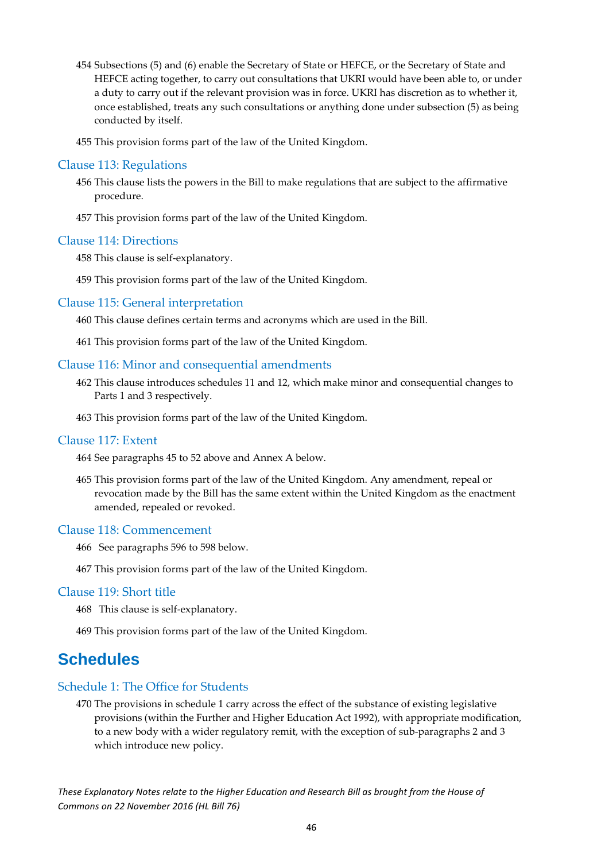- 454 Subsections (5) and (6) enable the Secretary of State or HEFCE, or the Secretary of State and HEFCE acting together, to carry out consultations that UKRI would have been able to, or under a duty to carry out if the relevant provision was in force. UKRI has discretion as to whether it, once established, treats any such consultations or anything done under subsection (5) as being conducted by itself.
- 455 This provision forms part of the law of the United Kingdom.

### <span id="page-46-0"></span>Clause 113: Regulations

- 456 This clause lists the powers in the Bill to make regulations that are subject to the affirmative procedure.
- 457 This provision forms part of the law of the United Kingdom.

#### <span id="page-46-1"></span>Clause 114: Directions

458 This clause is self-explanatory.

459 This provision forms part of the law of the United Kingdom.

### <span id="page-46-2"></span>Clause 115: General interpretation

460 This clause defines certain terms and acronyms which are used in the Bill.

461 This provision forms part of the law of the United Kingdom.

### <span id="page-46-3"></span>Clause 116: Minor and consequential amendments

- 462 This clause introduces schedules 11 and 12, which make minor and consequential changes to Parts 1 and 3 respectively.
- 463 This provision forms part of the law of the United Kingdom.

### <span id="page-46-4"></span>Clause 117: Extent

464 See paragraphs 45 to 52 above and Annex A below.

465 This provision forms part of the law of the United Kingdom. Any amendment, repeal or revocation made by the Bill has the same extent within the United Kingdom as the enactment amended, repealed or revoked.

### <span id="page-46-5"></span>Clause 118: Commencement

- 466 See paragraphs 596 to 598 below.
- 467 This provision forms part of the law of the United Kingdom.

#### <span id="page-46-6"></span>Clause 119: Short title

468 This clause is self-explanatory.

469 This provision forms part of the law of the United Kingdom.

### <span id="page-46-7"></span>**Schedules**

### <span id="page-46-8"></span>Schedule 1: The Office for Students

470 The provisions in schedule 1 carry across the effect of the substance of existing legislative provisions (within the Further and Higher Education Act 1992), with appropriate modification, to a new body with a wider regulatory remit, with the exception of sub-paragraphs 2 and 3 which introduce new policy.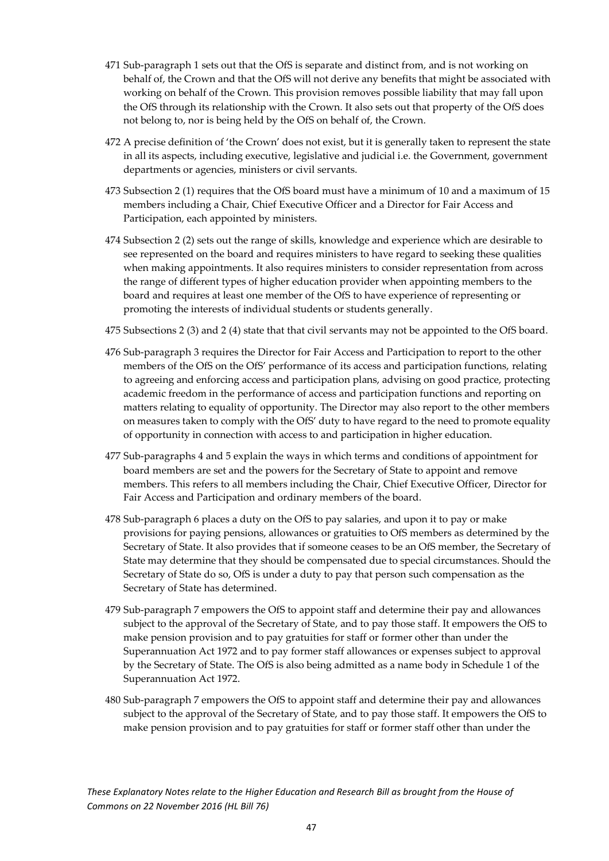- 471 Sub-paragraph 1 sets out that the OfS is separate and distinct from, and is not working on behalf of, the Crown and that the OfS will not derive any benefits that might be associated with working on behalf of the Crown. This provision removes possible liability that may fall upon the OfS through its relationship with the Crown. It also sets out that property of the OfS does not belong to, nor is being held by the OfS on behalf of, the Crown.
- 472 A precise definition of 'the Crown' does not exist, but it is generally taken to represent the state in all its aspects, including executive, legislative and judicial i.e. the Government, government departments or agencies, ministers or civil servants.
- 473 Subsection 2 (1) requires that the OfS board must have a minimum of 10 and a maximum of 15 members including a Chair, Chief Executive Officer and a Director for Fair Access and Participation, each appointed by ministers.
- 474 Subsection 2 (2) sets out the range of skills, knowledge and experience which are desirable to see represented on the board and requires ministers to have regard to seeking these qualities when making appointments. It also requires ministers to consider representation from across the range of different types of higher education provider when appointing members to the board and requires at least one member of the OfS to have experience of representing or promoting the interests of individual students or students generally.
- 475 Subsections 2 (3) and 2 (4) state that that civil servants may not be appointed to the OfS board.
- 476 Sub-paragraph 3 requires the Director for Fair Access and Participation to report to the other members of the OfS on the OfS' performance of its access and participation functions, relating to agreeing and enforcing access and participation plans, advising on good practice, protecting academic freedom in the performance of access and participation functions and reporting on matters relating to equality of opportunity. The Director may also report to the other members on measures taken to comply with the OfS' duty to have regard to the need to promote equality of opportunity in connection with access to and participation in higher education.
- 477 Sub-paragraphs 4 and 5 explain the ways in which terms and conditions of appointment for board members are set and the powers for the Secretary of State to appoint and remove members. This refers to all members including the Chair, Chief Executive Officer, Director for Fair Access and Participation and ordinary members of the board.
- 478 Sub-paragraph 6 places a duty on the OfS to pay salaries, and upon it to pay or make provisions for paying pensions, allowances or gratuities to OfS members as determined by the Secretary of State. It also provides that if someone ceases to be an OfS member, the Secretary of State may determine that they should be compensated due to special circumstances. Should the Secretary of State do so, OfS is under a duty to pay that person such compensation as the Secretary of State has determined.
- 479 Sub-paragraph 7 empowers the OfS to appoint staff and determine their pay and allowances subject to the approval of the Secretary of State, and to pay those staff. It empowers the OfS to make pension provision and to pay gratuities for staff or former other than under the Superannuation Act 1972 and to pay former staff allowances or expenses subject to approval by the Secretary of State. The OfS is also being admitted as a name body in Schedule 1 of the Superannuation Act 1972.
- 480 Sub‐paragraph 7 empowers the OfS to appoint staff and determine their pay and allowances subject to the approval of the Secretary of State, and to pay those staff. It empowers the OfS to make pension provision and to pay gratuities for staff or former staff other than under the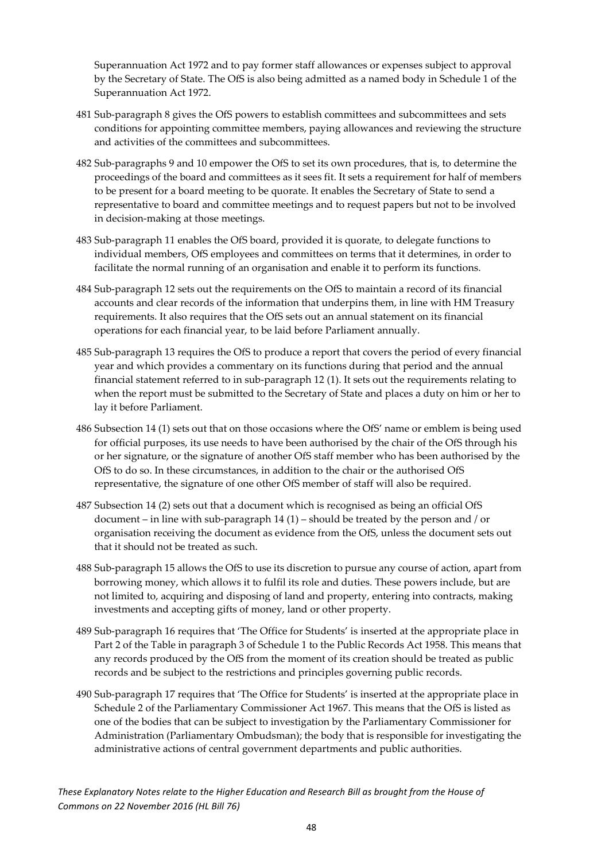Superannuation Act 1972 and to pay former staff allowances or expenses subject to approval by the Secretary of State. The OfS is also being admitted as a named body in Schedule 1 of the Superannuation Act 1972.

- 481 Sub-paragraph 8 gives the OfS powers to establish committees and subcommittees and sets conditions for appointing committee members, paying allowances and reviewing the structure and activities of the committees and subcommittees.
- 482 Sub-paragraphs 9 and 10 empower the OfS to set its own procedures, that is, to determine the proceedings of the board and committees as it sees fit. It sets a requirement for half of members to be present for a board meeting to be quorate. It enables the Secretary of State to send a representative to board and committee meetings and to request papers but not to be involved in decision-making at those meetings.
- 483 Sub-paragraph 11 enables the OfS board, provided it is quorate, to delegate functions to individual members, OfS employees and committees on terms that it determines, in order to facilitate the normal running of an organisation and enable it to perform its functions.
- 484 Sub-paragraph 12 sets out the requirements on the OfS to maintain a record of its financial accounts and clear records of the information that underpins them, in line with HM Treasury requirements. It also requires that the OfS sets out an annual statement on its financial operations for each financial year, to be laid before Parliament annually.
- 485 Sub-paragraph 13 requires the OfS to produce a report that covers the period of every financial year and which provides a commentary on its functions during that period and the annual financial statement referred to in sub-paragraph 12 (1). It sets out the requirements relating to when the report must be submitted to the Secretary of State and places a duty on him or her to lay it before Parliament.
- 486 Subsection 14 (1) sets out that on those occasions where the OfS' name or emblem is being used for official purposes, its use needs to have been authorised by the chair of the OfS through his or her signature, or the signature of another OfS staff member who has been authorised by the OfS to do so. In these circumstances, in addition to the chair or the authorised OfS representative, the signature of one other OfS member of staff will also be required.
- 487 Subsection 14 (2) sets out that a document which is recognised as being an official OfS document – in line with sub-paragraph  $14 (1)$  – should be treated by the person and / or organisation receiving the document as evidence from the OfS, unless the document sets out that it should not be treated as such.
- 488 Sub-paragraph 15 allows the OfS to use its discretion to pursue any course of action, apart from borrowing money, which allows it to fulfil its role and duties. These powers include, but are not limited to, acquiring and disposing of land and property, entering into contracts, making investments and accepting gifts of money, land or other property.
- 489 Sub-paragraph 16 requires that 'The Office for Students' is inserted at the appropriate place in Part 2 of the Table in paragraph 3 of Schedule 1 to the Public Records Act 1958. This means that any records produced by the OfS from the moment of its creation should be treated as public records and be subject to the restrictions and principles governing public records.
- 490 Sub-paragraph 17 requires that 'The Office for Students' is inserted at the appropriate place in Schedule 2 of the Parliamentary Commissioner Act 1967. This means that the OfS is listed as one of the bodies that can be subject to investigation by the Parliamentary Commissioner for Administration (Parliamentary Ombudsman); the body that is responsible for investigating the administrative actions of central government departments and public authorities.

*These Explanatory Notes relate to the Higher Education and Research Bill as brought from the House of Commons on 22 November 2016 (HL Bill 76)*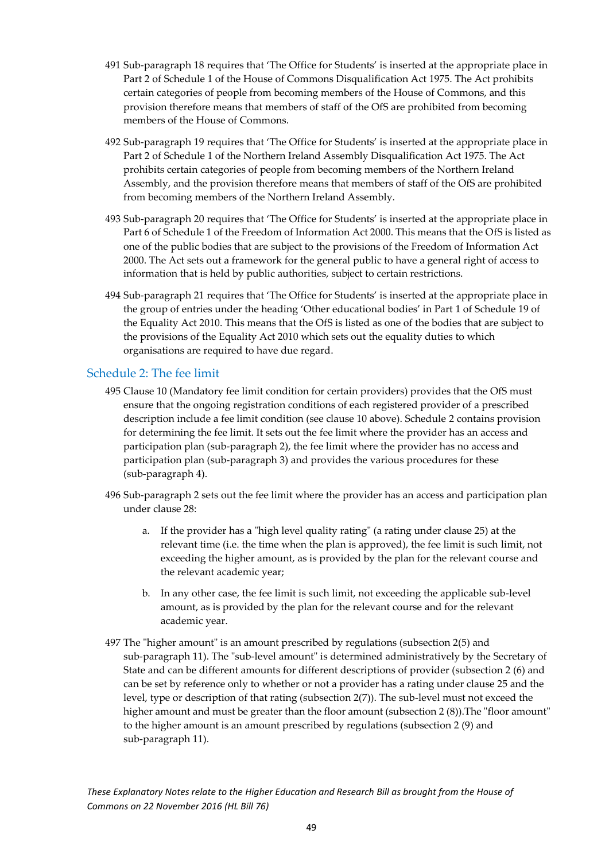- 491 Sub-paragraph 18 requires that 'The Office for Students' is inserted at the appropriate place in Part 2 of Schedule 1 of the House of Commons Disqualification Act 1975. The Act prohibits certain categories of people from becoming members of the House of Commons, and this provision therefore means that members of staff of the OfS are prohibited from becoming members of the House of Commons.
- 492 Sub-paragraph 19 requires that 'The Office for Students' is inserted at the appropriate place in Part 2 of Schedule 1 of the Northern Ireland Assembly Disqualification Act 1975. The Act prohibits certain categories of people from becoming members of the Northern Ireland Assembly, and the provision therefore means that members of staff of the OfS are prohibited from becoming members of the Northern Ireland Assembly.
- 493 Sub-paragraph 20 requires that 'The Office for Students' is inserted at the appropriate place in Part 6 of Schedule 1 of the Freedom of Information Act 2000. This means that the OfS is listed as one of the public bodies that are subject to the provisions of the Freedom of Information Act 2000. The Act sets out a framework for the general public to have a general right of access to information that is held by public authorities, subject to certain restrictions.
- 494 Sub-paragraph 21 requires that 'The Office for Students' is inserted at the appropriate place in the group of entries under the heading 'Other educational bodies' in Part 1 of Schedule 19 of the Equality Act 2010. This means that the OfS is listed as one of the bodies that are subject to the provisions of the Equality Act 2010 which sets out the equality duties to which organisations are required to have due regard.

### <span id="page-49-0"></span>Schedule 2: The fee limit

- 495 Clause 10 (Mandatory fee limit condition for certain providers) provides that the OfS must ensure that the ongoing registration conditions of each registered provider of a prescribed description include a fee limit condition (see clause 10 above). Schedule 2 contains provision for determining the fee limit. It sets out the fee limit where the provider has an access and participation plan (sub-paragraph 2), the fee limit where the provider has no access and participation plan (sub-paragraph 3) and provides the various procedures for these (sub-paragraph 4).
- 496 Sub-paragraph 2 sets out the fee limit where the provider has an access and participation plan under clause 28:
	- a. If the provider has a "high level quality rating" (a rating under clause 25) at the relevant time (i.e. the time when the plan is approved), the fee limit is such limit, not exceeding the higher amount, as is provided by the plan for the relevant course and the relevant academic year;
	- b. In any other case, the fee limit is such limit, not exceeding the applicable sub-level amount, as is provided by the plan for the relevant course and for the relevant academic year.
- 497 The "higher amount" is an amount prescribed by regulations (subsection 2(5) and sub-paragraph 11). The "sub-level amount" is determined administratively by the Secretary of State and can be different amounts for different descriptions of provider (subsection 2 (6) and can be set by reference only to whether or not a provider has a rating under clause 25 and the level, type or description of that rating (subsection 2(7)). The sub-level must not exceed the higher amount and must be greater than the floor amount (subsection 2 (8)). The "floor amount" to the higher amount is an amount prescribed by regulations (subsection 2 (9) and sub-paragraph 11).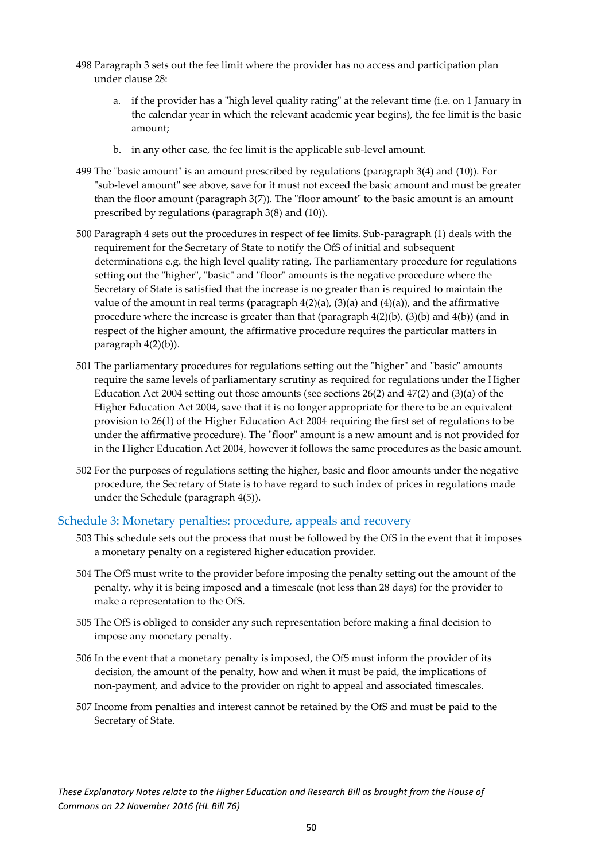- 498 Paragraph 3 sets out the fee limit where the provider has no access and participation plan under clause 28:
	- a. if the provider has a "high level quality rating" at the relevant time (i.e. on 1 January in the calendar year in which the relevant academic year begins), the fee limit is the basic amount;
	- b. in any other case, the fee limit is the applicable sub-level amount.
- 499 The "basic amount" is an amount prescribed by regulations (paragraph 3(4) and (10)). For "sub-level amount" see above, save for it must not exceed the basic amount and must be greater than the floor amount (paragraph 3(7)). The "floor amount" to the basic amount is an amount prescribed by regulations (paragraph 3(8) and (10)).
- 500 Paragraph 4 sets out the procedures in respect of fee limits. Sub-paragraph (1) deals with the requirement for the Secretary of State to notify the OfS of initial and subsequent determinations e.g. the high level quality rating. The parliamentary procedure for regulations setting out the "higher", "basic" and "floor" amounts is the negative procedure where the Secretary of State is satisfied that the increase is no greater than is required to maintain the value of the amount in real terms (paragraph  $4(2)(a)$ ,  $(3)(a)$  and  $(4)(a)$ ), and the affirmative procedure where the increase is greater than that (paragraph 4(2)(b), (3)(b) and 4(b)) (and in respect of the higher amount, the affirmative procedure requires the particular matters in paragraph 4(2)(b)).
- 501 The parliamentary procedures for regulations setting out the "higher" and "basic" amounts require the same levels of parliamentary scrutiny as required for regulations under the Higher Education Act 2004 setting out those amounts (see sections 26(2) and 47(2) and (3)(a) of the Higher Education Act 2004, save that it is no longer appropriate for there to be an equivalent provision to 26(1) of the Higher Education Act 2004 requiring the first set of regulations to be under the affirmative procedure). The "floor" amount is a new amount and is not provided for in the Higher Education Act 2004, however it follows the same procedures as the basic amount.
- 502 For the purposes of regulations setting the higher, basic and floor amounts under the negative procedure, the Secretary of State is to have regard to such index of prices in regulations made under the Schedule (paragraph 4(5)).

### <span id="page-50-0"></span>Schedule 3: Monetary penalties: procedure, appeals and recovery

- 503 This schedule sets out the process that must be followed by the OfS in the event that it imposes a monetary penalty on a registered higher education provider.
- 504 The OfS must write to the provider before imposing the penalty setting out the amount of the penalty, why it is being imposed and a timescale (not less than 28 days) for the provider to make a representation to the OfS.
- 505 The OfS is obliged to consider any such representation before making a final decision to impose any monetary penalty.
- 506 In the event that a monetary penalty is imposed, the OfS must inform the provider of its decision, the amount of the penalty, how and when it must be paid, the implications of non-payment, and advice to the provider on right to appeal and associated timescales.
- 507 Income from penalties and interest cannot be retained by the OfS and must be paid to the Secretary of State.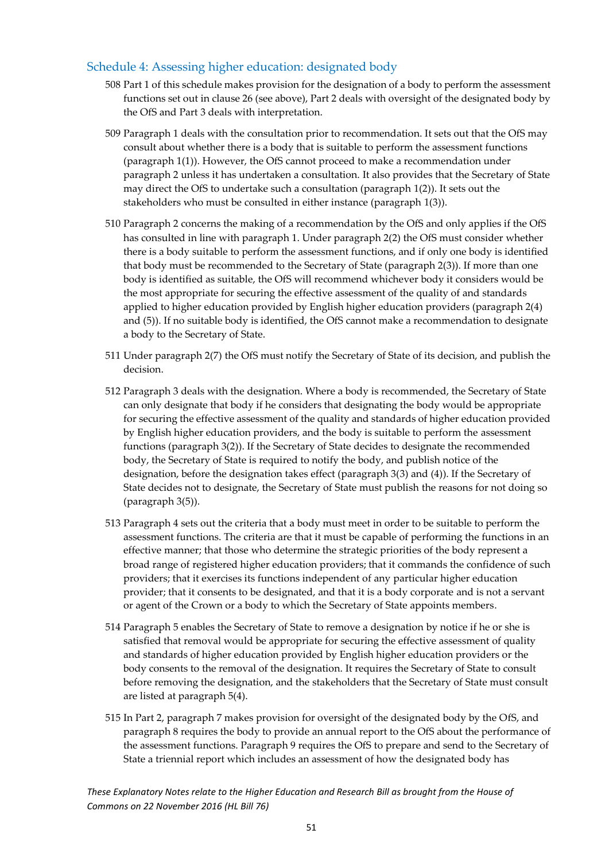### <span id="page-51-0"></span>Schedule 4: Assessing higher education: designated body

- 508 Part 1 of this schedule makes provision for the designation of a body to perform the assessment functions set out in clause 26 (see above), Part 2 deals with oversight of the designated body by the OfS and Part 3 deals with interpretation.
- 509 Paragraph 1 deals with the consultation prior to recommendation. It sets out that the OfS may consult about whether there is a body that is suitable to perform the assessment functions (paragraph 1(1)). However, the OfS cannot proceed to make a recommendation under paragraph 2 unless it has undertaken a consultation. It also provides that the Secretary of State may direct the OfS to undertake such a consultation (paragraph 1(2)). It sets out the stakeholders who must be consulted in either instance (paragraph 1(3)).
- 510 Paragraph 2 concerns the making of a recommendation by the OfS and only applies if the OfS has consulted in line with paragraph 1. Under paragraph 2(2) the OfS must consider whether there is a body suitable to perform the assessment functions, and if only one body is identified that body must be recommended to the Secretary of State (paragraph 2(3)). If more than one body is identified as suitable, the OfS will recommend whichever body it considers would be the most appropriate for securing the effective assessment of the quality of and standards applied to higher education provided by English higher education providers (paragraph 2(4) and (5)). If no suitable body is identified, the OfS cannot make a recommendation to designate a body to the Secretary of State.
- 511 Under paragraph 2(7) the OfS must notify the Secretary of State of its decision, and publish the decision.
- 512 Paragraph 3 deals with the designation. Where a body is recommended, the Secretary of State can only designate that body if he considers that designating the body would be appropriate for securing the effective assessment of the quality and standards of higher education provided by English higher education providers, and the body is suitable to perform the assessment functions (paragraph 3(2)). If the Secretary of State decides to designate the recommended body, the Secretary of State is required to notify the body, and publish notice of the designation, before the designation takes effect (paragraph 3(3) and (4)). If the Secretary of State decides not to designate, the Secretary of State must publish the reasons for not doing so (paragraph 3(5)).
- 513 Paragraph 4 sets out the criteria that a body must meet in order to be suitable to perform the assessment functions. The criteria are that it must be capable of performing the functions in an effective manner; that those who determine the strategic priorities of the body represent a broad range of registered higher education providers; that it commands the confidence of such providers; that it exercises its functions independent of any particular higher education provider; that it consents to be designated, and that it is a body corporate and is not a servant or agent of the Crown or a body to which the Secretary of State appoints members.
- 514 Paragraph 5 enables the Secretary of State to remove a designation by notice if he or she is satisfied that removal would be appropriate for securing the effective assessment of quality and standards of higher education provided by English higher education providers or the body consents to the removal of the designation. It requires the Secretary of State to consult before removing the designation, and the stakeholders that the Secretary of State must consult are listed at paragraph 5(4).
- 515 In Part 2, paragraph 7 makes provision for oversight of the designated body by the OfS, and paragraph 8 requires the body to provide an annual report to the OfS about the performance of the assessment functions. Paragraph 9 requires the OfS to prepare and send to the Secretary of State a triennial report which includes an assessment of how the designated body has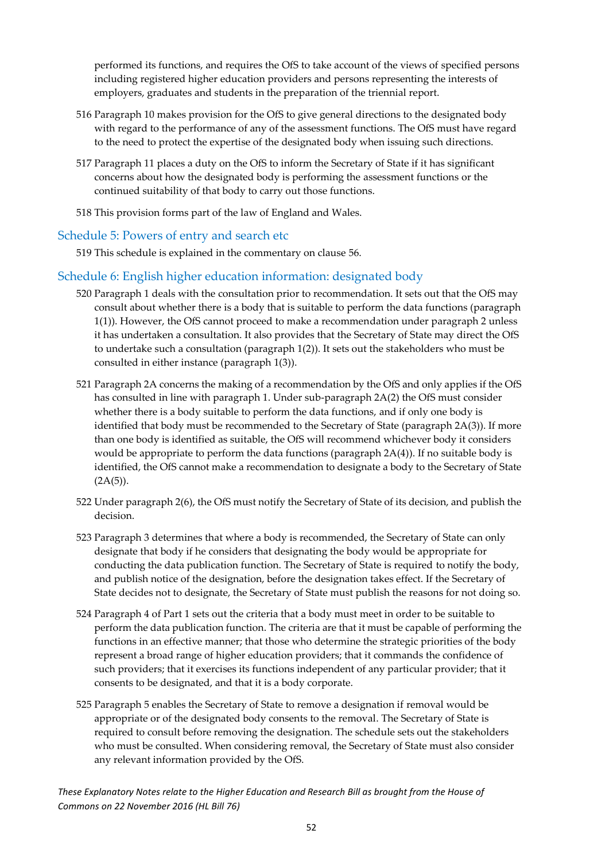performed its functions, and requires the OfS to take account of the views of specified persons including registered higher education providers and persons representing the interests of employers, graduates and students in the preparation of the triennial report.

- 516 Paragraph 10 makes provision for the OfS to give general directions to the designated body with regard to the performance of any of the assessment functions. The OfS must have regard to the need to protect the expertise of the designated body when issuing such directions.
- 517 Paragraph 11 places a duty on the OfS to inform the Secretary of State if it has significant concerns about how the designated body is performing the assessment functions or the continued suitability of that body to carry out those functions.
- 518 This provision forms part of the law of England and Wales.

### <span id="page-52-0"></span>Schedule 5: Powers of entry and search etc

519 This schedule is explained in the commentary on clause 56.

### <span id="page-52-1"></span>Schedule 6: English higher education information: designated body

- 520 Paragraph 1 deals with the consultation prior to recommendation. It sets out that the OfS may consult about whether there is a body that is suitable to perform the data functions (paragraph 1(1)). However, the OfS cannot proceed to make a recommendation under paragraph 2 unless it has undertaken a consultation. It also provides that the Secretary of State may direct the OfS to undertake such a consultation (paragraph 1(2)). It sets out the stakeholders who must be consulted in either instance (paragraph 1(3)).
- 521 Paragraph 2A concerns the making of a recommendation by the OfS and only applies if the OfS has consulted in line with paragraph 1. Under sub-paragraph 2A(2) the OfS must consider whether there is a body suitable to perform the data functions, and if only one body is identified that body must be recommended to the Secretary of State (paragraph 2A(3)). If more than one body is identified as suitable, the OfS will recommend whichever body it considers would be appropriate to perform the data functions (paragraph 2A(4)). If no suitable body is identified, the OfS cannot make a recommendation to designate a body to the Secretary of State  $(2A(5)).$
- 522 Under paragraph 2(6), the OfS must notify the Secretary of State of its decision, and publish the decision.
- 523 Paragraph 3 determines that where a body is recommended, the Secretary of State can only designate that body if he considers that designating the body would be appropriate for conducting the data publication function. The Secretary of State is required to notify the body, and publish notice of the designation, before the designation takes effect. If the Secretary of State decides not to designate, the Secretary of State must publish the reasons for not doing so.
- 524 Paragraph 4 of Part 1 sets out the criteria that a body must meet in order to be suitable to perform the data publication function. The criteria are that it must be capable of performing the functions in an effective manner; that those who determine the strategic priorities of the body represent a broad range of higher education providers; that it commands the confidence of such providers; that it exercises its functions independent of any particular provider; that it consents to be designated, and that it is a body corporate.
- 525 Paragraph 5 enables the Secretary of State to remove a designation if removal would be appropriate or of the designated body consents to the removal. The Secretary of State is required to consult before removing the designation. The schedule sets out the stakeholders who must be consulted. When considering removal, the Secretary of State must also consider any relevant information provided by the OfS.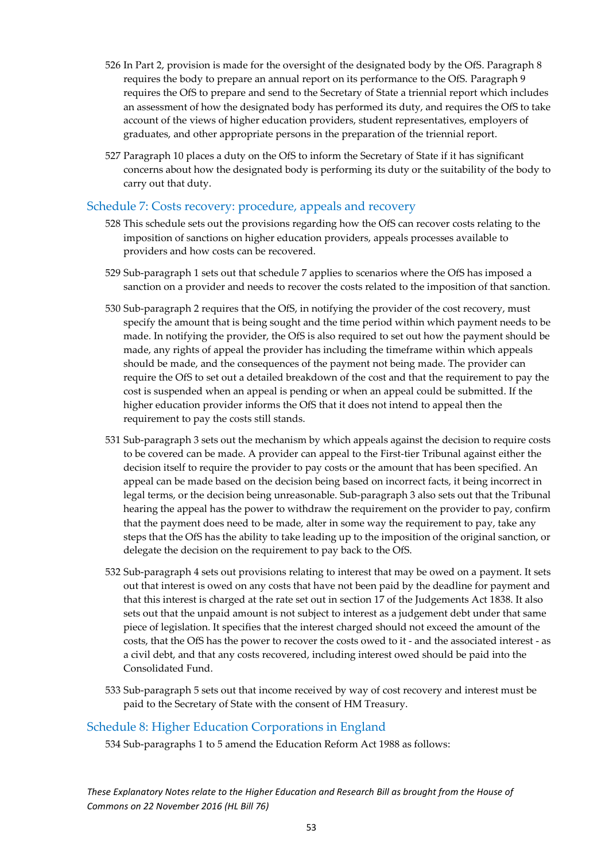- 526 In Part 2, provision is made for the oversight of the designated body by the OfS. Paragraph 8 requires the body to prepare an annual report on its performance to the OfS. Paragraph 9 requires the OfS to prepare and send to the Secretary of State a triennial report which includes an assessment of how the designated body has performed its duty, and requires the OfS to take account of the views of higher education providers, student representatives, employers of graduates, and other appropriate persons in the preparation of the triennial report.
- 527 Paragraph 10 places a duty on the OfS to inform the Secretary of State if it has significant concerns about how the designated body is performing its duty or the suitability of the body to carry out that duty.

### <span id="page-53-0"></span>Schedule 7: Costs recovery: procedure, appeals and recovery

- 528 This schedule sets out the provisions regarding how the OfS can recover costs relating to the imposition of sanctions on higher education providers, appeals processes available to providers and how costs can be recovered.
- 529 Sub-paragraph 1 sets out that schedule 7 applies to scenarios where the OfS has imposed a sanction on a provider and needs to recover the costs related to the imposition of that sanction.
- 530 Sub-paragraph 2 requires that the OfS, in notifying the provider of the cost recovery, must specify the amount that is being sought and the time period within which payment needs to be made. In notifying the provider, the OfS is also required to set out how the payment should be made, any rights of appeal the provider has including the timeframe within which appeals should be made, and the consequences of the payment not being made. The provider can require the OfS to set out a detailed breakdown of the cost and that the requirement to pay the cost is suspended when an appeal is pending or when an appeal could be submitted. If the higher education provider informs the OfS that it does not intend to appeal then the requirement to pay the costs still stands.
- 531 Sub-paragraph 3 sets out the mechanism by which appeals against the decision to require costs to be covered can be made. A provider can appeal to the First-tier Tribunal against either the decision itself to require the provider to pay costs or the amount that has been specified. An appeal can be made based on the decision being based on incorrect facts, it being incorrect in legal terms, or the decision being unreasonable. Sub-paragraph 3 also sets out that the Tribunal hearing the appeal has the power to withdraw the requirement on the provider to pay, confirm that the payment does need to be made, alter in some way the requirement to pay, take any steps that the OfS has the ability to take leading up to the imposition of the original sanction, or delegate the decision on the requirement to pay back to the OfS.
- 532 Sub-paragraph 4 sets out provisions relating to interest that may be owed on a payment. It sets out that interest is owed on any costs that have not been paid by the deadline for payment and that this interest is charged at the rate set out in section 17 of the Judgements Act 1838. It also sets out that the unpaid amount is not subject to interest as a judgement debt under that same piece of legislation. It specifies that the interest charged should not exceed the amount of the costs, that the OfS has the power to recover the costs owed to it - and the associated interest - as a civil debt, and that any costs recovered, including interest owed should be paid into the Consolidated Fund.
- 533 Sub-paragraph 5 sets out that income received by way of cost recovery and interest must be paid to the Secretary of State with the consent of HM Treasury.

### <span id="page-53-1"></span>Schedule 8: Higher Education Corporations in England

534 Sub-paragraphs 1 to 5 amend the Education Reform Act 1988 as follows: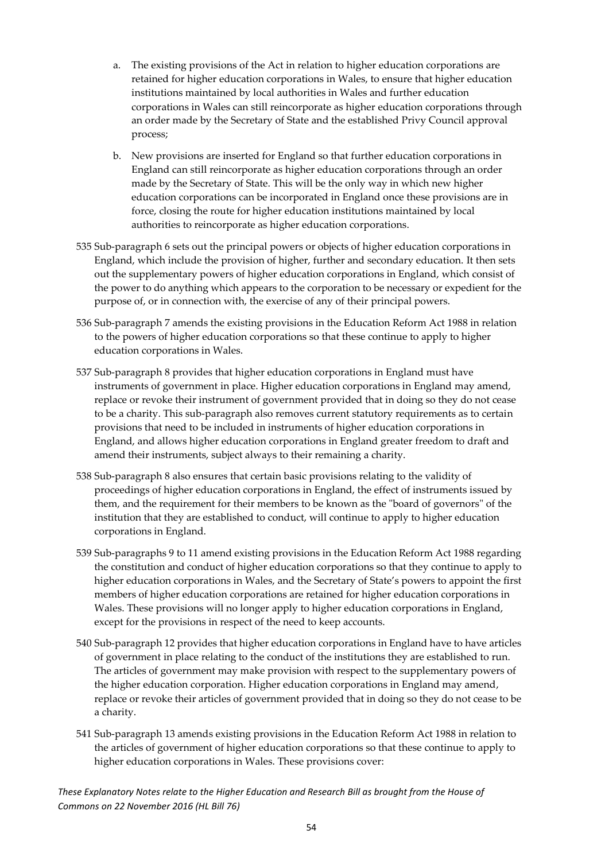- a. The existing provisions of the Act in relation to higher education corporations are retained for higher education corporations in Wales, to ensure that higher education institutions maintained by local authorities in Wales and further education corporations in Wales can still reincorporate as higher education corporations through an order made by the Secretary of State and the established Privy Council approval process;
- b. New provisions are inserted for England so that further education corporations in England can still reincorporate as higher education corporations through an order made by the Secretary of State. This will be the only way in which new higher education corporations can be incorporated in England once these provisions are in force, closing the route for higher education institutions maintained by local authorities to reincorporate as higher education corporations.
- 535 Sub-paragraph 6 sets out the principal powers or objects of higher education corporations in England, which include the provision of higher, further and secondary education. It then sets out the supplementary powers of higher education corporations in England, which consist of the power to do anything which appears to the corporation to be necessary or expedient for the purpose of, or in connection with, the exercise of any of their principal powers.
- 536 Sub-paragraph 7 amends the existing provisions in the Education Reform Act 1988 in relation to the powers of higher education corporations so that these continue to apply to higher education corporations in Wales.
- 537 Sub-paragraph 8 provides that higher education corporations in England must have instruments of government in place. Higher education corporations in England may amend, replace or revoke their instrument of government provided that in doing so they do not cease to be a charity. This sub-paragraph also removes current statutory requirements as to certain provisions that need to be included in instruments of higher education corporations in England, and allows higher education corporations in England greater freedom to draft and amend their instruments, subject always to their remaining a charity.
- 538 Sub-paragraph 8 also ensures that certain basic provisions relating to the validity of proceedings of higher education corporations in England, the effect of instruments issued by them, and the requirement for their members to be known as the "board of governors" of the institution that they are established to conduct, will continue to apply to higher education corporations in England.
- 539 Sub-paragraphs 9 to 11 amend existing provisions in the Education Reform Act 1988 regarding the constitution and conduct of higher education corporations so that they continue to apply to higher education corporations in Wales, and the Secretary of State's powers to appoint the first members of higher education corporations are retained for higher education corporations in Wales. These provisions will no longer apply to higher education corporations in England, except for the provisions in respect of the need to keep accounts.
- 540 Sub-paragraph 12 provides that higher education corporations in England have to have articles of government in place relating to the conduct of the institutions they are established to run. The articles of government may make provision with respect to the supplementary powers of the higher education corporation. Higher education corporations in England may amend, replace or revoke their articles of government provided that in doing so they do not cease to be a charity.
- 541 Sub-paragraph 13 amends existing provisions in the Education Reform Act 1988 in relation to the articles of government of higher education corporations so that these continue to apply to higher education corporations in Wales. These provisions cover: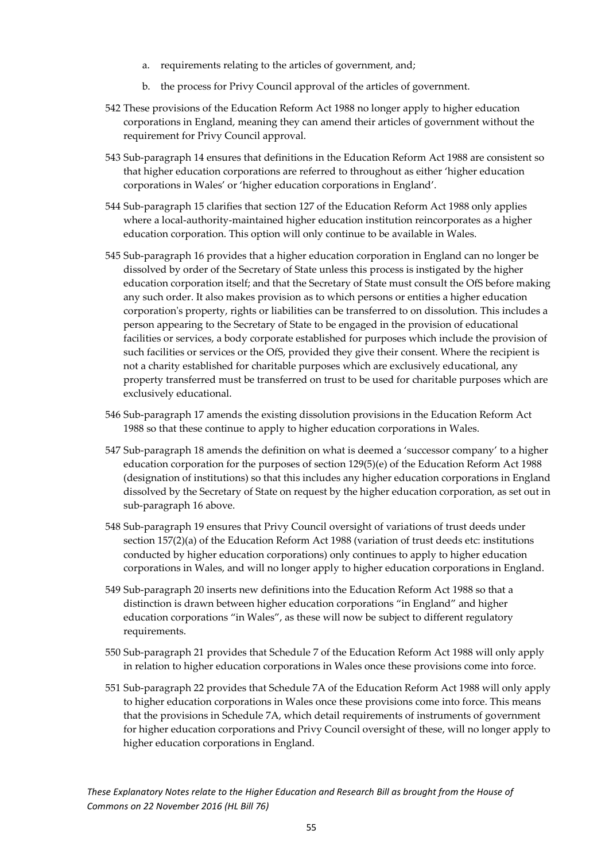- a. requirements relating to the articles of government, and;
- b. the process for Privy Council approval of the articles of government.
- 542 These provisions of the Education Reform Act 1988 no longer apply to higher education corporations in England, meaning they can amend their articles of government without the requirement for Privy Council approval.
- 543 Sub-paragraph 14 ensures that definitions in the Education Reform Act 1988 are consistent so that higher education corporations are referred to throughout as either 'higher education corporations in Wales' or 'higher education corporations in England'.
- 544 Sub-paragraph 15 clarifies that section 127 of the Education Reform Act 1988 only applies where a local-authority-maintained higher education institution reincorporates as a higher education corporation. This option will only continue to be available in Wales.
- 545 Sub-paragraph 16 provides that a higher education corporation in England can no longer be dissolved by order of the Secretary of State unless this process is instigated by the higher education corporation itself; and that the Secretary of State must consult the OfS before making any such order. It also makes provision as to which persons or entities a higher education corporation's property, rights or liabilities can be transferred to on dissolution. This includes a person appearing to the Secretary of State to be engaged in the provision of educational facilities or services, a body corporate established for purposes which include the provision of such facilities or services or the OfS, provided they give their consent. Where the recipient is not a charity established for charitable purposes which are exclusively educational, any property transferred must be transferred on trust to be used for charitable purposes which are exclusively educational.
- 546 Sub-paragraph 17 amends the existing dissolution provisions in the Education Reform Act 1988 so that these continue to apply to higher education corporations in Wales.
- 547 Sub-paragraph 18 amends the definition on what is deemed a 'successor company' to a higher education corporation for the purposes of section 129(5)(e) of the Education Reform Act 1988 (designation of institutions) so that this includes any higher education corporations in England dissolved by the Secretary of State on request by the higher education corporation, as set out in sub-paragraph 16 above.
- 548 Sub-paragraph 19 ensures that Privy Council oversight of variations of trust deeds under section 157(2)(a) of the Education Reform Act 1988 (variation of trust deeds etc: institutions conducted by higher education corporations) only continues to apply to higher education corporations in Wales, and will no longer apply to higher education corporations in England.
- 549 Sub-paragraph 20 inserts new definitions into the Education Reform Act 1988 so that a distinction is drawn between higher education corporations "in England" and higher education corporations "in Wales", as these will now be subject to different regulatory requirements.
- 550 Sub-paragraph 21 provides that Schedule 7 of the Education Reform Act 1988 will only apply in relation to higher education corporations in Wales once these provisions come into force.
- 551 Sub-paragraph 22 provides that Schedule 7A of the Education Reform Act 1988 will only apply to higher education corporations in Wales once these provisions come into force. This means that the provisions in Schedule 7A, which detail requirements of instruments of government for higher education corporations and Privy Council oversight of these, will no longer apply to higher education corporations in England.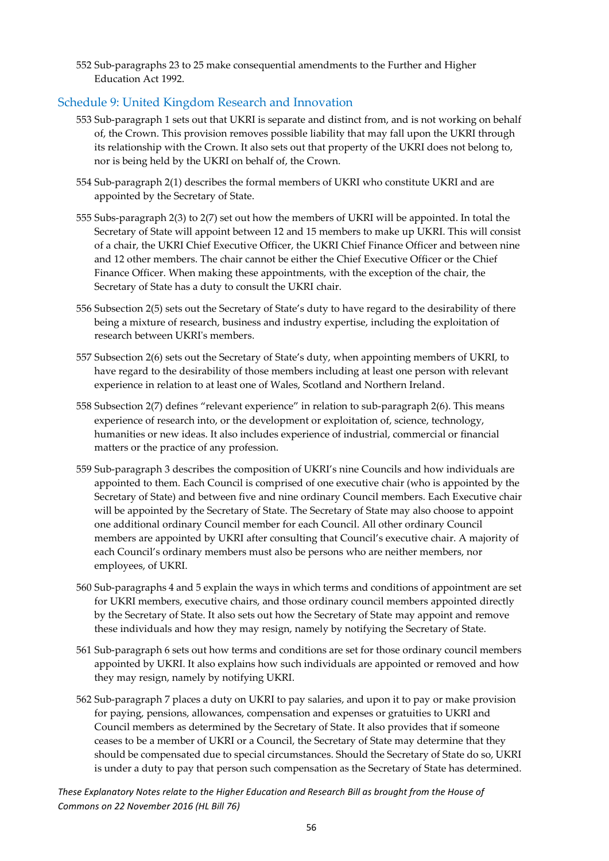552 Sub-paragraphs 23 to 25 make consequential amendments to the Further and Higher Education Act 1992.

### <span id="page-56-0"></span>Schedule 9: United Kingdom Research and Innovation

- 553 Sub-paragraph 1 sets out that UKRI is separate and distinct from, and is not working on behalf of, the Crown. This provision removes possible liability that may fall upon the UKRI through its relationship with the Crown. It also sets out that property of the UKRI does not belong to, nor is being held by the UKRI on behalf of, the Crown.
- 554 Sub-paragraph 2(1) describes the formal members of UKRI who constitute UKRI and are appointed by the Secretary of State.
- 555 Subs-paragraph 2(3) to 2(7) set out how the members of UKRI will be appointed. In total the Secretary of State will appoint between 12 and 15 members to make up UKRI. This will consist of a chair, the UKRI Chief Executive Officer, the UKRI Chief Finance Officer and between nine and 12 other members. The chair cannot be either the Chief Executive Officer or the Chief Finance Officer. When making these appointments, with the exception of the chair, the Secretary of State has a duty to consult the UKRI chair.
- 556 Subsection 2(5) sets out the Secretary of State's duty to have regard to the desirability of there being a mixture of research, business and industry expertise, including the exploitation of research between UKRI's members.
- 557 Subsection 2(6) sets out the Secretary of State's duty, when appointing members of UKRI, to have regard to the desirability of those members including at least one person with relevant experience in relation to at least one of Wales, Scotland and Northern Ireland.
- 558 Subsection 2(7) defines "relevant experience" in relation to sub-paragraph 2(6). This means experience of research into, or the development or exploitation of, science, technology, humanities or new ideas. It also includes experience of industrial, commercial or financial matters or the practice of any profession.
- 559 Sub-paragraph 3 describes the composition of UKRI's nine Councils and how individuals are appointed to them. Each Council is comprised of one executive chair (who is appointed by the Secretary of State) and between five and nine ordinary Council members. Each Executive chair will be appointed by the Secretary of State. The Secretary of State may also choose to appoint one additional ordinary Council member for each Council. All other ordinary Council members are appointed by UKRI after consulting that Council's executive chair. A majority of each Council's ordinary members must also be persons who are neither members, nor employees, of UKRI.
- 560 Sub-paragraphs 4 and 5 explain the ways in which terms and conditions of appointment are set for UKRI members, executive chairs, and those ordinary council members appointed directly by the Secretary of State. It also sets out how the Secretary of State may appoint and remove these individuals and how they may resign, namely by notifying the Secretary of State.
- 561 Sub-paragraph 6 sets out how terms and conditions are set for those ordinary council members appointed by UKRI. It also explains how such individuals are appointed or removed and how they may resign, namely by notifying UKRI.
- 562 Sub‐paragraph 7 places a duty on UKRI to pay salaries, and upon it to pay or make provision for paying, pensions, allowances, compensation and expenses or gratuities to UKRI and Council members as determined by the Secretary of State. It also provides that if someone ceases to be a member of UKRI or a Council, the Secretary of State may determine that they should be compensated due to special circumstances. Should the Secretary of State do so, UKRI is under a duty to pay that person such compensation as the Secretary of State has determined.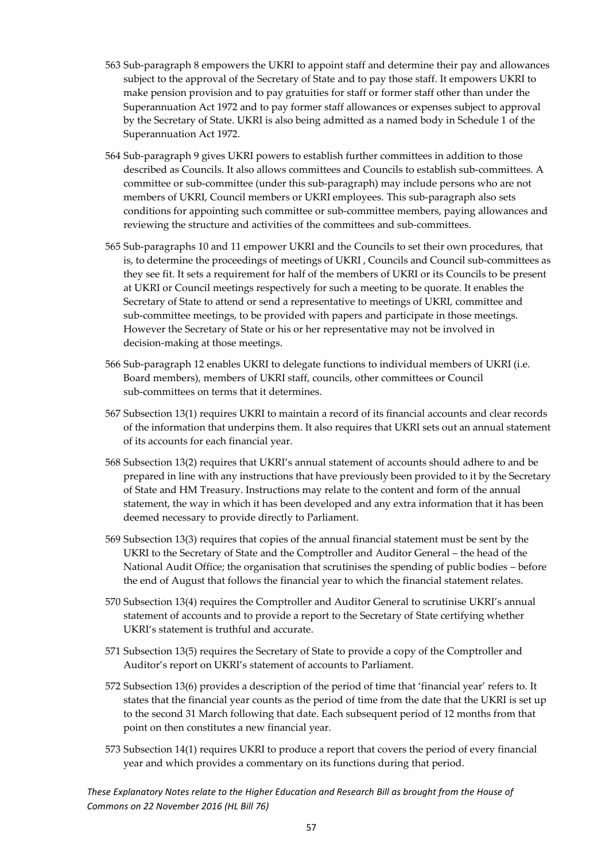- 563 Sub-paragraph 8 empowers the UKRI to appoint staff and determine their pay and allowances subject to the approval of the Secretary of State and to pay those staff. It empowers UKRI to make pension provision and to pay gratuities for staff or former staff other than under the Superannuation Act 1972 and to pay former staff allowances or expenses subject to approval by the Secretary of State. UKRI is also being admitted as a named body in Schedule 1 of the Superannuation Act 1972.
- 564 Sub-paragraph 9 gives UKRI powers to establish further committees in addition to those described as Councils. It also allows committees and Councils to establish sub-committees. A committee or sub-committee (under this sub-paragraph) may include persons who are not members of UKRI, Council members or UKRI employees. This sub-paragraph also sets conditions for appointing such committee or sub-committee members, paying allowances and reviewing the structure and activities of the committees and sub-committees.
- 565 Sub-paragraphs 10 and 11 empower UKRI and the Councils to set their own procedures, that is, to determine the proceedings of meetings of UKRI , Councils and Council sub-committees as they see fit. It sets a requirement for half of the members of UKRI or its Councils to be present at UKRI or Council meetings respectively for such a meeting to be quorate. It enables the Secretary of State to attend or send a representative to meetings of UKRI, committee and sub-committee meetings, to be provided with papers and participate in those meetings. However the Secretary of State or his or her representative may not be involved in decision-making at those meetings.
- 566 Sub-paragraph 12 enables UKRI to delegate functions to individual members of UKRI (i.e. Board members), members of UKRI staff, councils, other committees or Council sub-committees on terms that it determines.
- 567 Subsection 13(1) requires UKRI to maintain a record of its financial accounts and clear records of the information that underpins them. It also requires that UKRI sets out an annual statement of its accounts for each financial year.
- 568 Subsection 13(2) requires that UKRI's annual statement of accounts should adhere to and be prepared in line with any instructions that have previously been provided to it by the Secretary of State and HM Treasury. Instructions may relate to the content and form of the annual statement, the way in which it has been developed and any extra information that it has been deemed necessary to provide directly to Parliament.
- 569 Subsection 13(3) requires that copies of the annual financial statement must be sent by the UKRI to the Secretary of State and the Comptroller and Auditor General – the head of the National Audit Office; the organisation that scrutinises the spending of public bodies – before the end of August that follows the financial year to which the financial statement relates.
- 570 Subsection 13(4) requires the Comptroller and Auditor General to scrutinise UKRI's annual statement of accounts and to provide a report to the Secretary of State certifying whether UKRI's statement is truthful and accurate.
- 571 Subsection 13(5) requires the Secretary of State to provide a copy of the Comptroller and Auditor's report on UKRI's statement of accounts to Parliament.
- 572 Subsection 13(6) provides a description of the period of time that 'financial year' refers to. It states that the financial year counts as the period of time from the date that the UKRI is set up to the second 31 March following that date. Each subsequent period of 12 months from that point on then constitutes a new financial year.
- 573 Subsection 14(1) requires UKRI to produce a report that covers the period of every financial year and which provides a commentary on its functions during that period.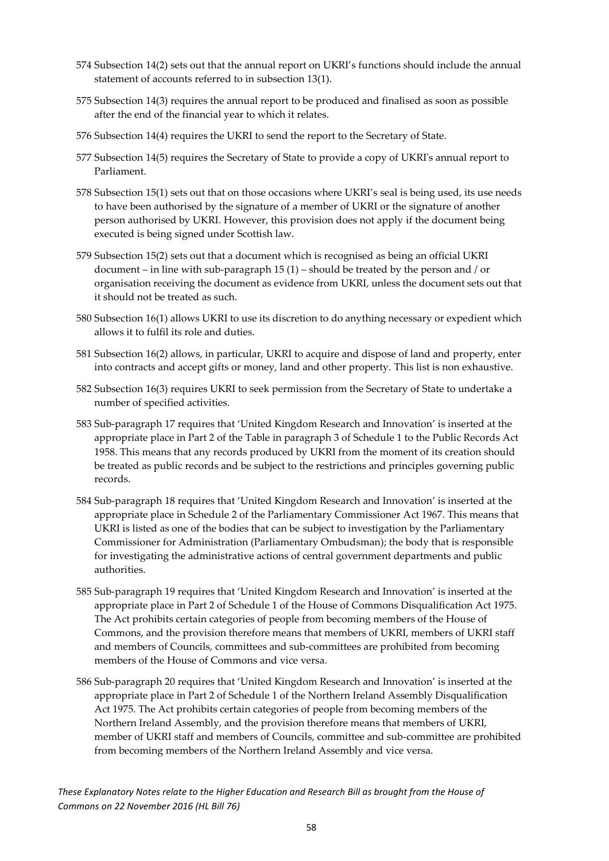- 574 Subsection 14(2) sets out that the annual report on UKRI's functions should include the annual statement of accounts referred to in subsection 13(1).
- 575 Subsection 14(3) requires the annual report to be produced and finalised as soon as possible after the end of the financial year to which it relates.
- 576 Subsection 14(4) requires the UKRI to send the report to the Secretary of State.
- 577 Subsection 14(5) requires the Secretary of State to provide a copy of UKRI's annual report to Parliament.
- 578 Subsection 15(1) sets out that on those occasions where UKRI's seal is being used, its use needs to have been authorised by the signature of a member of UKRI or the signature of another person authorised by UKRI. However, this provision does not apply if the document being executed is being signed under Scottish law.
- 579 Subsection 15(2) sets out that a document which is recognised as being an official UKRI document – in line with sub-paragraph 15 (1) – should be treated by the person and / or organisation receiving the document as evidence from UKRI, unless the document sets out that it should not be treated as such.
- 580 Subsection 16(1) allows UKRI to use its discretion to do anything necessary or expedient which allows it to fulfil its role and duties.
- 581 Subsection 16(2) allows, in particular, UKRI to acquire and dispose of land and property, enter into contracts and accept gifts or money, land and other property. This list is non exhaustive.
- 582 Subsection 16(3) requires UKRI to seek permission from the Secretary of State to undertake a number of specified activities.
- 583 Sub-paragraph 17 requires that 'United Kingdom Research and Innovation' is inserted at the appropriate place in Part 2 of the Table in paragraph 3 of Schedule 1 to the Public Records Act 1958. This means that any records produced by UKRI from the moment of its creation should be treated as public records and be subject to the restrictions and principles governing public records.
- 584 Sub-paragraph 18 requires that 'United Kingdom Research and Innovation' is inserted at the appropriate place in Schedule 2 of the Parliamentary Commissioner Act 1967. This means that UKRI is listed as one of the bodies that can be subject to investigation by the Parliamentary Commissioner for Administration (Parliamentary Ombudsman); the body that is responsible for investigating the administrative actions of central government departments and public authorities.
- 585 Sub-paragraph 19 requires that 'United Kingdom Research and Innovation' is inserted at the appropriate place in Part 2 of Schedule 1 of the House of Commons Disqualification Act 1975. The Act prohibits certain categories of people from becoming members of the House of Commons, and the provision therefore means that members of UKRI, members of UKRI staff and members of Councils, committees and sub-committees are prohibited from becoming members of the House of Commons and vice versa.
- 586 Sub-paragraph 20 requires that 'United Kingdom Research and Innovation' is inserted at the appropriate place in Part 2 of Schedule 1 of the Northern Ireland Assembly Disqualification Act 1975. The Act prohibits certain categories of people from becoming members of the Northern Ireland Assembly, and the provision therefore means that members of UKRI, member of UKRI staff and members of Councils, committee and sub-committee are prohibited from becoming members of the Northern Ireland Assembly and vice versa.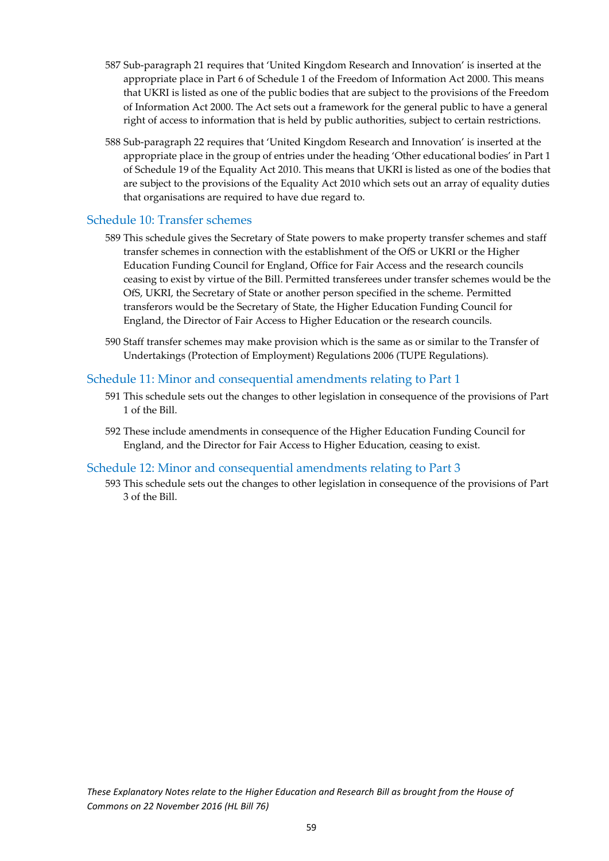- 587 Sub-paragraph 21 requires that 'United Kingdom Research and Innovation' is inserted at the appropriate place in Part 6 of Schedule 1 of the Freedom of Information Act 2000. This means that UKRI is listed as one of the public bodies that are subject to the provisions of the Freedom of Information Act 2000. The Act sets out a framework for the general public to have a general right of access to information that is held by public authorities, subject to certain restrictions.
- 588 Sub-paragraph 22 requires that 'United Kingdom Research and Innovation' is inserted at the appropriate place in the group of entries under the heading 'Other educational bodies' in Part 1 of Schedule 19 of the Equality Act 2010. This means that UKRI is listed as one of the bodies that are subject to the provisions of the Equality Act 2010 which sets out an array of equality duties that organisations are required to have due regard to.

### <span id="page-59-0"></span>Schedule 10: Transfer schemes

- 589 This schedule gives the Secretary of State powers to make property transfer schemes and staff transfer schemes in connection with the establishment of the OfS or UKRI or the Higher Education Funding Council for England, Office for Fair Access and the research councils ceasing to exist by virtue of the Bill. Permitted transferees under transfer schemes would be the OfS, UKRI, the Secretary of State or another person specified in the scheme. Permitted transferors would be the Secretary of State, the Higher Education Funding Council for England, the Director of Fair Access to Higher Education or the research councils.
- 590 Staff transfer schemes may make provision which is the same as or similar to the Transfer of Undertakings (Protection of Employment) Regulations 2006 (TUPE Regulations).

### <span id="page-59-1"></span>Schedule 11: Minor and consequential amendments relating to Part 1

- 591 This schedule sets out the changes to other legislation in consequence of the provisions of Part 1 of the Bill.
- 592 These include amendments in consequence of the Higher Education Funding Council for England, and the Director for Fair Access to Higher Education, ceasing to exist.

#### Schedule 12: Minor and consequential amendments relating to Part 3

<span id="page-59-2"></span>593 This schedule sets out the changes to other legislation in consequence of the provisions of Part 3 of the Bill.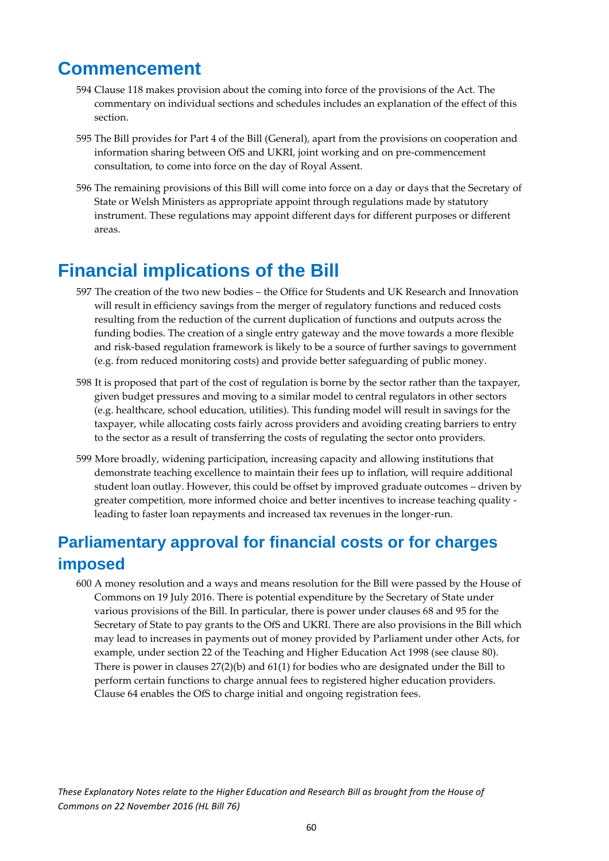# **Commencement**

- 594 Clause 118 makes provision about the coming into force of the provisions of the Act. The commentary on individual sections and schedules includes an explanation of the effect of this section.
- 595 The Bill provides for Part 4 of the Bill (General), apart from the provisions on cooperation and information sharing between OfS and UKRI, joint working and on pre-commencement consultation, to come into force on the day of Royal Assent.
- 596 The remaining provisions of this Bill will come into force on a day or days that the Secretary of State or Welsh Ministers as appropriate appoint through regulations made by statutory instrument. These regulations may appoint different days for different purposes or different areas.

# <span id="page-60-0"></span>**Financial implications of the Bill**

- 597 The creation of the two new bodies the Office for Students and UK Research and Innovation will result in efficiency savings from the merger of regulatory functions and reduced costs resulting from the reduction of the current duplication of functions and outputs across the funding bodies. The creation of a single entry gateway and the move towards a more flexible and risk-based regulation framework is likely to be a source of further savings to government (e.g. from reduced monitoring costs) and provide better safeguarding of public money.
- 598 It is proposed that part of the cost of regulation is borne by the sector rather than the taxpayer, given budget pressures and moving to a similar model to central regulators in other sectors (e.g. healthcare, school education, utilities). This funding model will result in savings for the taxpayer, while allocating costs fairly across providers and avoiding creating barriers to entry to the sector as a result of transferring the costs of regulating the sector onto providers.
- 599 More broadly, widening participation, increasing capacity and allowing institutions that demonstrate teaching excellence to maintain their fees up to inflation, will require additional student loan outlay. However, this could be offset by improved graduate outcomes – driven by greater competition, more informed choice and better incentives to increase teaching quality leading to faster loan repayments and increased tax revenues in the longer-run.

# <span id="page-60-1"></span>**Parliamentary approval for financial costs or for charges imposed**

600 A money resolution and a ways and means resolution for the Bill were passed by the House of Commons on 19 July 2016. There is potential expenditure by the Secretary of State under various provisions of the Bill. In particular, there is power under clauses 68 and 95 for the Secretary of State to pay grants to the OfS and UKRI. There are also provisions in the Bill which may lead to increases in payments out of money provided by Parliament under other Acts, for example, under section 22 of the Teaching and Higher Education Act 1998 (see clause 80). There is power in clauses 27(2)(b) and 61(1) for bodies who are designated under the Bill to perform certain functions to charge annual fees to registered higher education providers. Clause 64 enables the OfS to charge initial and ongoing registration fees.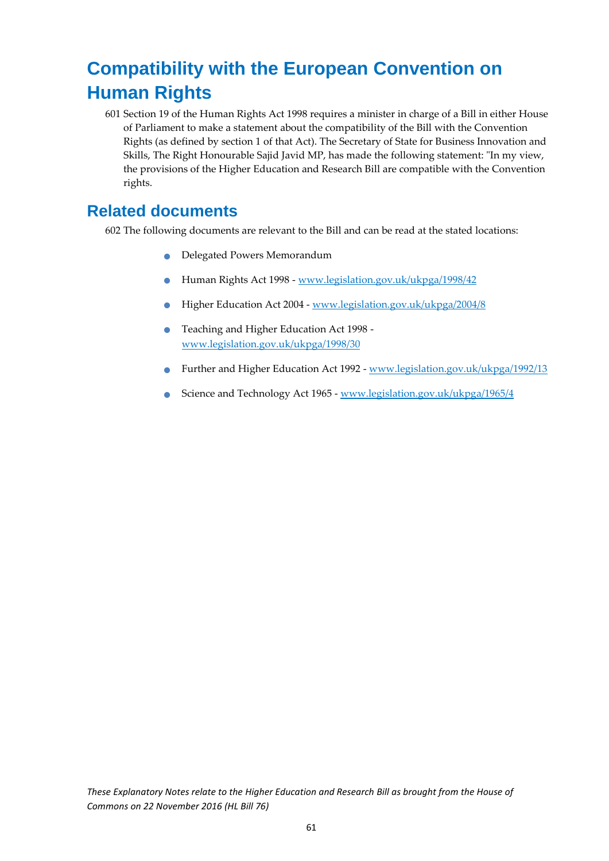# <span id="page-61-0"></span>**Compatibility with the European Convention on Human Rights**

601 Section 19 of the Human Rights Act 1998 requires a minister in charge of a Bill in either House of Parliament to make a statement about the compatibility of the Bill with the Convention Rights (as defined by section 1 of that Act). The Secretary of State for Business Innovation and Skills, The Right Honourable Sajid Javid MP, has made the following statement: "In my view, the provisions of the Higher Education and Research Bill are compatible with the Convention rights.

### <span id="page-61-1"></span>**Related documents**

602 The following documents are relevant to the Bill and can be read at the stated locations:

- Delegated Powers Memorandum
- Human Rights Act 1998 [www.legislation.gov.uk/ukpga/1998/42](http://www.legislation.gov.uk/ukpga/1998/42)
- Higher Education Act 2004 [www.legislation.gov.uk/ukpga/2004/8](http://www.legislation.gov.uk/ukpga/2004/8)
- **•** Teaching and Higher Education Act 1998 [www.legislation.gov.uk/ukpga/1998/30](http://www.legislation.gov.uk/ukpga/1998/30)
- Further and Higher Education Act 1992 [www.legislation.gov.uk/ukpga/1992/13](http://www.legislation.gov.uk/ukpga/1992/13)
- Science and Technology Act 1965 [www.legislation.gov.uk/ukpga/1965/4](http://www.legislation.gov.uk/ukpga/1965/4)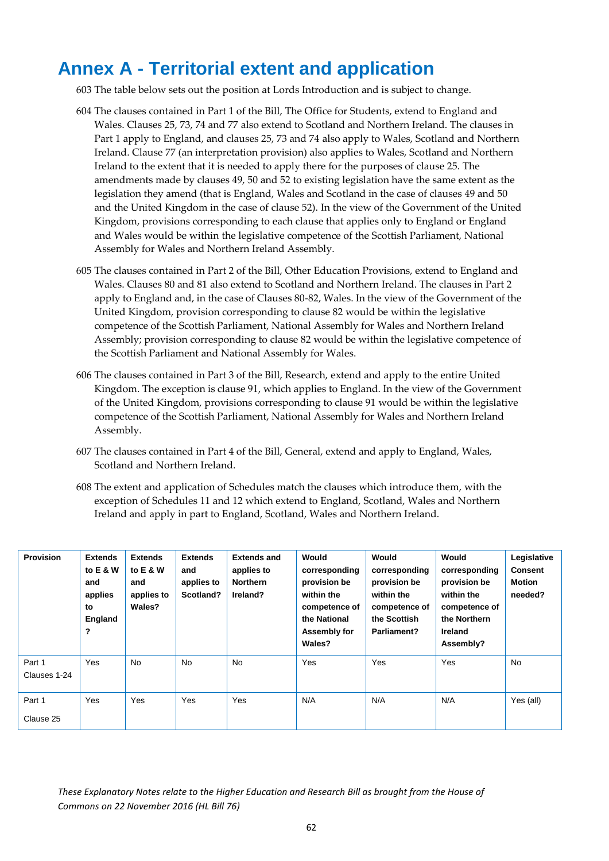# <span id="page-62-0"></span>**Annex A - Territorial extent and application**

603 The table below sets out the position at Lords Introduction and is subject to change.

- 604 The clauses contained in Part 1 of the Bill, The Office for Students, extend to England and Wales. Clauses 25, 73, 74 and 77 also extend to Scotland and Northern Ireland. The clauses in Part 1 apply to England, and clauses 25, 73 and 74 also apply to Wales, Scotland and Northern Ireland. Clause 77 (an interpretation provision) also applies to Wales, Scotland and Northern Ireland to the extent that it is needed to apply there for the purposes of clause 25. The amendments made by clauses 49, 50 and 52 to existing legislation have the same extent as the legislation they amend (that is England, Wales and Scotland in the case of clauses 49 and 50 and the United Kingdom in the case of clause 52). In the view of the Government of the United Kingdom, provisions corresponding to each clause that applies only to England or England and Wales would be within the legislative competence of the Scottish Parliament, National Assembly for Wales and Northern Ireland Assembly.
- 605 The clauses contained in Part 2 of the Bill, Other Education Provisions, extend to England and Wales. Clauses 80 and 81 also extend to Scotland and Northern Ireland. The clauses in Part 2 apply to England and, in the case of Clauses 80-82, Wales. In the view of the Government of the United Kingdom, provision corresponding to clause 82 would be within the legislative competence of the Scottish Parliament, National Assembly for Wales and Northern Ireland Assembly; provision corresponding to clause 82 would be within the legislative competence of the Scottish Parliament and National Assembly for Wales.
- 606 The clauses contained in Part 3 of the Bill, Research, extend and apply to the entire United Kingdom. The exception is clause 91, which applies to England. In the view of the Government of the United Kingdom, provisions corresponding to clause 91 would be within the legislative competence of the Scottish Parliament, National Assembly for Wales and Northern Ireland Assembly.
- 607 The clauses contained in Part 4 of the Bill, General, extend and apply to England, Wales, Scotland and Northern Ireland.
- 608 The extent and application of Schedules match the clauses which introduce them, with the exception of Schedules 11 and 12 which extend to England, Scotland, Wales and Northern Ireland and apply in part to England, Scotland, Wales and Northern Ireland.

| <b>Provision</b>       | <b>Extends</b><br>to E & W<br>and<br>applies<br>to<br>England<br>? | <b>Extends</b><br>to E & W<br>and<br>applies to<br>Wales? | <b>Extends</b><br>and<br>applies to<br>Scotland? | <b>Extends and</b><br>applies to<br><b>Northern</b><br>Ireland? | Would<br>corresponding<br>provision be<br>within the<br>competence of<br>the National<br>Assembly for<br>Wales? | Would<br>corresponding<br>provision be<br>within the<br>competence of<br>the Scottish<br>Parliament? | Would<br>corresponding<br>provision be<br>within the<br>competence of<br>the Northern<br><b>Ireland</b><br>Assembly? | Legislative<br><b>Consent</b><br><b>Motion</b><br>needed? |
|------------------------|--------------------------------------------------------------------|-----------------------------------------------------------|--------------------------------------------------|-----------------------------------------------------------------|-----------------------------------------------------------------------------------------------------------------|------------------------------------------------------------------------------------------------------|----------------------------------------------------------------------------------------------------------------------|-----------------------------------------------------------|
| Part 1<br>Clauses 1-24 | Yes                                                                | <b>No</b>                                                 | <b>No</b>                                        | <b>No</b>                                                       | Yes                                                                                                             | Yes                                                                                                  | Yes                                                                                                                  | <b>No</b>                                                 |
| Part 1<br>Clause 25    | Yes                                                                | Yes                                                       | Yes                                              | Yes                                                             | N/A                                                                                                             | N/A                                                                                                  | N/A                                                                                                                  | Yes (all)                                                 |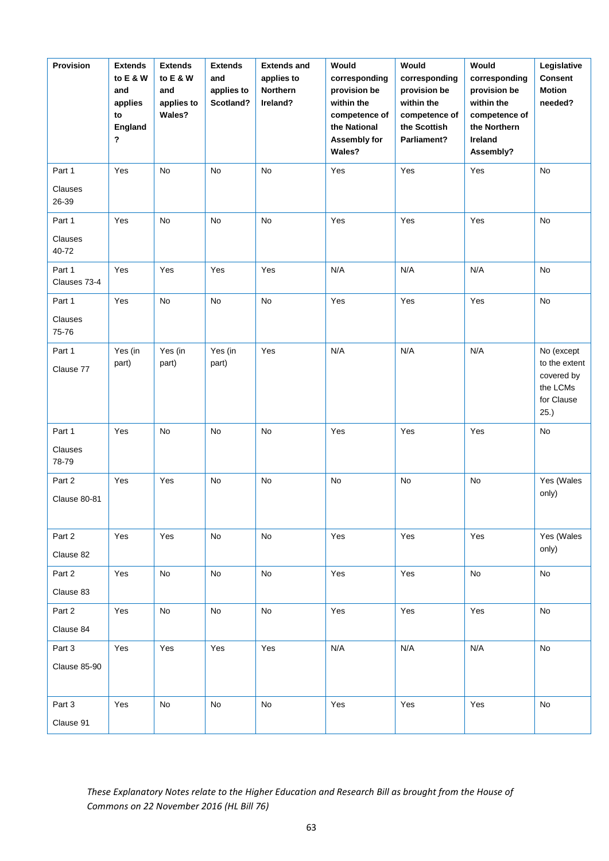| Provision              | <b>Extends</b><br>to E & W<br>and<br>applies<br>to<br>England<br>$\boldsymbol{\mathsf{?}}$ | <b>Extends</b><br>to E & W<br>and<br>applies to<br>Wales? | <b>Extends</b><br>and<br>applies to<br>Scotland? | <b>Extends and</b><br>applies to<br><b>Northern</b><br>Ireland? | Would<br>corresponding<br>provision be<br>within the<br>competence of<br>the National<br>Assembly for<br>Wales? | Would<br>corresponding<br>provision be<br>within the<br>competence of<br>the Scottish<br>Parliament? | Would<br>corresponding<br>provision be<br>within the<br>competence of<br>the Northern<br>Ireland<br>Assembly? | Legislative<br><b>Consent</b><br><b>Motion</b><br>needed?     |
|------------------------|--------------------------------------------------------------------------------------------|-----------------------------------------------------------|--------------------------------------------------|-----------------------------------------------------------------|-----------------------------------------------------------------------------------------------------------------|------------------------------------------------------------------------------------------------------|---------------------------------------------------------------------------------------------------------------|---------------------------------------------------------------|
| Part 1                 | Yes                                                                                        | No                                                        | No                                               | No                                                              | Yes                                                                                                             | Yes                                                                                                  | Yes                                                                                                           | <b>No</b>                                                     |
| Clauses<br>26-39       |                                                                                            |                                                           |                                                  |                                                                 |                                                                                                                 |                                                                                                      |                                                                                                               |                                                               |
| Part 1                 | Yes                                                                                        | No                                                        | No                                               | No                                                              | Yes                                                                                                             | Yes                                                                                                  | Yes                                                                                                           | <b>No</b>                                                     |
| Clauses<br>40-72       |                                                                                            |                                                           |                                                  |                                                                 |                                                                                                                 |                                                                                                      |                                                                                                               |                                                               |
| Part 1<br>Clauses 73-4 | Yes                                                                                        | Yes                                                       | Yes                                              | Yes                                                             | N/A                                                                                                             | N/A                                                                                                  | N/A                                                                                                           | No                                                            |
| Part 1                 | Yes                                                                                        | No                                                        | No                                               | No                                                              | Yes                                                                                                             | Yes                                                                                                  | Yes                                                                                                           | No                                                            |
| Clauses<br>75-76       |                                                                                            |                                                           |                                                  |                                                                 |                                                                                                                 |                                                                                                      |                                                                                                               |                                                               |
| Part 1                 | Yes (in                                                                                    | Yes (in                                                   | Yes (in                                          | Yes                                                             | N/A                                                                                                             | N/A                                                                                                  | N/A                                                                                                           | No (except                                                    |
| Clause 77              | part)                                                                                      | part)                                                     | part)                                            |                                                                 |                                                                                                                 |                                                                                                      |                                                                                                               | to the extent<br>covered by<br>the LCMs<br>for Clause<br>25.) |
| Part 1                 | Yes                                                                                        | No                                                        | No                                               | No                                                              | Yes                                                                                                             | Yes                                                                                                  | Yes                                                                                                           | No                                                            |
| Clauses<br>78-79       |                                                                                            |                                                           |                                                  |                                                                 |                                                                                                                 |                                                                                                      |                                                                                                               |                                                               |
| Part 2                 | Yes                                                                                        | Yes                                                       | No                                               | No                                                              | No                                                                                                              | No                                                                                                   | No                                                                                                            | Yes (Wales                                                    |
| Clause 80-81           |                                                                                            |                                                           |                                                  |                                                                 |                                                                                                                 |                                                                                                      |                                                                                                               | only)                                                         |
| Part 2                 | Yes                                                                                        | Yes                                                       | No                                               | No                                                              | Yes                                                                                                             | Yes                                                                                                  | Yes                                                                                                           | Yes (Wales                                                    |
| Clause 82              |                                                                                            |                                                           |                                                  |                                                                 |                                                                                                                 |                                                                                                      |                                                                                                               | only)                                                         |
| Part 2                 | Yes                                                                                        | No                                                        | No                                               | No                                                              | Yes                                                                                                             | Yes                                                                                                  | No                                                                                                            | No                                                            |
| Clause 83              |                                                                                            |                                                           |                                                  |                                                                 |                                                                                                                 |                                                                                                      |                                                                                                               |                                                               |
| Part 2                 | Yes                                                                                        | No                                                        | No                                               | No                                                              | Yes                                                                                                             | Yes                                                                                                  | Yes                                                                                                           | No                                                            |
| Clause 84              |                                                                                            |                                                           |                                                  |                                                                 |                                                                                                                 |                                                                                                      |                                                                                                               |                                                               |
| Part 3                 | Yes                                                                                        | Yes                                                       | Yes                                              | Yes                                                             | N/A                                                                                                             | N/A                                                                                                  | N/A                                                                                                           | No                                                            |
| Clause 85-90           |                                                                                            |                                                           |                                                  |                                                                 |                                                                                                                 |                                                                                                      |                                                                                                               |                                                               |
| Part 3                 | Yes                                                                                        | No                                                        | No                                               | No                                                              | Yes                                                                                                             | Yes                                                                                                  | Yes                                                                                                           | No                                                            |
| Clause 91              |                                                                                            |                                                           |                                                  |                                                                 |                                                                                                                 |                                                                                                      |                                                                                                               |                                                               |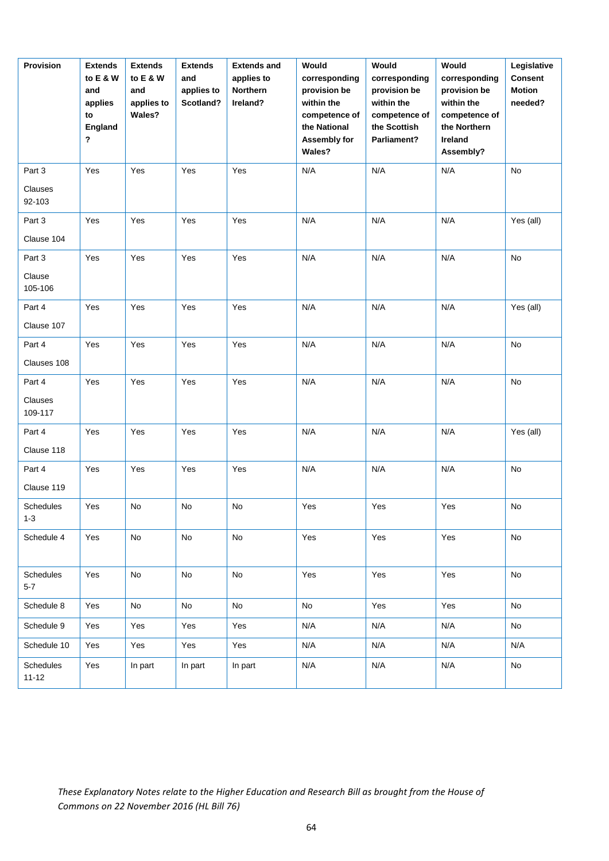| Provision                   | <b>Extends</b><br>to E & W<br>and<br>applies<br>to<br>England<br>? | <b>Extends</b><br>to E & W<br>and<br>applies to<br>Wales? | <b>Extends</b><br>and<br>applies to<br>Scotland? | <b>Extends and</b><br>applies to<br><b>Northern</b><br>Ireland? | Would<br>corresponding<br>provision be<br>within the<br>competence of<br>the National<br>Assembly for<br>Wales? | Would<br>corresponding<br>provision be<br>within the<br>competence of<br>the Scottish<br>Parliament? | Would<br>corresponding<br>provision be<br>within the<br>competence of<br>the Northern<br>Ireland<br>Assembly? | Legislative<br><b>Consent</b><br><b>Motion</b><br>needed? |
|-----------------------------|--------------------------------------------------------------------|-----------------------------------------------------------|--------------------------------------------------|-----------------------------------------------------------------|-----------------------------------------------------------------------------------------------------------------|------------------------------------------------------------------------------------------------------|---------------------------------------------------------------------------------------------------------------|-----------------------------------------------------------|
| Part 3                      | Yes                                                                | Yes                                                       | Yes                                              | Yes                                                             | N/A                                                                                                             | N/A                                                                                                  | N/A                                                                                                           | No                                                        |
| Clauses<br>92-103           |                                                                    |                                                           |                                                  |                                                                 |                                                                                                                 |                                                                                                      |                                                                                                               |                                                           |
| Part 3                      | Yes                                                                | Yes                                                       | Yes                                              | Yes                                                             | N/A                                                                                                             | N/A                                                                                                  | N/A                                                                                                           | Yes (all)                                                 |
| Clause 104                  |                                                                    |                                                           |                                                  |                                                                 |                                                                                                                 |                                                                                                      |                                                                                                               |                                                           |
| Part 3                      | Yes                                                                | Yes                                                       | Yes                                              | Yes                                                             | N/A                                                                                                             | N/A                                                                                                  | N/A                                                                                                           | No                                                        |
| Clause<br>105-106           |                                                                    |                                                           |                                                  |                                                                 |                                                                                                                 |                                                                                                      |                                                                                                               |                                                           |
| Part 4                      | Yes                                                                | Yes                                                       | Yes                                              | Yes                                                             | N/A                                                                                                             | N/A                                                                                                  | N/A                                                                                                           | Yes (all)                                                 |
| Clause 107                  |                                                                    |                                                           |                                                  |                                                                 |                                                                                                                 |                                                                                                      |                                                                                                               |                                                           |
| Part 4                      | Yes                                                                | Yes                                                       | Yes                                              | Yes                                                             | N/A                                                                                                             | N/A                                                                                                  | N/A                                                                                                           | No                                                        |
| Clauses 108                 |                                                                    |                                                           |                                                  |                                                                 |                                                                                                                 |                                                                                                      |                                                                                                               |                                                           |
| Part 4                      | Yes                                                                | Yes                                                       | Yes                                              | Yes                                                             | N/A                                                                                                             | N/A                                                                                                  | N/A                                                                                                           | No                                                        |
| Clauses<br>109-117          |                                                                    |                                                           |                                                  |                                                                 |                                                                                                                 |                                                                                                      |                                                                                                               |                                                           |
| Part 4                      | Yes                                                                | Yes                                                       | Yes                                              | Yes                                                             | N/A                                                                                                             | N/A                                                                                                  | N/A                                                                                                           | Yes (all)                                                 |
| Clause 118                  |                                                                    |                                                           |                                                  |                                                                 |                                                                                                                 |                                                                                                      |                                                                                                               |                                                           |
| Part 4                      | Yes                                                                | Yes                                                       | Yes                                              | Yes                                                             | N/A                                                                                                             | N/A                                                                                                  | N/A                                                                                                           | No                                                        |
| Clause 119                  |                                                                    |                                                           |                                                  |                                                                 |                                                                                                                 |                                                                                                      |                                                                                                               |                                                           |
| <b>Schedules</b><br>$1 - 3$ | Yes                                                                | No                                                        | No                                               | No                                                              | Yes                                                                                                             | Yes                                                                                                  | Yes                                                                                                           | No                                                        |
| Schedule 4                  | Yes                                                                | No                                                        | No                                               | No                                                              | Yes                                                                                                             | Yes                                                                                                  | Yes                                                                                                           | No                                                        |
| Schedules<br>$5 - 7$        | Yes                                                                | No                                                        | No                                               | No                                                              | Yes                                                                                                             | Yes                                                                                                  | Yes                                                                                                           | No                                                        |
| Schedule 8                  | Yes                                                                | No                                                        | No                                               | No                                                              | No                                                                                                              | Yes                                                                                                  | Yes                                                                                                           | No                                                        |
| Schedule 9                  | Yes                                                                | Yes                                                       | Yes                                              | Yes                                                             | N/A                                                                                                             | N/A                                                                                                  | N/A                                                                                                           | No                                                        |
| Schedule 10                 | Yes                                                                | Yes                                                       | Yes                                              | Yes                                                             | N/A                                                                                                             | N/A                                                                                                  | N/A                                                                                                           | N/A                                                       |
| Schedules<br>$11 - 12$      | Yes                                                                | In part                                                   | In part                                          | In part                                                         | N/A                                                                                                             | N/A                                                                                                  | N/A                                                                                                           | No                                                        |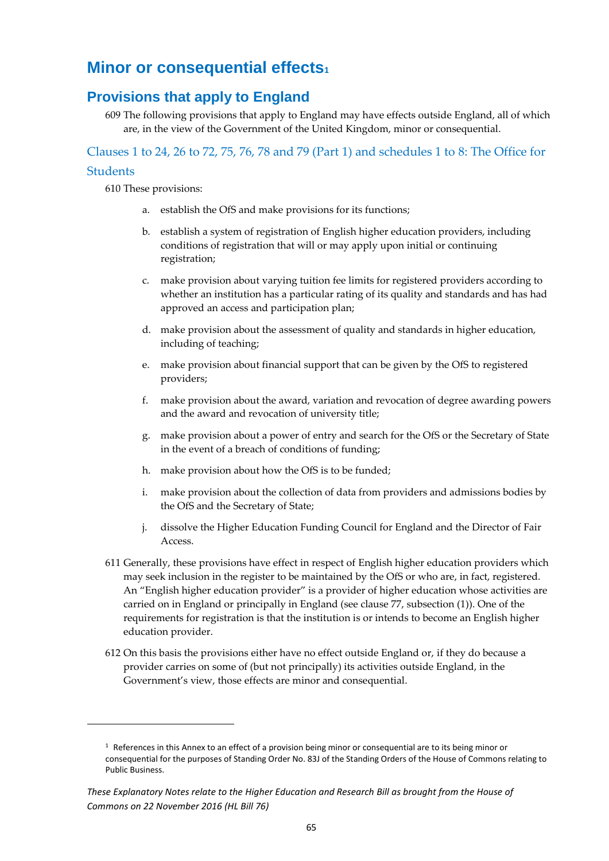# <span id="page-65-0"></span>**Minor or consequential effects<sup>1</sup>**

### <span id="page-65-1"></span>**Provisions that apply to England**

609 The following provisions that apply to England may have effects outside England, all of which are, in the view of the Government of the United Kingdom, minor or consequential.

<span id="page-65-2"></span>Clauses 1 to 24, 26 to 72, 75, 76, 78 and 79 (Part 1) and schedules 1 to 8: The Office for **Students** 

610 These provisions:

- a. establish the OfS and make provisions for its functions;
- b. establish a system of registration of English higher education providers, including conditions of registration that will or may apply upon initial or continuing registration;
- c. make provision about varying tuition fee limits for registered providers according to whether an institution has a particular rating of its quality and standards and has had approved an access and participation plan;
- d. make provision about the assessment of quality and standards in higher education, including of teaching;
- e. make provision about financial support that can be given by the OfS to registered providers;
- f. make provision about the award, variation and revocation of degree awarding powers and the award and revocation of university title;
- g. make provision about a power of entry and search for the OfS or the Secretary of State in the event of a breach of conditions of funding;
- h. make provision about how the OfS is to be funded;
- i. make provision about the collection of data from providers and admissions bodies by the OfS and the Secretary of State;
- j. dissolve the Higher Education Funding Council for England and the Director of Fair Access.
- 611 Generally, these provisions have effect in respect of English higher education providers which may seek inclusion in the register to be maintained by the OfS or who are, in fact, registered. An "English higher education provider" is a provider of higher education whose activities are carried on in England or principally in England (see clause 77, subsection (1)). One of the requirements for registration is that the institution is or intends to become an English higher education provider.
- 612 On this basis the provisions either have no effect outside England or, if they do because a provider carries on some of (but not principally) its activities outside England, in the Government's view, those effects are minor and consequential.

<span id="page-65-3"></span> $1$  References in this Annex to an effect of a provision being minor or consequential are to its being minor or consequential for the purposes of Standing Order No. 83J of the Standing Orders of the House of Commons relating to Public Business.

*These Explanatory Notes relate to the Higher Education and Research Bill as brought from the House of Commons on 22 November 2016 (HL Bill 76)*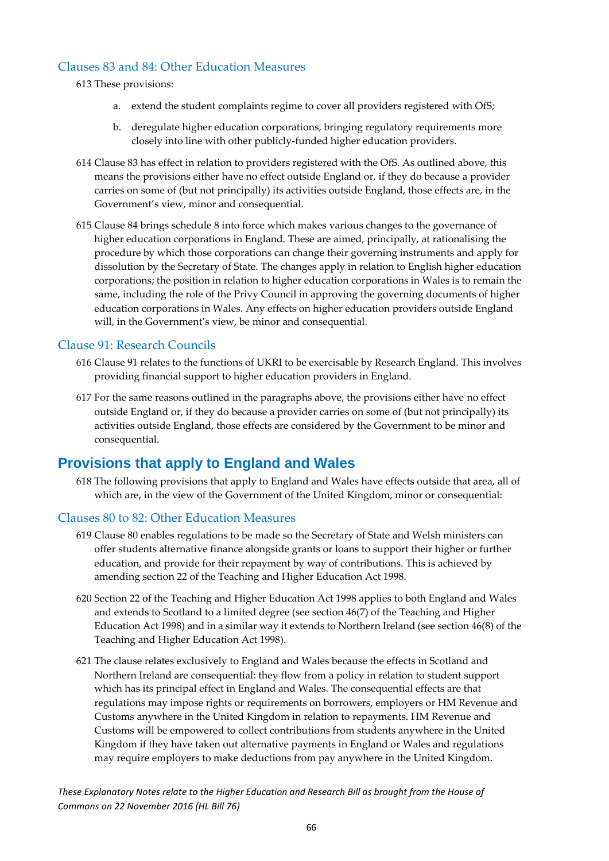### Clauses 83 and 84: Other Education Measures

- 613 These provisions:
	- a. extend the student complaints regime to cover all providers registered with OfS;
	- b. deregulate higher education corporations, bringing regulatory requirements more closely into line with other publicly-funded higher education providers.
- 614 Clause 83 has effect in relation to providers registered with the OfS. As outlined above, this means the provisions either have no effect outside England or, if they do because a provider carries on some of (but not principally) its activities outside England, those effects are, in the Government's view, minor and consequential.
- 615 Clause 84 brings schedule 8 into force which makes various changes to the governance of higher education corporations in England. These are aimed, principally, at rationalising the procedure by which those corporations can change their governing instruments and apply for dissolution by the Secretary of State. The changes apply in relation to English higher education corporations; the position in relation to higher education corporations in Wales is to remain the same, including the role of the Privy Council in approving the governing documents of higher education corporations in Wales. Any effects on higher education providers outside England will, in the Government's view, be minor and consequential.

### <span id="page-66-0"></span>Clause 91: Research Councils

- 616 Clause 91 relates to the functions of UKRI to be exercisable by Research England. This involves providing financial support to higher education providers in England.
- 617 For the same reasons outlined in the paragraphs above, the provisions either have no effect outside England or, if they do because a provider carries on some of (but not principally) its activities outside England, those effects are considered by the Government to be minor and consequential.

### <span id="page-66-1"></span>**Provisions that apply to England and Wales**

618 The following provisions that apply to England and Wales have effects outside that area, all of which are, in the view of the Government of the United Kingdom, minor or consequential:

### <span id="page-66-2"></span>Clauses 80 to 82: Other Education Measures

- 619 Clause 80 enables regulations to be made so the Secretary of State and Welsh ministers can offer students alternative finance alongside grants or loans to support their higher or further education, and provide for their repayment by way of contributions. This is achieved by amending section 22 of the Teaching and Higher Education Act 1998.
- 620 Section 22 of the Teaching and Higher Education Act 1998 applies to both England and Wales and extends to Scotland to a limited degree (see section 46(7) of the Teaching and Higher Education Act 1998) and in a similar way it extends to Northern Ireland (see section 46(8) of the Teaching and Higher Education Act 1998).
- 621 The clause relates exclusively to England and Wales because the effects in Scotland and Northern Ireland are consequential: they flow from a policy in relation to student support which has its principal effect in England and Wales. The consequential effects are that regulations may impose rights or requirements on borrowers, employers or HM Revenue and Customs anywhere in the United Kingdom in relation to repayments. HM Revenue and Customs will be empowered to collect contributions from students anywhere in the United Kingdom if they have taken out alternative payments in England or Wales and regulations may require employers to make deductions from pay anywhere in the United Kingdom.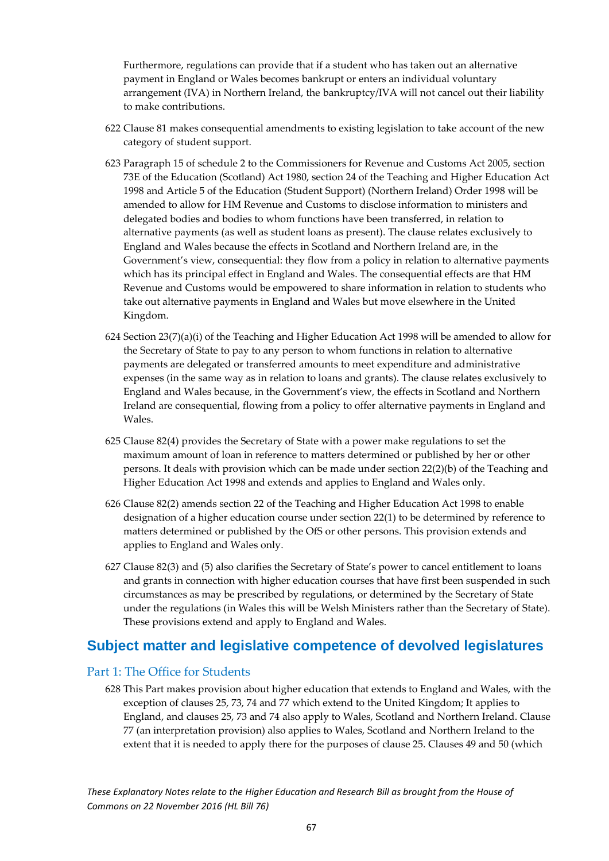Furthermore, regulations can provide that if a student who has taken out an alternative payment in England or Wales becomes bankrupt or enters an individual voluntary arrangement (IVA) in Northern Ireland, the bankruptcy/IVA will not cancel out their liability to make contributions.

- 622 Clause 81 makes consequential amendments to existing legislation to take account of the new category of student support.
- 623 Paragraph 15 of schedule 2 to the Commissioners for Revenue and Customs Act 2005, section 73E of the Education (Scotland) Act 1980, section 24 of the Teaching and Higher Education Act 1998 and Article 5 of the Education (Student Support) (Northern Ireland) Order 1998 will be amended to allow for HM Revenue and Customs to disclose information to ministers and delegated bodies and bodies to whom functions have been transferred, in relation to alternative payments (as well as student loans as present). The clause relates exclusively to England and Wales because the effects in Scotland and Northern Ireland are, in the Government's view, consequential: they flow from a policy in relation to alternative payments which has its principal effect in England and Wales. The consequential effects are that HM Revenue and Customs would be empowered to share information in relation to students who take out alternative payments in England and Wales but move elsewhere in the United Kingdom.
- 624 Section  $23(7)(a)(i)$  of the Teaching and Higher Education Act 1998 will be amended to allow for the Secretary of State to pay to any person to whom functions in relation to alternative payments are delegated or transferred amounts to meet expenditure and administrative expenses (in the same way as in relation to loans and grants). The clause relates exclusively to England and Wales because, in the Government's view, the effects in Scotland and Northern Ireland are consequential, flowing from a policy to offer alternative payments in England and Wales.
- 625 Clause 82(4) provides the Secretary of State with a power make regulations to set the maximum amount of loan in reference to matters determined or published by her or other persons. It deals with provision which can be made under section 22(2)(b) of the Teaching and Higher Education Act 1998 and extends and applies to England and Wales only.
- 626 Clause 82(2) amends section 22 of the Teaching and Higher Education Act 1998 to enable designation of a higher education course under section 22(1) to be determined by reference to matters determined or published by the OfS or other persons. This provision extends and applies to England and Wales only.
- 627 Clause 82(3) and (5) also clarifies the Secretary of State's power to cancel entitlement to loans and grants in connection with higher education courses that have first been suspended in such circumstances as may be prescribed by regulations, or determined by the Secretary of State under the regulations (in Wales this will be Welsh Ministers rather than the Secretary of State). These provisions extend and apply to England and Wales.

### <span id="page-67-0"></span>**Subject matter and legislative competence of devolved legislatures**

### <span id="page-67-1"></span>Part 1: The Office for Students

628 This Part makes provision about higher education that extends to England and Wales, with the exception of clauses 25, 73, 74 and 77 which extend to the United Kingdom; It applies to England, and clauses 25, 73 and 74 also apply to Wales, Scotland and Northern Ireland. Clause 77 (an interpretation provision) also applies to Wales, Scotland and Northern Ireland to the extent that it is needed to apply there for the purposes of clause 25. Clauses 49 and 50 (which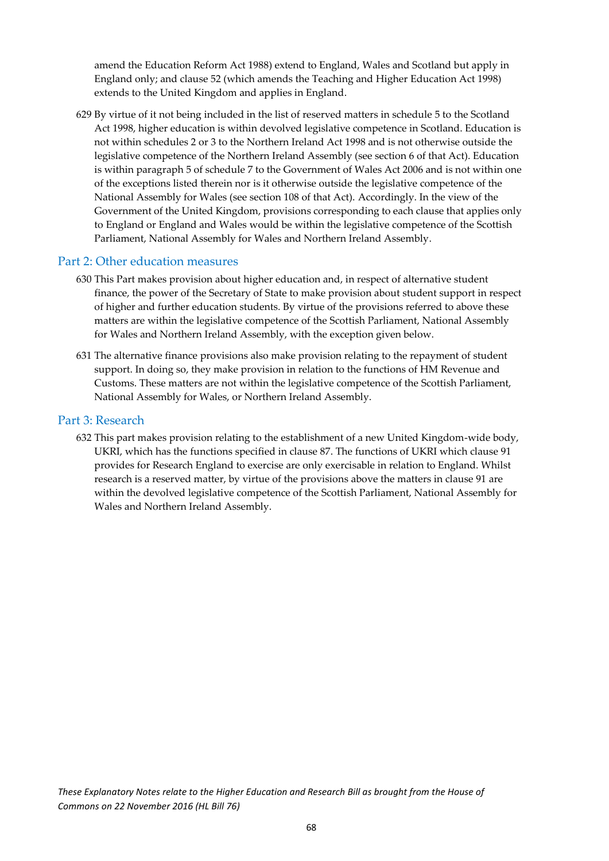amend the Education Reform Act 1988) extend to England, Wales and Scotland but apply in England only; and clause 52 (which amends the Teaching and Higher Education Act 1998) extends to the United Kingdom and applies in England.

629 By virtue of it not being included in the list of reserved matters in schedule 5 to the Scotland Act 1998, higher education is within devolved legislative competence in Scotland. Education is not within schedules 2 or 3 to the Northern Ireland Act 1998 and is not otherwise outside the legislative competence of the Northern Ireland Assembly (see section 6 of that Act). Education is within paragraph 5 of schedule 7 to the Government of Wales Act 2006 and is not within one of the exceptions listed therein nor is it otherwise outside the legislative competence of the National Assembly for Wales (see section 108 of that Act). Accordingly. In the view of the Government of the United Kingdom, provisions corresponding to each clause that applies only to England or England and Wales would be within the legislative competence of the Scottish Parliament, National Assembly for Wales and Northern Ireland Assembly.

### <span id="page-68-0"></span>Part 2: Other education measures

- 630 This Part makes provision about higher education and, in respect of alternative student finance, the power of the Secretary of State to make provision about student support in respect of higher and further education students. By virtue of the provisions referred to above these matters are within the legislative competence of the Scottish Parliament, National Assembly for Wales and Northern Ireland Assembly, with the exception given below.
- 631 The alternative finance provisions also make provision relating to the repayment of student support. In doing so, they make provision in relation to the functions of HM Revenue and Customs. These matters are not within the legislative competence of the Scottish Parliament, National Assembly for Wales, or Northern Ireland Assembly.

### <span id="page-68-1"></span>Part 3: Research

632 This part makes provision relating to the establishment of a new United Kingdom-wide body, UKRI, which has the functions specified in clause 87. The functions of UKRI which clause 91 provides for Research England to exercise are only exercisable in relation to England. Whilst research is a reserved matter, by virtue of the provisions above the matters in clause 91 are within the devolved legislative competence of the Scottish Parliament, National Assembly for Wales and Northern Ireland Assembly.